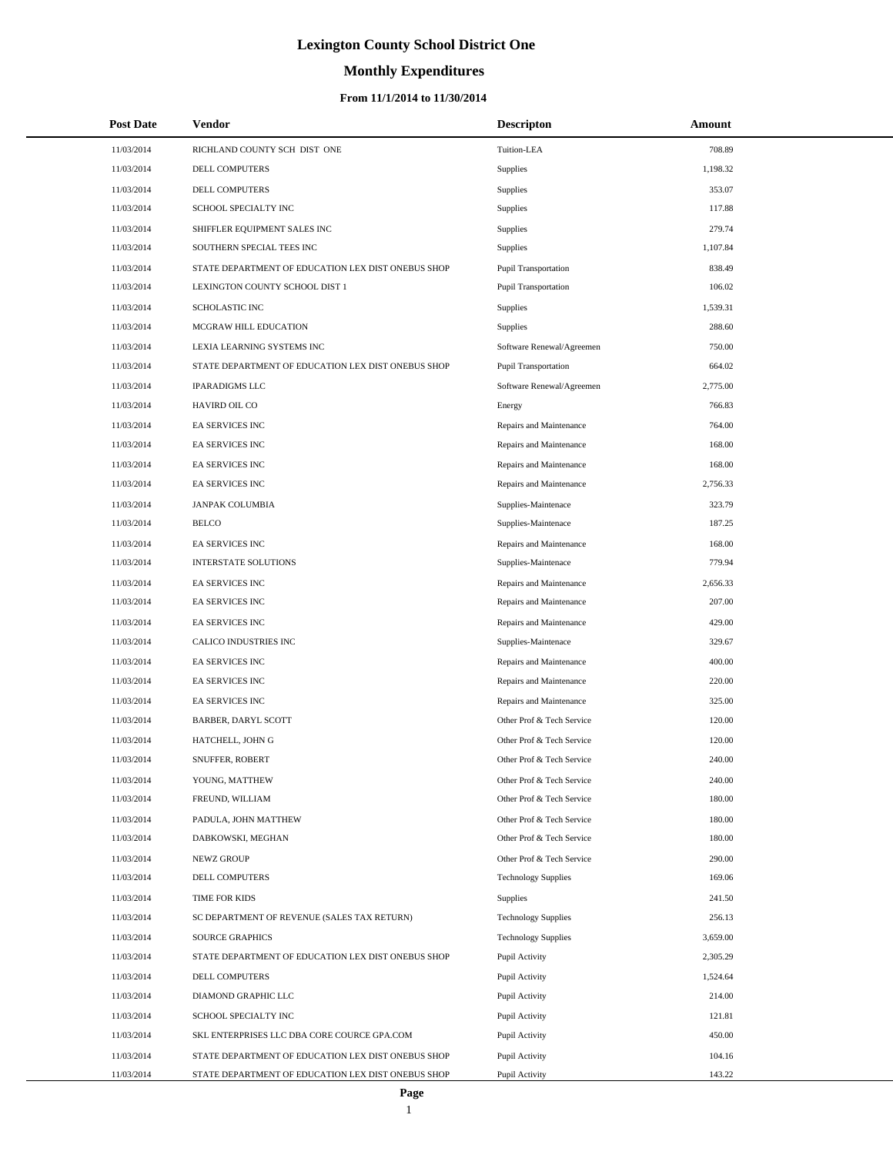# **Monthly Expenditures**

### **From 11/1/2014 to 11/30/2014**

| <b>Post Date</b> | Vendor                                             | <b>Descripton</b>           | Amount   |
|------------------|----------------------------------------------------|-----------------------------|----------|
| 11/03/2014       | RICHLAND COUNTY SCH DIST ONE                       | Tuition-LEA                 | 708.89   |
| 11/03/2014       | DELL COMPUTERS                                     | Supplies                    | 1,198.32 |
| 11/03/2014       | DELL COMPUTERS                                     | Supplies                    | 353.07   |
| 11/03/2014       | SCHOOL SPECIALTY INC                               | Supplies                    | 117.88   |
| 11/03/2014       | SHIFFLER EQUIPMENT SALES INC                       | Supplies                    | 279.74   |
| 11/03/2014       | SOUTHERN SPECIAL TEES INC                          | Supplies                    | 1,107.84 |
| 11/03/2014       | STATE DEPARTMENT OF EDUCATION LEX DIST ONEBUS SHOP | Pupil Transportation        | 838.49   |
| 11/03/2014       | LEXINGTON COUNTY SCHOOL DIST 1                     | Pupil Transportation        | 106.02   |
| 11/03/2014       | <b>SCHOLASTIC INC</b>                              | Supplies                    | 1,539.31 |
| 11/03/2014       | MCGRAW HILL EDUCATION                              | Supplies                    | 288.60   |
| 11/03/2014       | LEXIA LEARNING SYSTEMS INC                         | Software Renewal/Agreemen   | 750.00   |
| 11/03/2014       | STATE DEPARTMENT OF EDUCATION LEX DIST ONEBUS SHOP | <b>Pupil Transportation</b> | 664.02   |
| 11/03/2014       | <b>IPARADIGMS LLC</b>                              | Software Renewal/Agreemen   | 2,775.00 |
| 11/03/2014       | HAVIRD OIL CO                                      | Energy                      | 766.83   |
| 11/03/2014       | EA SERVICES INC                                    | Repairs and Maintenance     | 764.00   |
| 11/03/2014       | EA SERVICES INC                                    | Repairs and Maintenance     | 168.00   |
| 11/03/2014       | EA SERVICES INC                                    | Repairs and Maintenance     | 168.00   |
| 11/03/2014       | EA SERVICES INC                                    | Repairs and Maintenance     | 2,756.33 |
| 11/03/2014       | <b>JANPAK COLUMBIA</b>                             | Supplies-Maintenace         | 323.79   |
| 11/03/2014       | <b>BELCO</b>                                       | Supplies-Maintenace         | 187.25   |
| 11/03/2014       | EA SERVICES INC                                    | Repairs and Maintenance     | 168.00   |
| 11/03/2014       | <b>INTERSTATE SOLUTIONS</b>                        | Supplies-Maintenace         | 779.94   |
| 11/03/2014       | EA SERVICES INC                                    | Repairs and Maintenance     | 2,656.33 |
| 11/03/2014       | EA SERVICES INC                                    | Repairs and Maintenance     | 207.00   |
| 11/03/2014       | EA SERVICES INC                                    | Repairs and Maintenance     | 429.00   |
| 11/03/2014       | CALICO INDUSTRIES INC                              | Supplies-Maintenace         | 329.67   |
| 11/03/2014       | <b>EA SERVICES INC</b>                             | Repairs and Maintenance     | 400.00   |
| 11/03/2014       | EA SERVICES INC                                    | Repairs and Maintenance     | 220.00   |
| 11/03/2014       | EA SERVICES INC                                    | Repairs and Maintenance     | 325.00   |
| 11/03/2014       | BARBER, DARYL SCOTT                                | Other Prof & Tech Service   | 120.00   |
| 11/03/2014       | HATCHELL, JOHN G                                   | Other Prof & Tech Service   | 120.00   |
| 11/03/2014       | SNUFFER, ROBERT                                    | Other Prof & Tech Service   | 240.00   |
| 11/03/2014       | YOUNG, MATTHEW                                     | Other Prof & Tech Service   | 240.00   |
| 11/03/2014       | FREUND, WILLIAM                                    | Other Prof & Tech Service   | 180.00   |
| 11/03/2014       | PADULA, JOHN MATTHEW                               | Other Prof & Tech Service   | 180.00   |
| 11/03/2014       | DABKOWSKI, MEGHAN                                  | Other Prof & Tech Service   | 180.00   |
| 11/03/2014       | NEWZ GROUP                                         | Other Prof & Tech Service   | 290.00   |
| 11/03/2014       | DELL COMPUTERS                                     | <b>Technology Supplies</b>  | 169.06   |
| 11/03/2014       | TIME FOR KIDS                                      | Supplies                    | 241.50   |
| 11/03/2014       | SC DEPARTMENT OF REVENUE (SALES TAX RETURN)        | <b>Technology Supplies</b>  | 256.13   |
| 11/03/2014       | <b>SOURCE GRAPHICS</b>                             | <b>Technology Supplies</b>  | 3,659.00 |
| 11/03/2014       | STATE DEPARTMENT OF EDUCATION LEX DIST ONEBUS SHOP | Pupil Activity              | 2,305.29 |
| 11/03/2014       | DELL COMPUTERS                                     | Pupil Activity              | 1,524.64 |
| 11/03/2014       | DIAMOND GRAPHIC LLC                                | Pupil Activity              | 214.00   |
| 11/03/2014       | SCHOOL SPECIALTY INC                               | Pupil Activity              | 121.81   |
| 11/03/2014       | SKL ENTERPRISES LLC DBA CORE COURCE GPA.COM        | Pupil Activity              | 450.00   |
| 11/03/2014       | STATE DEPARTMENT OF EDUCATION LEX DIST ONEBUS SHOP | Pupil Activity              | 104.16   |
| 11/03/2014       | STATE DEPARTMENT OF EDUCATION LEX DIST ONEBUS SHOP | Pupil Activity              | 143.22   |

L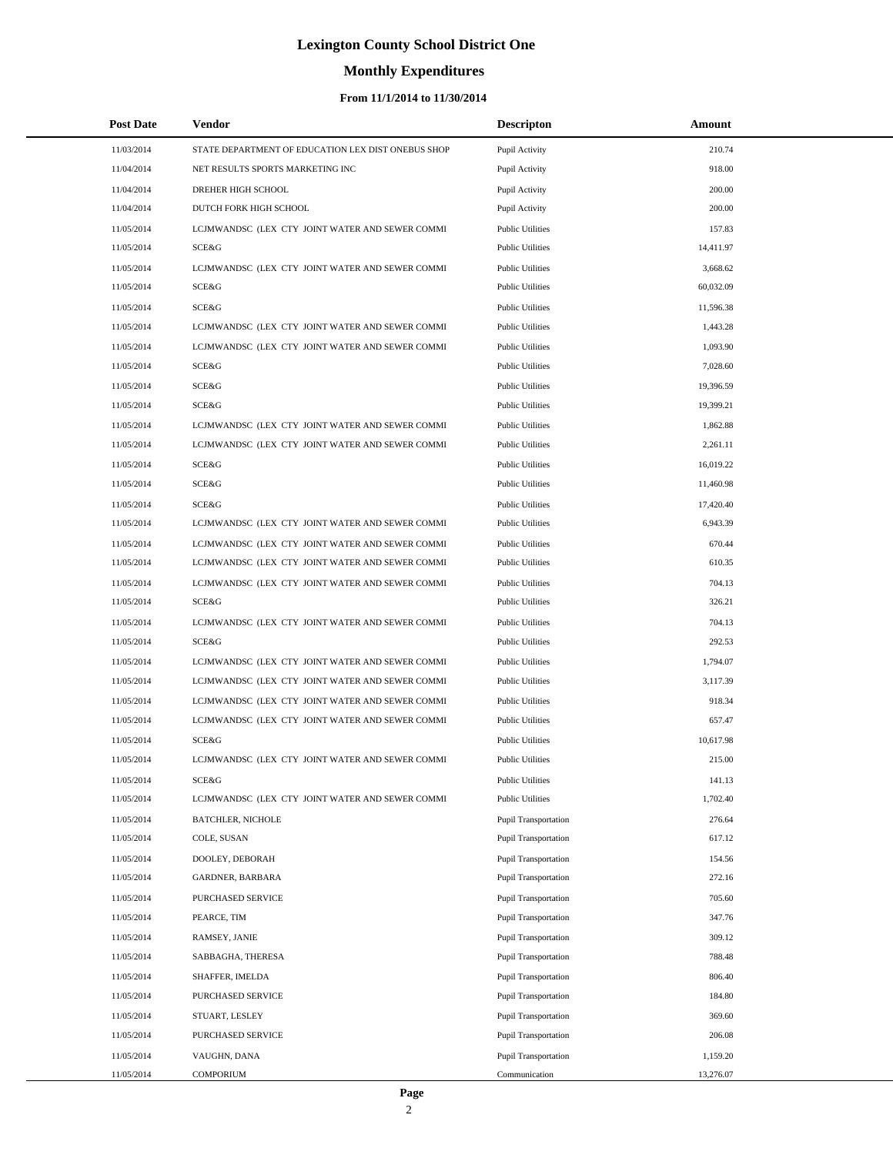# **Monthly Expenditures**

| <b>Post Date</b> | Vendor                                             | <b>Descripton</b>           | Amount    |  |
|------------------|----------------------------------------------------|-----------------------------|-----------|--|
| 11/03/2014       | STATE DEPARTMENT OF EDUCATION LEX DIST ONEBUS SHOP | Pupil Activity              | 210.74    |  |
| 11/04/2014       | NET RESULTS SPORTS MARKETING INC                   | Pupil Activity              | 918.00    |  |
| 11/04/2014       | DREHER HIGH SCHOOL                                 | Pupil Activity              | 200.00    |  |
| 11/04/2014       | DUTCH FORK HIGH SCHOOL                             | Pupil Activity              | 200.00    |  |
| 11/05/2014       | LCJMWANDSC (LEX CTY JOINT WATER AND SEWER COMMI    | <b>Public Utilities</b>     | 157.83    |  |
| 11/05/2014       | SCE&G                                              | <b>Public Utilities</b>     | 14,411.97 |  |
| 11/05/2014       | LCJMWANDSC (LEX CTY JOINT WATER AND SEWER COMMI    | <b>Public Utilities</b>     | 3,668.62  |  |
| 11/05/2014       | SCE&G                                              | <b>Public Utilities</b>     | 60,032.09 |  |
| 11/05/2014       | SCE&G                                              | <b>Public Utilities</b>     | 11,596.38 |  |
| 11/05/2014       | LCJMWANDSC (LEX CTY JOINT WATER AND SEWER COMMI    | <b>Public Utilities</b>     | 1,443.28  |  |
| 11/05/2014       | LCJMWANDSC (LEX CTY JOINT WATER AND SEWER COMMI    | <b>Public Utilities</b>     | 1,093.90  |  |
| 11/05/2014       | SCE&G                                              | <b>Public Utilities</b>     | 7,028.60  |  |
| 11/05/2014       | SCE&G                                              | <b>Public Utilities</b>     | 19,396.59 |  |
| 11/05/2014       | SCE&G                                              | <b>Public Utilities</b>     | 19,399.21 |  |
| 11/05/2014       | LCJMWANDSC (LEX CTY JOINT WATER AND SEWER COMMI    | <b>Public Utilities</b>     | 1,862.88  |  |
| 11/05/2014       | LCJMWANDSC (LEX CTY JOINT WATER AND SEWER COMMI    | <b>Public Utilities</b>     | 2,261.11  |  |
| 11/05/2014       | SCE&G                                              | <b>Public Utilities</b>     | 16,019.22 |  |
| 11/05/2014       | SCE&G                                              | <b>Public Utilities</b>     | 11,460.98 |  |
| 11/05/2014       | SCE&G                                              | <b>Public Utilities</b>     | 17,420.40 |  |
| 11/05/2014       | LCJMWANDSC (LEX CTY JOINT WATER AND SEWER COMMI    | <b>Public Utilities</b>     | 6,943.39  |  |
| 11/05/2014       | LCJMWANDSC (LEX CTY JOINT WATER AND SEWER COMMI    | <b>Public Utilities</b>     | 670.44    |  |
| 11/05/2014       | LCJMWANDSC (LEX CTY JOINT WATER AND SEWER COMMI    | <b>Public Utilities</b>     | 610.35    |  |
| 11/05/2014       | LCJMWANDSC (LEX CTY JOINT WATER AND SEWER COMMI    | <b>Public Utilities</b>     | 704.13    |  |
| 11/05/2014       | SCE&G                                              | <b>Public Utilities</b>     | 326.21    |  |
| 11/05/2014       | LCJMWANDSC (LEX CTY JOINT WATER AND SEWER COMMI    | <b>Public Utilities</b>     | 704.13    |  |
| 11/05/2014       | SCE&G                                              | <b>Public Utilities</b>     | 292.53    |  |
| 11/05/2014       | LCJMWANDSC (LEX CTY JOINT WATER AND SEWER COMMI    | <b>Public Utilities</b>     | 1,794.07  |  |
| 11/05/2014       | LCJMWANDSC (LEX CTY JOINT WATER AND SEWER COMMI    | <b>Public Utilities</b>     | 3,117.39  |  |
| 11/05/2014       | LCJMWANDSC (LEX CTY JOINT WATER AND SEWER COMMI    | <b>Public Utilities</b>     | 918.34    |  |
| 11/05/2014       | LCJMWANDSC (LEX CTY JOINT WATER AND SEWER COMMI    | <b>Public Utilities</b>     | 657.47    |  |
| 11/05/2014       | SCE&G                                              | <b>Public Utilities</b>     | 10,617.98 |  |
| 11/05/2014       | LCJMWANDSC (LEX CTY JOINT WATER AND SEWER COMMI    | <b>Public Utilities</b>     | 215.00    |  |
| 11/05/2014       | SCE&G                                              | <b>Public Utilities</b>     | 141.13    |  |
| 11/05/2014       | LCJMWANDSC (LEX CTY JOINT WATER AND SEWER COMMI    | <b>Public Utilities</b>     | 1,702.40  |  |
| 11/05/2014       | <b>BATCHLER, NICHOLE</b>                           | <b>Pupil Transportation</b> | 276.64    |  |
| 11/05/2014       | COLE, SUSAN                                        | <b>Pupil Transportation</b> | 617.12    |  |
| 11/05/2014       | DOOLEY, DEBORAH                                    | <b>Pupil Transportation</b> | 154.56    |  |
| 11/05/2014       | <b>GARDNER, BARBARA</b>                            | Pupil Transportation        | 272.16    |  |
| 11/05/2014       | <b>PURCHASED SERVICE</b>                           | <b>Pupil Transportation</b> | 705.60    |  |
| 11/05/2014       | PEARCE, TIM                                        | <b>Pupil Transportation</b> | 347.76    |  |
| 11/05/2014       | RAMSEY, JANIE                                      | <b>Pupil Transportation</b> | 309.12    |  |
| 11/05/2014       | SABBAGHA, THERESA                                  | <b>Pupil Transportation</b> | 788.48    |  |
| 11/05/2014       | SHAFFER, IMELDA                                    | Pupil Transportation        | 806.40    |  |
| 11/05/2014       | PURCHASED SERVICE                                  | <b>Pupil Transportation</b> | 184.80    |  |
| 11/05/2014       | STUART, LESLEY                                     | <b>Pupil Transportation</b> | 369.60    |  |
| 11/05/2014       | PURCHASED SERVICE                                  | Pupil Transportation        | 206.08    |  |
| 11/05/2014       | VAUGHN, DANA                                       | <b>Pupil Transportation</b> | 1,159.20  |  |
| 11/05/2014       | <b>COMPORIUM</b>                                   | Communication               | 13,276.07 |  |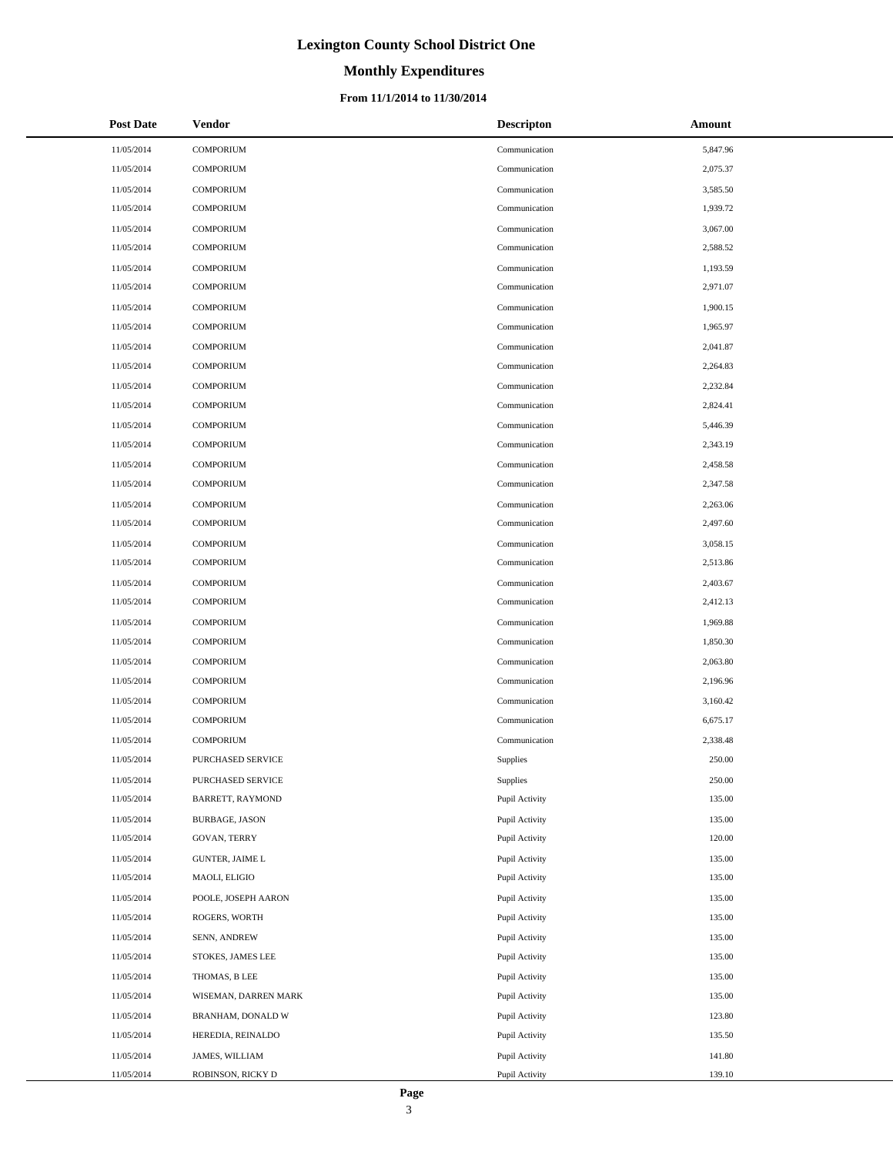# **Monthly Expenditures**

| <b>Post Date</b> | <b>Vendor</b>           | <b>Descripton</b> | Amount   |
|------------------|-------------------------|-------------------|----------|
| 11/05/2014       | <b>COMPORIUM</b>        | Communication     | 5,847.96 |
| 11/05/2014       | <b>COMPORIUM</b>        | Communication     | 2,075.37 |
| 11/05/2014       | <b>COMPORIUM</b>        | Communication     | 3,585.50 |
| 11/05/2014       | <b>COMPORIUM</b>        | Communication     | 1,939.72 |
| 11/05/2014       | <b>COMPORIUM</b>        | Communication     | 3,067.00 |
| 11/05/2014       | <b>COMPORIUM</b>        | Communication     | 2,588.52 |
| 11/05/2014       | <b>COMPORIUM</b>        | Communication     | 1,193.59 |
| 11/05/2014       | <b>COMPORIUM</b>        | Communication     | 2,971.07 |
| 11/05/2014       | <b>COMPORIUM</b>        | Communication     | 1,900.15 |
| 11/05/2014       | <b>COMPORIUM</b>        | Communication     | 1,965.97 |
| 11/05/2014       | <b>COMPORIUM</b>        | Communication     | 2,041.87 |
| 11/05/2014       | <b>COMPORIUM</b>        | Communication     | 2,264.83 |
| 11/05/2014       | <b>COMPORIUM</b>        | Communication     | 2,232.84 |
| 11/05/2014       | <b>COMPORIUM</b>        | Communication     | 2,824.41 |
| 11/05/2014       | <b>COMPORIUM</b>        | Communication     | 5,446.39 |
| 11/05/2014       | <b>COMPORIUM</b>        | Communication     | 2,343.19 |
| 11/05/2014       | <b>COMPORIUM</b>        | Communication     | 2,458.58 |
| 11/05/2014       | <b>COMPORIUM</b>        | Communication     | 2,347.58 |
| 11/05/2014       | <b>COMPORIUM</b>        | Communication     | 2,263.06 |
| 11/05/2014       | <b>COMPORIUM</b>        | Communication     | 2,497.60 |
| 11/05/2014       | <b>COMPORIUM</b>        | Communication     | 3,058.15 |
| 11/05/2014       | <b>COMPORIUM</b>        | Communication     | 2,513.86 |
| 11/05/2014       | <b>COMPORIUM</b>        | Communication     | 2,403.67 |
| 11/05/2014       | <b>COMPORIUM</b>        | Communication     | 2,412.13 |
| 11/05/2014       | <b>COMPORIUM</b>        | Communication     | 1,969.88 |
| 11/05/2014       | <b>COMPORIUM</b>        | Communication     | 1,850.30 |
| 11/05/2014       | <b>COMPORIUM</b>        | Communication     | 2,063.80 |
| 11/05/2014       | <b>COMPORIUM</b>        | Communication     | 2,196.96 |
| 11/05/2014       | <b>COMPORIUM</b>        | Communication     | 3,160.42 |
| 11/05/2014       | <b>COMPORIUM</b>        | Communication     | 6,675.17 |
| 11/05/2014       | <b>COMPORIUM</b>        | Communication     | 2,338.48 |
| 11/05/2014       | PURCHASED SERVICE       | Supplies          | 250.00   |
| 11/05/2014       | PURCHASED SERVICE       | Supplies          | 250.00   |
| 11/05/2014       | <b>BARRETT, RAYMOND</b> | Pupil Activity    | 135.00   |
| 11/05/2014       | <b>BURBAGE, JASON</b>   | Pupil Activity    | 135.00   |
| 11/05/2014       | GOVAN, TERRY            | Pupil Activity    | 120.00   |
| 11/05/2014       | <b>GUNTER, JAIME L</b>  | Pupil Activity    | 135.00   |
| 11/05/2014       | MAOLI, ELIGIO           | Pupil Activity    | 135.00   |
| 11/05/2014       | POOLE, JOSEPH AARON     | Pupil Activity    | 135.00   |
| 11/05/2014       | ROGERS, WORTH           | Pupil Activity    | 135.00   |
| 11/05/2014       | SENN, ANDREW            | Pupil Activity    | 135.00   |
| 11/05/2014       | STOKES, JAMES LEE       | Pupil Activity    | 135.00   |
| 11/05/2014       | THOMAS, B LEE           | Pupil Activity    | 135.00   |
| 11/05/2014       | WISEMAN, DARREN MARK    | Pupil Activity    | 135.00   |
| 11/05/2014       | BRANHAM, DONALD W       | Pupil Activity    | 123.80   |
| 11/05/2014       | HEREDIA, REINALDO       | Pupil Activity    | 135.50   |
| 11/05/2014       | JAMES, WILLIAM          | Pupil Activity    | 141.80   |
| 11/05/2014       | ROBINSON, RICKY D       | Pupil Activity    | 139.10   |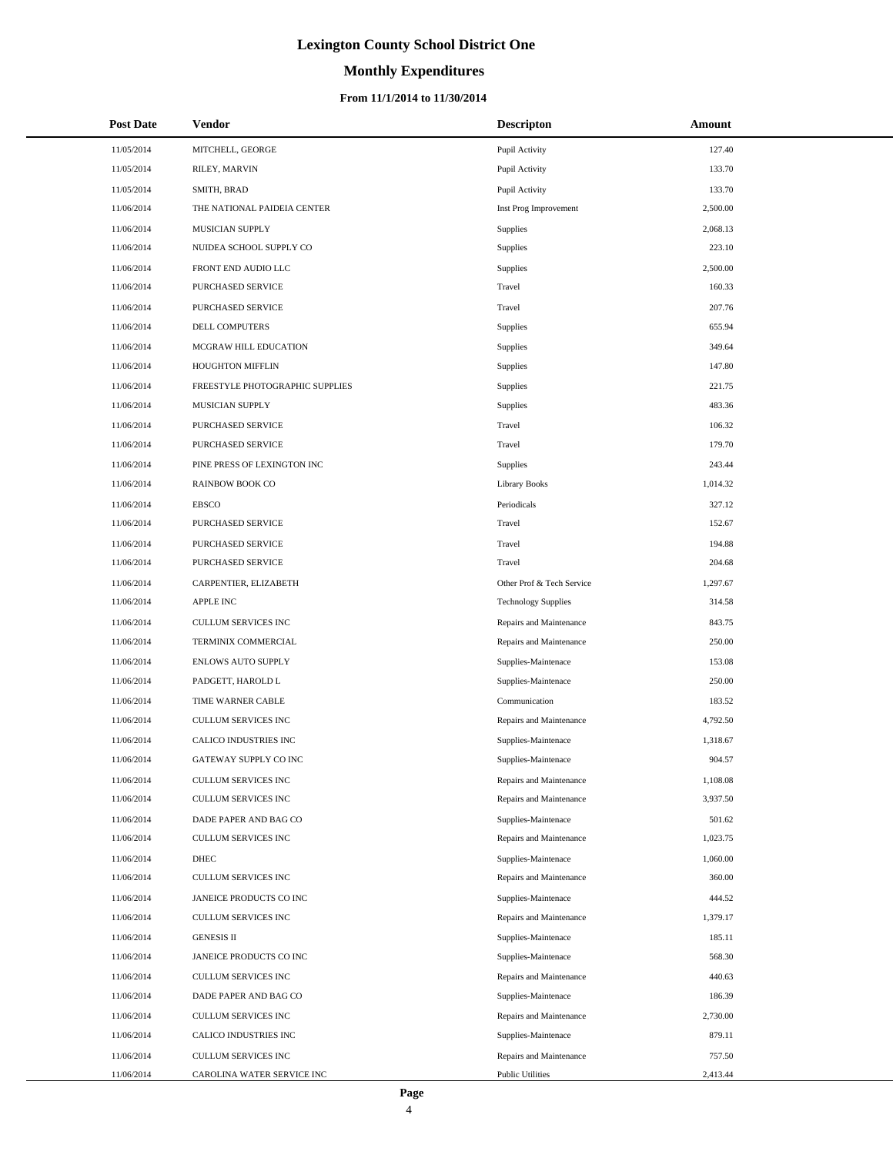# **Monthly Expenditures**

### **From 11/1/2014 to 11/30/2014**

| <b>Post Date</b> | Vendor                          | <b>Descripton</b>          | Amount   |
|------------------|---------------------------------|----------------------------|----------|
| 11/05/2014       | MITCHELL, GEORGE                | Pupil Activity             | 127.40   |
| 11/05/2014       | RILEY, MARVIN                   | Pupil Activity             | 133.70   |
| 11/05/2014       | SMITH, BRAD                     | Pupil Activity             | 133.70   |
| 11/06/2014       | THE NATIONAL PAIDEIA CENTER     | Inst Prog Improvement      | 2,500.00 |
| 11/06/2014       | MUSICIAN SUPPLY                 | Supplies                   | 2,068.13 |
| 11/06/2014       | NUIDEA SCHOOL SUPPLY CO         | Supplies                   | 223.10   |
| 11/06/2014       | FRONT END AUDIO LLC             | Supplies                   | 2,500.00 |
| 11/06/2014       | PURCHASED SERVICE               | Travel                     | 160.33   |
| 11/06/2014       | PURCHASED SERVICE               | Travel                     | 207.76   |
| 11/06/2014       | DELL COMPUTERS                  | Supplies                   | 655.94   |
| 11/06/2014       | MCGRAW HILL EDUCATION           | Supplies                   | 349.64   |
| 11/06/2014       | HOUGHTON MIFFLIN                | Supplies                   | 147.80   |
| 11/06/2014       | FREESTYLE PHOTOGRAPHIC SUPPLIES | Supplies                   | 221.75   |
| 11/06/2014       | MUSICIAN SUPPLY                 | Supplies                   | 483.36   |
| 11/06/2014       | PURCHASED SERVICE               | Travel                     | 106.32   |
| 11/06/2014       | <b>PURCHASED SERVICE</b>        | Travel                     | 179.70   |
| 11/06/2014       | PINE PRESS OF LEXINGTON INC     | Supplies                   | 243.44   |
| 11/06/2014       | <b>RAINBOW BOOK CO</b>          | <b>Library Books</b>       | 1,014.32 |
| 11/06/2014       | <b>EBSCO</b>                    | Periodicals                | 327.12   |
| 11/06/2014       | PURCHASED SERVICE               | Travel                     | 152.67   |
| 11/06/2014       | PURCHASED SERVICE               | Travel                     | 194.88   |
| 11/06/2014       | PURCHASED SERVICE               | Travel                     | 204.68   |
| 11/06/2014       | CARPENTIER, ELIZABETH           | Other Prof & Tech Service  | 1,297.67 |
| 11/06/2014       | <b>APPLE INC</b>                | <b>Technology Supplies</b> | 314.58   |
| 11/06/2014       | <b>CULLUM SERVICES INC</b>      | Repairs and Maintenance    | 843.75   |
| 11/06/2014       | TERMINIX COMMERCIAL             | Repairs and Maintenance    | 250.00   |
| 11/06/2014       | ENLOWS AUTO SUPPLY              | Supplies-Maintenace        | 153.08   |
| 11/06/2014       | PADGETT, HAROLD L               | Supplies-Maintenace        | 250.00   |
| 11/06/2014       | TIME WARNER CABLE               | Communication              | 183.52   |
| 11/06/2014       | CULLUM SERVICES INC             | Repairs and Maintenance    | 4,792.50 |
| 11/06/2014       | CALICO INDUSTRIES INC           | Supplies-Maintenace        | 1,318.67 |
| 11/06/2014       | GATEWAY SUPPLY CO INC           | Supplies-Maintenace        | 904.57   |
| 11/06/2014       | CULLUM SERVICES INC             | Repairs and Maintenance    | 1,108.08 |
| 11/06/2014       | CULLUM SERVICES INC             | Repairs and Maintenance    | 3,937.50 |
| 11/06/2014       | DADE PAPER AND BAG CO           | Supplies-Maintenace        | 501.62   |
| 11/06/2014       | CULLUM SERVICES INC             | Repairs and Maintenance    | 1,023.75 |
| 11/06/2014       | DHEC                            | Supplies-Maintenace        | 1,060.00 |
| 11/06/2014       | CULLUM SERVICES INC             | Repairs and Maintenance    | 360.00   |
| 11/06/2014       | JANEICE PRODUCTS CO INC         | Supplies-Maintenace        | 444.52   |
| 11/06/2014       | CULLUM SERVICES INC             | Repairs and Maintenance    | 1,379.17 |
| 11/06/2014       | <b>GENESIS II</b>               | Supplies-Maintenace        | 185.11   |
| 11/06/2014       | JANEICE PRODUCTS CO INC         | Supplies-Maintenace        | 568.30   |
| 11/06/2014       | CULLUM SERVICES INC             | Repairs and Maintenance    | 440.63   |
| 11/06/2014       | DADE PAPER AND BAG CO           | Supplies-Maintenace        | 186.39   |
| 11/06/2014       | CULLUM SERVICES INC             | Repairs and Maintenance    | 2,730.00 |
| 11/06/2014       | CALICO INDUSTRIES INC           | Supplies-Maintenace        | 879.11   |
| 11/06/2014       | CULLUM SERVICES INC             | Repairs and Maintenance    | 757.50   |
| 11/06/2014       | CAROLINA WATER SERVICE INC      | <b>Public Utilities</b>    | 2,413.44 |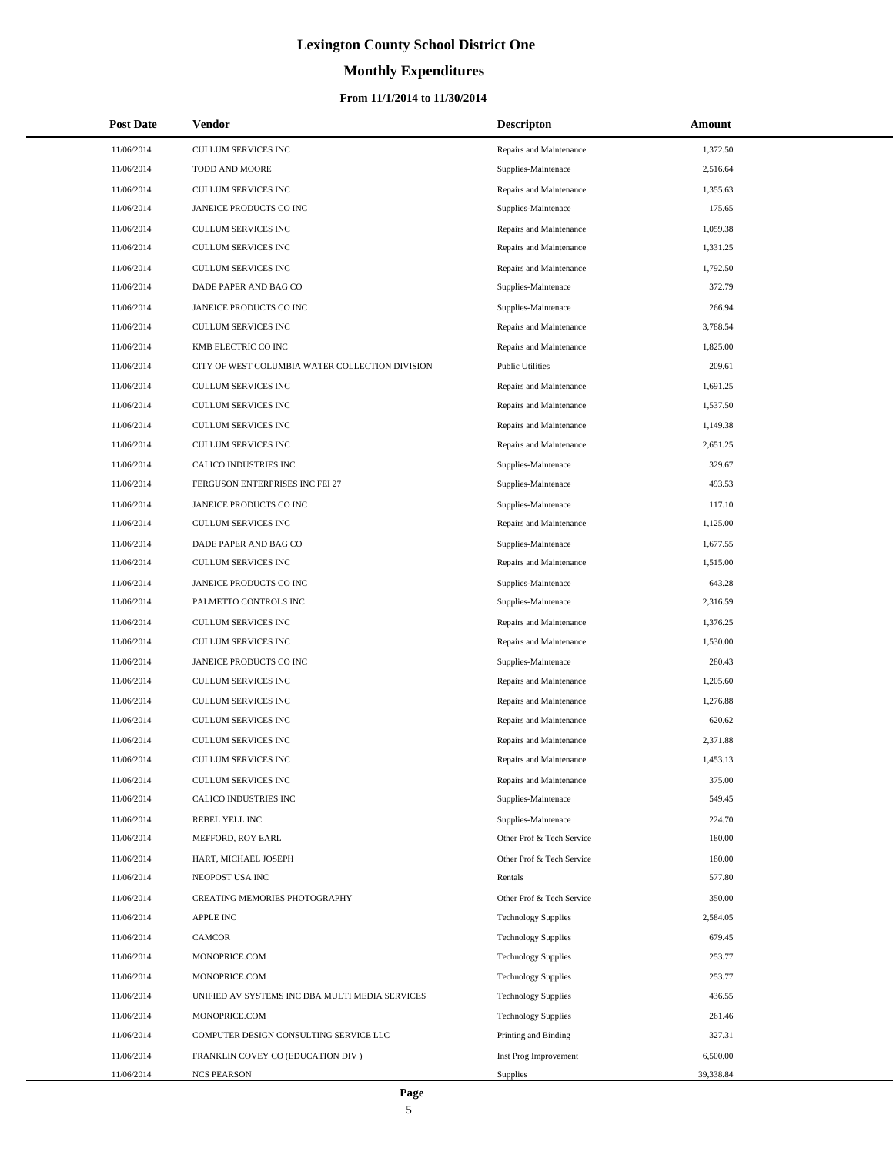# **Monthly Expenditures**

### **From 11/1/2014 to 11/30/2014**

| <b>Post Date</b> | Vendor                                          | <b>Descripton</b>          | Amount    |
|------------------|-------------------------------------------------|----------------------------|-----------|
| 11/06/2014       | CULLUM SERVICES INC                             | Repairs and Maintenance    | 1,372.50  |
| 11/06/2014       | TODD AND MOORE                                  | Supplies-Maintenace        | 2,516.64  |
| 11/06/2014       | <b>CULLUM SERVICES INC</b>                      | Repairs and Maintenance    | 1,355.63  |
| 11/06/2014       | JANEICE PRODUCTS CO INC                         | Supplies-Maintenace        | 175.65    |
| 11/06/2014       | CULLUM SERVICES INC                             | Repairs and Maintenance    | 1,059.38  |
| 11/06/2014       | CULLUM SERVICES INC                             | Repairs and Maintenance    | 1,331.25  |
| 11/06/2014       | <b>CULLUM SERVICES INC</b>                      | Repairs and Maintenance    | 1,792.50  |
| 11/06/2014       | DADE PAPER AND BAG CO                           | Supplies-Maintenace        | 372.79    |
| 11/06/2014       | JANEICE PRODUCTS CO INC                         | Supplies-Maintenace        | 266.94    |
| 11/06/2014       | CULLUM SERVICES INC                             | Repairs and Maintenance    | 3,788.54  |
| 11/06/2014       | KMB ELECTRIC CO INC                             | Repairs and Maintenance    | 1,825.00  |
| 11/06/2014       | CITY OF WEST COLUMBIA WATER COLLECTION DIVISION | <b>Public Utilities</b>    | 209.61    |
| 11/06/2014       | CULLUM SERVICES INC                             | Repairs and Maintenance    | 1,691.25  |
| 11/06/2014       | <b>CULLUM SERVICES INC</b>                      | Repairs and Maintenance    | 1,537.50  |
| 11/06/2014       | CULLUM SERVICES INC                             | Repairs and Maintenance    | 1,149.38  |
| 11/06/2014       | <b>CULLUM SERVICES INC</b>                      | Repairs and Maintenance    | 2,651.25  |
| 11/06/2014       | CALICO INDUSTRIES INC                           | Supplies-Maintenace        | 329.67    |
| 11/06/2014       | FERGUSON ENTERPRISES INC FEI 27                 | Supplies-Maintenace        | 493.53    |
| 11/06/2014       | JANEICE PRODUCTS CO INC                         | Supplies-Maintenace        | 117.10    |
| 11/06/2014       | CULLUM SERVICES INC                             | Repairs and Maintenance    | 1,125.00  |
| 11/06/2014       | DADE PAPER AND BAG CO                           | Supplies-Maintenace        | 1,677.55  |
| 11/06/2014       | CULLUM SERVICES INC                             | Repairs and Maintenance    | 1,515.00  |
| 11/06/2014       | JANEICE PRODUCTS CO INC                         | Supplies-Maintenace        | 643.28    |
| 11/06/2014       | PALMETTO CONTROLS INC                           | Supplies-Maintenace        | 2,316.59  |
| 11/06/2014       | CULLUM SERVICES INC                             | Repairs and Maintenance    | 1,376.25  |
| 11/06/2014       | <b>CULLUM SERVICES INC</b>                      | Repairs and Maintenance    | 1,530.00  |
| 11/06/2014       | JANEICE PRODUCTS CO INC                         | Supplies-Maintenace        | 280.43    |
| 11/06/2014       | CULLUM SERVICES INC                             | Repairs and Maintenance    | 1,205.60  |
| 11/06/2014       | <b>CULLUM SERVICES INC</b>                      | Repairs and Maintenance    | 1,276.88  |
| 11/06/2014       | <b>CULLUM SERVICES INC</b>                      | Repairs and Maintenance    | 620.62    |
| 11/06/2014       | <b>CULLUM SERVICES INC</b>                      | Repairs and Maintenance    | 2,371.88  |
| 11/06/2014       | <b>CULLUM SERVICES INC</b>                      | Repairs and Maintenance    | 1,453.13  |
| 11/06/2014       | CULLUM SERVICES INC                             | Repairs and Maintenance    | 375.00    |
| 11/06/2014       | CALICO INDUSTRIES INC                           | Supplies-Maintenace        | 549.45    |
| 11/06/2014       | REBEL YELL INC                                  | Supplies-Maintenace        | 224.70    |
| 11/06/2014       | MEFFORD, ROY EARL                               | Other Prof & Tech Service  | 180.00    |
| 11/06/2014       | HART, MICHAEL JOSEPH                            | Other Prof & Tech Service  | 180.00    |
| 11/06/2014       | NEOPOST USA INC                                 | Rentals                    | 577.80    |
| 11/06/2014       | CREATING MEMORIES PHOTOGRAPHY                   | Other Prof & Tech Service  | 350.00    |
| 11/06/2014       | <b>APPLE INC</b>                                | <b>Technology Supplies</b> | 2,584.05  |
| 11/06/2014       | <b>CAMCOR</b>                                   | <b>Technology Supplies</b> | 679.45    |
| 11/06/2014       | MONOPRICE.COM                                   | <b>Technology Supplies</b> | 253.77    |
| 11/06/2014       | MONOPRICE.COM                                   | <b>Technology Supplies</b> | 253.77    |
| 11/06/2014       | UNIFIED AV SYSTEMS INC DBA MULTI MEDIA SERVICES | <b>Technology Supplies</b> | 436.55    |
| 11/06/2014       | MONOPRICE.COM                                   | <b>Technology Supplies</b> | 261.46    |
| 11/06/2014       | COMPUTER DESIGN CONSULTING SERVICE LLC          | Printing and Binding       | 327.31    |
| 11/06/2014       | FRANKLIN COVEY CO (EDUCATION DIV)               | Inst Prog Improvement      | 6,500.00  |
| 11/06/2014       | <b>NCS PEARSON</b>                              | <b>Supplies</b>            | 39,338.84 |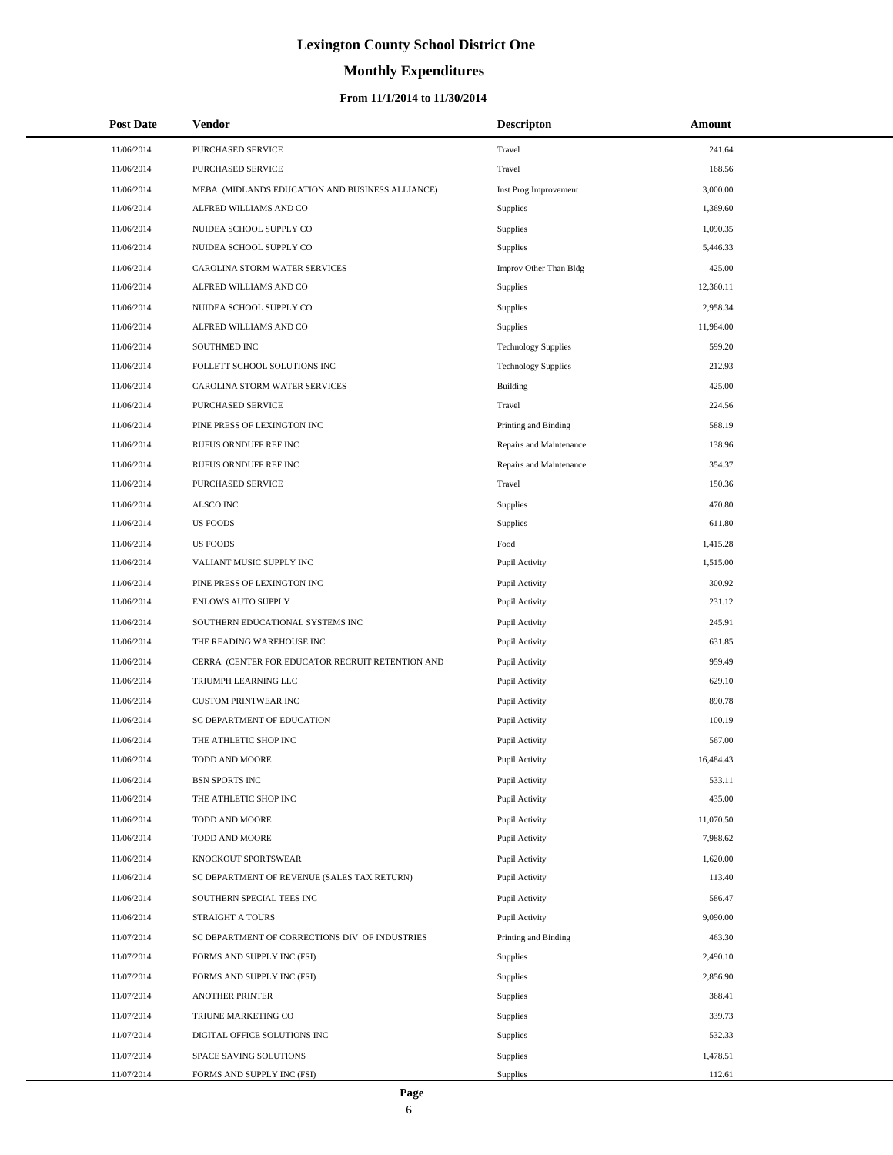# **Monthly Expenditures**

| <b>Post Date</b> | <b>Vendor</b>                                    | <b>Descripton</b>          | <b>Amount</b> |
|------------------|--------------------------------------------------|----------------------------|---------------|
| 11/06/2014       | PURCHASED SERVICE                                | Travel                     | 241.64        |
| 11/06/2014       | PURCHASED SERVICE                                | Travel                     | 168.56        |
| 11/06/2014       | MEBA (MIDLANDS EDUCATION AND BUSINESS ALLIANCE)  | Inst Prog Improvement      | 3,000.00      |
| 11/06/2014       | ALFRED WILLIAMS AND CO                           | Supplies                   | 1,369.60      |
| 11/06/2014       | NUIDEA SCHOOL SUPPLY CO                          | <b>Supplies</b>            | 1,090.35      |
| 11/06/2014       | NUIDEA SCHOOL SUPPLY CO                          | Supplies                   | 5,446.33      |
| 11/06/2014       | CAROLINA STORM WATER SERVICES                    | Improv Other Than Bldg     | 425.00        |
| 11/06/2014       | ALFRED WILLIAMS AND CO                           | Supplies                   | 12,360.11     |
| 11/06/2014       | NUIDEA SCHOOL SUPPLY CO                          | <b>Supplies</b>            | 2,958.34      |
| 11/06/2014       | ALFRED WILLIAMS AND CO                           | Supplies                   | 11,984.00     |
| 11/06/2014       | SOUTHMED INC                                     | <b>Technology Supplies</b> | 599.20        |
| 11/06/2014       | FOLLETT SCHOOL SOLUTIONS INC                     | <b>Technology Supplies</b> | 212.93        |
| 11/06/2014       | CAROLINA STORM WATER SERVICES                    | Building                   | 425.00        |
| 11/06/2014       | PURCHASED SERVICE                                | Travel                     | 224.56        |
| 11/06/2014       | PINE PRESS OF LEXINGTON INC                      | Printing and Binding       | 588.19        |
| 11/06/2014       | RUFUS ORNDUFF REF INC                            | Repairs and Maintenance    | 138.96        |
| 11/06/2014       | RUFUS ORNDUFF REF INC                            | Repairs and Maintenance    | 354.37        |
| 11/06/2014       | PURCHASED SERVICE                                | Travel                     | 150.36        |
| 11/06/2014       | ALSCO INC                                        | Supplies                   | 470.80        |
| 11/06/2014       | <b>US FOODS</b>                                  | Supplies                   | 611.80        |
| 11/06/2014       | <b>US FOODS</b>                                  | Food                       | 1,415.28      |
| 11/06/2014       | VALIANT MUSIC SUPPLY INC                         | Pupil Activity             | 1,515.00      |
| 11/06/2014       | PINE PRESS OF LEXINGTON INC                      | Pupil Activity             | 300.92        |
| 11/06/2014       | ENLOWS AUTO SUPPLY                               | Pupil Activity             | 231.12        |
| 11/06/2014       | SOUTHERN EDUCATIONAL SYSTEMS INC                 | Pupil Activity             | 245.91        |
| 11/06/2014       | THE READING WAREHOUSE INC                        | Pupil Activity             | 631.85        |
| 11/06/2014       | CERRA (CENTER FOR EDUCATOR RECRUIT RETENTION AND | Pupil Activity             | 959.49        |
| 11/06/2014       | TRIUMPH LEARNING LLC                             | Pupil Activity             | 629.10        |
| 11/06/2014       | <b>CUSTOM PRINTWEAR INC</b>                      | Pupil Activity             | 890.78        |
| 11/06/2014       | SC DEPARTMENT OF EDUCATION                       | Pupil Activity             | 100.19        |
| 11/06/2014       | THE ATHLETIC SHOP INC                            | Pupil Activity             | 567.00        |
| 11/06/2014       | TODD AND MOORE                                   | Pupil Activity             | 16,484.43     |
| 11/06/2014       | <b>BSN SPORTS INC</b>                            | Pupil Activity             | 533.11        |
| 11/06/2014       | THE ATHLETIC SHOP INC                            | Pupil Activity             | 435.00        |
| 11/06/2014       | TODD AND MOORE                                   | Pupil Activity             | 11,070.50     |
| 11/06/2014       | TODD AND MOORE                                   | Pupil Activity             | 7,988.62      |
| 11/06/2014       | KNOCKOUT SPORTSWEAR                              | Pupil Activity             | 1,620.00      |
| 11/06/2014       | SC DEPARTMENT OF REVENUE (SALES TAX RETURN)      | Pupil Activity             | 113.40        |
| 11/06/2014       | SOUTHERN SPECIAL TEES INC                        | Pupil Activity             | 586.47        |
| 11/06/2014       | STRAIGHT A TOURS                                 | Pupil Activity             | 9,090.00      |
| 11/07/2014       | SC DEPARTMENT OF CORRECTIONS DIV OF INDUSTRIES   | Printing and Binding       | 463.30        |
| 11/07/2014       | FORMS AND SUPPLY INC (FSI)                       | Supplies                   | 2,490.10      |
| 11/07/2014       | FORMS AND SUPPLY INC (FSI)                       | <b>Supplies</b>            | 2,856.90      |
| 11/07/2014       | <b>ANOTHER PRINTER</b>                           | Supplies                   | 368.41        |
| 11/07/2014       | TRIUNE MARKETING CO                              | <b>Supplies</b>            | 339.73        |
| 11/07/2014       | DIGITAL OFFICE SOLUTIONS INC                     | <b>Supplies</b>            | 532.33        |
| 11/07/2014       | SPACE SAVING SOLUTIONS                           | Supplies                   | 1,478.51      |
| 11/07/2014       | FORMS AND SUPPLY INC (FSI)                       | <b>Supplies</b>            | 112.61        |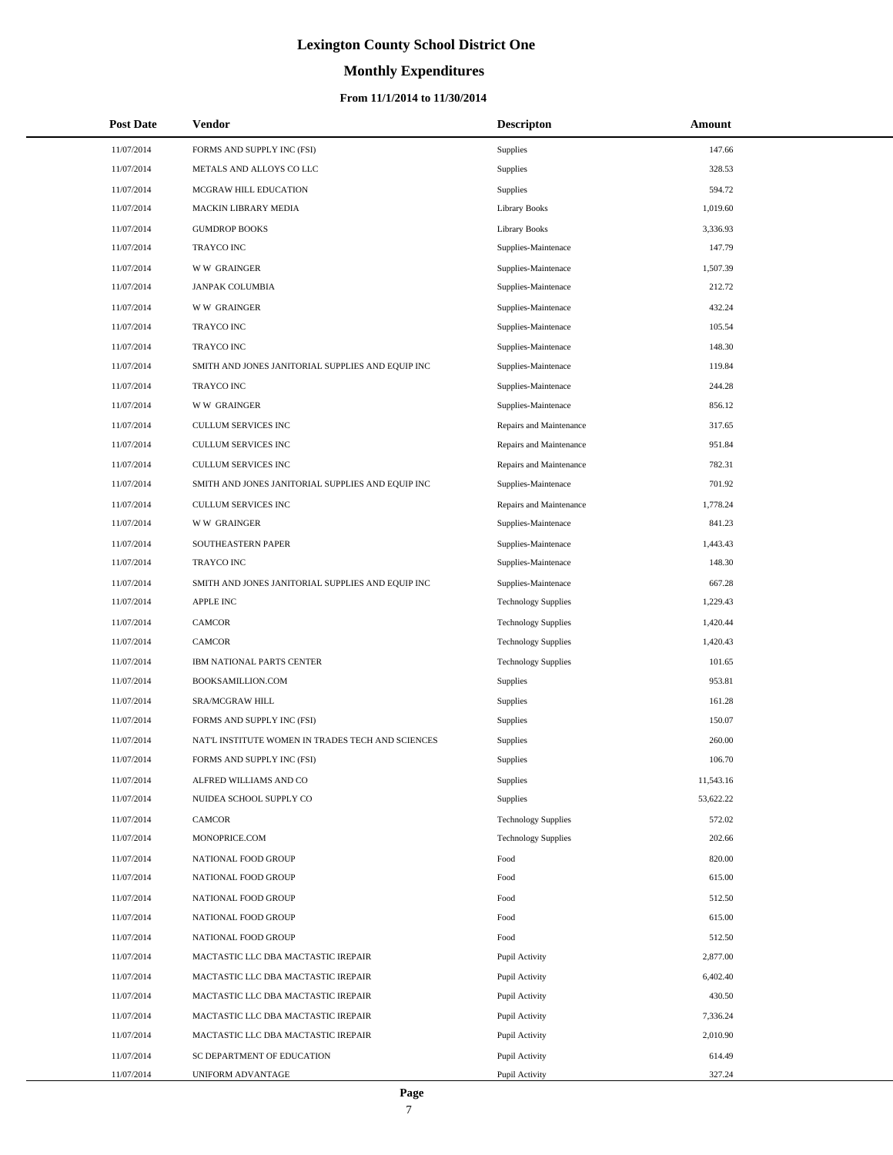### **Monthly Expenditures**

| <b>Post Date</b> | Vendor                                            | <b>Descripton</b>          | Amount    |
|------------------|---------------------------------------------------|----------------------------|-----------|
| 11/07/2014       | FORMS AND SUPPLY INC (FSI)                        | Supplies                   | 147.66    |
| 11/07/2014       | METALS AND ALLOYS CO LLC                          | Supplies                   | 328.53    |
| 11/07/2014       | MCGRAW HILL EDUCATION                             | Supplies                   | 594.72    |
| 11/07/2014       | MACKIN LIBRARY MEDIA                              | <b>Library Books</b>       | 1,019.60  |
| 11/07/2014       | <b>GUMDROP BOOKS</b>                              | <b>Library Books</b>       | 3,336.93  |
| 11/07/2014       | <b>TRAYCO INC</b>                                 | Supplies-Maintenace        | 147.79    |
| 11/07/2014       | <b>WW GRAINGER</b>                                | Supplies-Maintenace        | 1,507.39  |
| 11/07/2014       | <b>JANPAK COLUMBIA</b>                            | Supplies-Maintenace        | 212.72    |
| 11/07/2014       | <b>WW GRAINGER</b>                                | Supplies-Maintenace        | 432.24    |
| 11/07/2014       | <b>TRAYCO INC</b>                                 | Supplies-Maintenace        | 105.54    |
| 11/07/2014       | <b>TRAYCO INC</b>                                 | Supplies-Maintenace        | 148.30    |
| 11/07/2014       | SMITH AND JONES JANITORIAL SUPPLIES AND EQUIP INC | Supplies-Maintenace        | 119.84    |
| 11/07/2014       | <b>TRAYCO INC</b>                                 | Supplies-Maintenace        | 244.28    |
| 11/07/2014       | <b>WW GRAINGER</b>                                | Supplies-Maintenace        | 856.12    |
| 11/07/2014       | <b>CULLUM SERVICES INC</b>                        | Repairs and Maintenance    | 317.65    |
| 11/07/2014       | CULLUM SERVICES INC                               | Repairs and Maintenance    | 951.84    |
| 11/07/2014       | CULLUM SERVICES INC                               | Repairs and Maintenance    | 782.31    |
| 11/07/2014       | SMITH AND JONES JANITORIAL SUPPLIES AND EQUIP INC | Supplies-Maintenace        | 701.92    |
| 11/07/2014       | <b>CULLUM SERVICES INC</b>                        | Repairs and Maintenance    | 1,778.24  |
| 11/07/2014       | <b>WW GRAINGER</b>                                | Supplies-Maintenace        | 841.23    |
| 11/07/2014       | SOUTHEASTERN PAPER                                | Supplies-Maintenace        | 1,443.43  |
| 11/07/2014       | <b>TRAYCO INC</b>                                 | Supplies-Maintenace        | 148.30    |
| 11/07/2014       | SMITH AND JONES JANITORIAL SUPPLIES AND EQUIP INC | Supplies-Maintenace        | 667.28    |
| 11/07/2014       | <b>APPLE INC</b>                                  | <b>Technology Supplies</b> | 1,229.43  |
| 11/07/2014       | <b>CAMCOR</b>                                     | <b>Technology Supplies</b> | 1,420.44  |
| 11/07/2014       | <b>CAMCOR</b>                                     | <b>Technology Supplies</b> | 1,420.43  |
| 11/07/2014       | IBM NATIONAL PARTS CENTER                         | <b>Technology Supplies</b> | 101.65    |
| 11/07/2014       | BOOKSAMILLION.COM                                 | Supplies                   | 953.81    |
| 11/07/2014       | SRA/MCGRAW HILL                                   | Supplies                   | 161.28    |
| 11/07/2014       | FORMS AND SUPPLY INC (FSI)                        | Supplies                   | 150.07    |
| 11/07/2014       | NAT'L INSTITUTE WOMEN IN TRADES TECH AND SCIENCES | Supplies                   | 260.00    |
| 11/07/2014       | FORMS AND SUPPLY INC (FSI)                        | Supplies                   | 106.70    |
| 11/07/2014       | ALFRED WILLIAMS AND CO                            | <b>Supplies</b>            | 11,543.16 |
| 11/07/2014       | NUIDEA SCHOOL SUPPLY CO                           | <b>Supplies</b>            | 53,622.22 |
| 11/07/2014       | <b>CAMCOR</b>                                     | <b>Technology Supplies</b> | 572.02    |
| 11/07/2014       | MONOPRICE.COM                                     | <b>Technology Supplies</b> | 202.66    |
| 11/07/2014       | NATIONAL FOOD GROUP                               | Food                       | 820.00    |
| 11/07/2014       | NATIONAL FOOD GROUP                               | Food                       | 615.00    |
| 11/07/2014       | NATIONAL FOOD GROUP                               | Food                       | 512.50    |
| 11/07/2014       | NATIONAL FOOD GROUP                               | Food                       | 615.00    |
| 11/07/2014       | NATIONAL FOOD GROUP                               | Food                       | 512.50    |
| 11/07/2014       | MACTASTIC LLC DBA MACTASTIC IREPAIR               | Pupil Activity             | 2,877.00  |
| 11/07/2014       | MACTASTIC LLC DBA MACTASTIC IREPAIR               | Pupil Activity             | 6,402.40  |
| 11/07/2014       | MACTASTIC LLC DBA MACTASTIC IREPAIR               | Pupil Activity             | 430.50    |
| 11/07/2014       | MACTASTIC LLC DBA MACTASTIC IREPAIR               | Pupil Activity             | 7,336.24  |
| 11/07/2014       | MACTASTIC LLC DBA MACTASTIC IREPAIR               | Pupil Activity             | 2,010.90  |
| 11/07/2014       | SC DEPARTMENT OF EDUCATION                        | Pupil Activity             | 614.49    |
| 11/07/2014       | UNIFORM ADVANTAGE                                 | Pupil Activity             | 327.24    |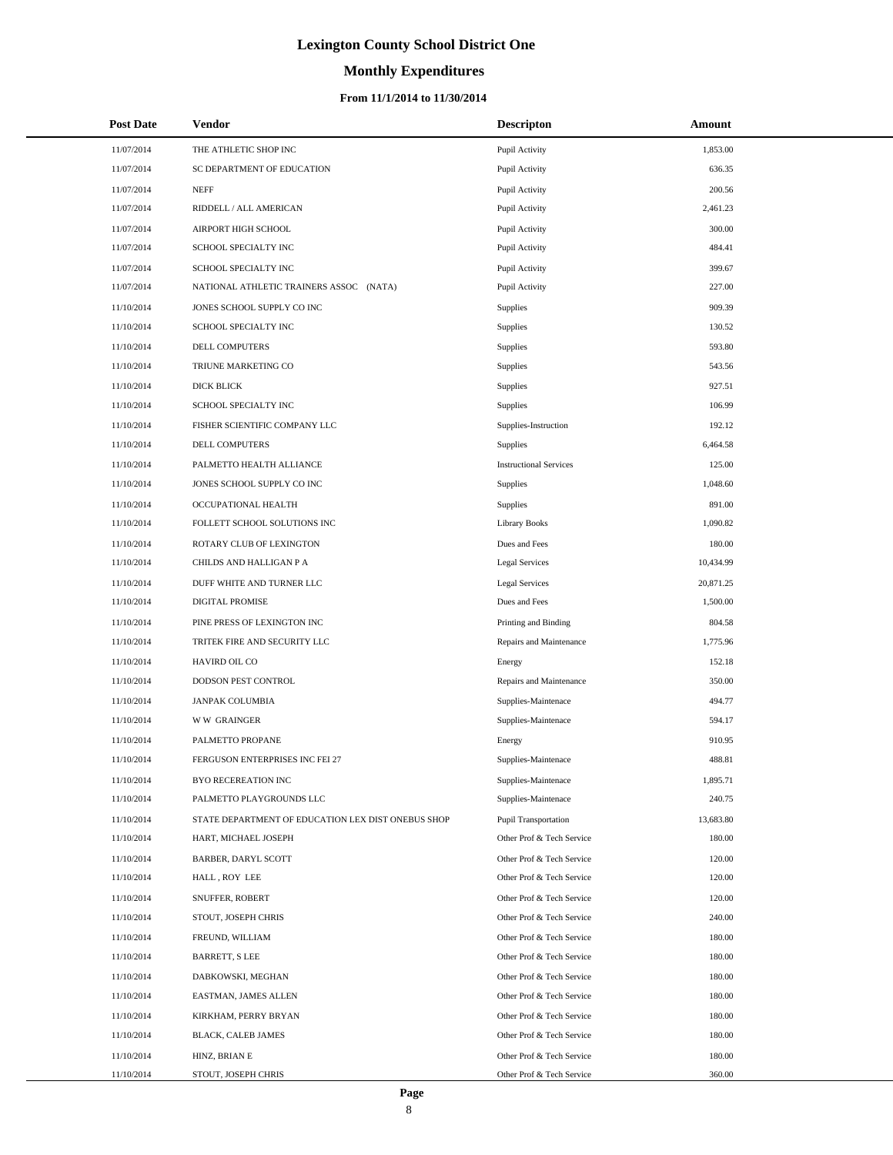# **Monthly Expenditures**

| <b>Post Date</b> | <b>Vendor</b>                                      | <b>Descripton</b>             | Amount    |
|------------------|----------------------------------------------------|-------------------------------|-----------|
| 11/07/2014       | THE ATHLETIC SHOP INC                              | Pupil Activity                | 1,853.00  |
| 11/07/2014       | SC DEPARTMENT OF EDUCATION                         | Pupil Activity                | 636.35    |
| 11/07/2014       | <b>NEFF</b>                                        | Pupil Activity                | 200.56    |
| 11/07/2014       | RIDDELL / ALL AMERICAN                             | Pupil Activity                | 2,461.23  |
| 11/07/2014       | AIRPORT HIGH SCHOOL                                | Pupil Activity                | 300.00    |
| 11/07/2014       | SCHOOL SPECIALTY INC                               | Pupil Activity                | 484.41    |
| 11/07/2014       | SCHOOL SPECIALTY INC                               | Pupil Activity                | 399.67    |
| 11/07/2014       | NATIONAL ATHLETIC TRAINERS ASSOC (NATA)            | Pupil Activity                | 227.00    |
| 11/10/2014       | JONES SCHOOL SUPPLY CO INC                         | Supplies                      | 909.39    |
| 11/10/2014       | SCHOOL SPECIALTY INC                               | Supplies                      | 130.52    |
| 11/10/2014       | DELL COMPUTERS                                     | Supplies                      | 593.80    |
| 11/10/2014       | TRIUNE MARKETING CO                                | Supplies                      | 543.56    |
| 11/10/2014       | DICK BLICK                                         | Supplies                      | 927.51    |
| 11/10/2014       | SCHOOL SPECIALTY INC                               | Supplies                      | 106.99    |
| 11/10/2014       | FISHER SCIENTIFIC COMPANY LLC                      | Supplies-Instruction          | 192.12    |
| 11/10/2014       | DELL COMPUTERS                                     | Supplies                      | 6,464.58  |
| 11/10/2014       | PALMETTO HEALTH ALLIANCE                           | <b>Instructional Services</b> | 125.00    |
| 11/10/2014       | JONES SCHOOL SUPPLY CO INC                         | Supplies                      | 1,048.60  |
| 11/10/2014       | OCCUPATIONAL HEALTH                                | Supplies                      | 891.00    |
| 11/10/2014       | FOLLETT SCHOOL SOLUTIONS INC                       | <b>Library Books</b>          | 1,090.82  |
| 11/10/2014       | ROTARY CLUB OF LEXINGTON                           | Dues and Fees                 | 180.00    |
| 11/10/2014       | CHILDS AND HALLIGAN P A                            | <b>Legal Services</b>         | 10,434.99 |
| 11/10/2014       | DUFF WHITE AND TURNER LLC                          | <b>Legal Services</b>         | 20,871.25 |
| 11/10/2014       | DIGITAL PROMISE                                    | Dues and Fees                 | 1,500.00  |
| 11/10/2014       | PINE PRESS OF LEXINGTON INC                        | Printing and Binding          | 804.58    |
| 11/10/2014       | TRITEK FIRE AND SECURITY LLC                       | Repairs and Maintenance       | 1,775.96  |
| 11/10/2014       | HAVIRD OIL CO                                      | Energy                        | 152.18    |
| 11/10/2014       | DODSON PEST CONTROL                                | Repairs and Maintenance       | 350.00    |
| 11/10/2014       | <b>JANPAK COLUMBIA</b>                             | Supplies-Maintenace           | 494.77    |
| 11/10/2014       | <b>WW GRAINGER</b>                                 | Supplies-Maintenace           | 594.17    |
| 11/10/2014       | PALMETTO PROPANE                                   | Energy                        | 910.95    |
| 11/10/2014       | FERGUSON ENTERPRISES INC FEI 27                    | Supplies-Maintenace           | 488.81    |
| 11/10/2014       | BYO RECEREATION INC                                | Supplies-Maintenace           | 1,895.71  |
| 11/10/2014       | PALMETTO PLAYGROUNDS LLC                           | Supplies-Maintenace           | 240.75    |
| 11/10/2014       | STATE DEPARTMENT OF EDUCATION LEX DIST ONEBUS SHOP | Pupil Transportation          | 13,683.80 |
| 11/10/2014       | HART, MICHAEL JOSEPH                               | Other Prof & Tech Service     | 180.00    |
| 11/10/2014       | BARBER, DARYL SCOTT                                | Other Prof & Tech Service     | 120.00    |
| 11/10/2014       | HALL, ROY LEE                                      | Other Prof & Tech Service     | 120.00    |
| 11/10/2014       | SNUFFER, ROBERT                                    | Other Prof & Tech Service     | 120.00    |
| 11/10/2014       | STOUT, JOSEPH CHRIS                                | Other Prof & Tech Service     | 240.00    |
| 11/10/2014       | FREUND, WILLIAM                                    | Other Prof & Tech Service     | 180.00    |
| 11/10/2014       | <b>BARRETT, S LEE</b>                              | Other Prof & Tech Service     | 180.00    |
| 11/10/2014       | DABKOWSKI, MEGHAN                                  | Other Prof & Tech Service     | 180.00    |
| 11/10/2014       | EASTMAN, JAMES ALLEN                               | Other Prof & Tech Service     | 180.00    |
| 11/10/2014       | KIRKHAM, PERRY BRYAN                               | Other Prof & Tech Service     | 180.00    |
| 11/10/2014       | BLACK, CALEB JAMES                                 | Other Prof & Tech Service     | 180.00    |
| 11/10/2014       | HINZ, BRIAN E                                      | Other Prof & Tech Service     | 180.00    |
| 11/10/2014       | STOUT, JOSEPH CHRIS                                | Other Prof & Tech Service     | 360.00    |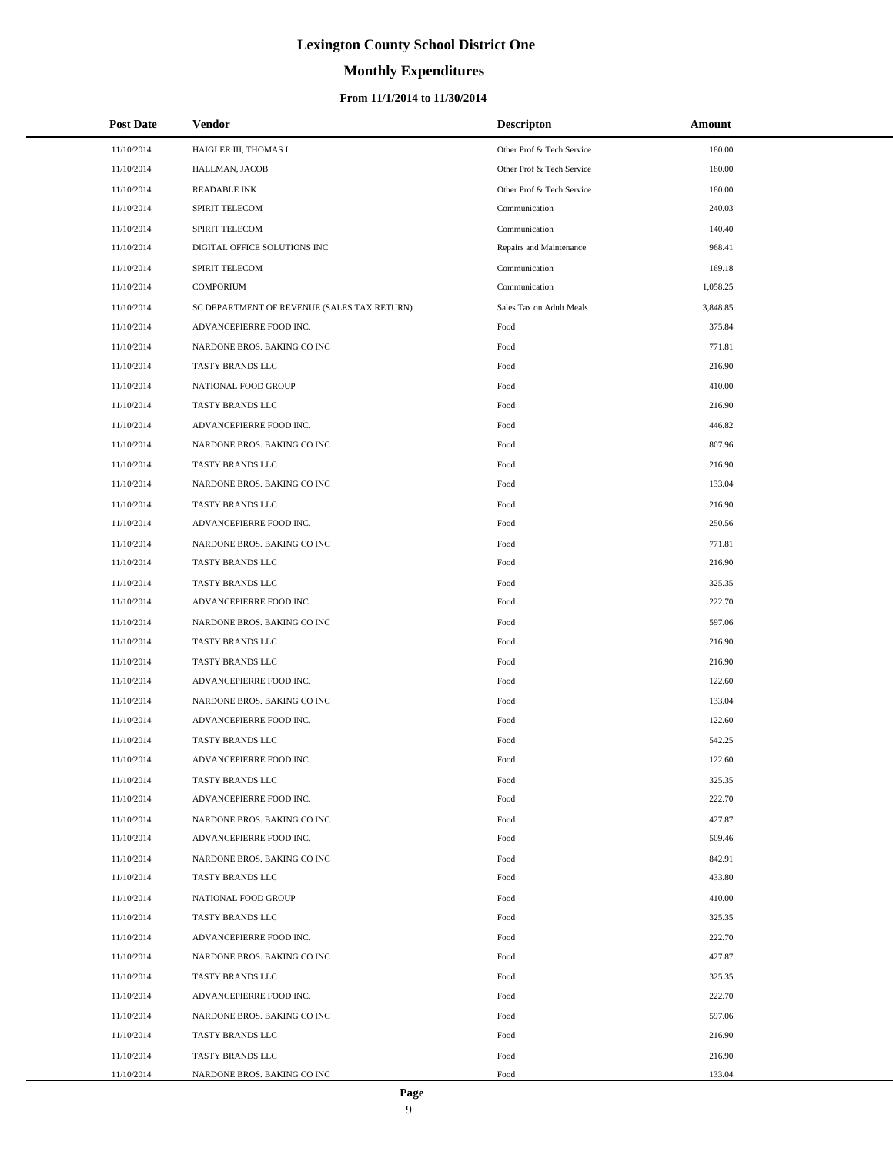### **Monthly Expenditures**

### **From 11/1/2014 to 11/30/2014**

| <b>Post Date</b> | <b>Vendor</b>                               | <b>Descripton</b>         | Amount   |
|------------------|---------------------------------------------|---------------------------|----------|
| 11/10/2014       | HAIGLER III, THOMAS I                       | Other Prof & Tech Service | 180.00   |
| 11/10/2014       | HALLMAN, JACOB                              | Other Prof & Tech Service | 180.00   |
| 11/10/2014       | <b>READABLE INK</b>                         | Other Prof & Tech Service | 180.00   |
| 11/10/2014       | <b>SPIRIT TELECOM</b>                       | Communication             | 240.03   |
| 11/10/2014       | SPIRIT TELECOM                              | Communication             | 140.40   |
| 11/10/2014       | DIGITAL OFFICE SOLUTIONS INC                | Repairs and Maintenance   | 968.41   |
| 11/10/2014       | SPIRIT TELECOM                              | Communication             | 169.18   |
| 11/10/2014       | <b>COMPORIUM</b>                            | Communication             | 1,058.25 |
| 11/10/2014       | SC DEPARTMENT OF REVENUE (SALES TAX RETURN) | Sales Tax on Adult Meals  | 3,848.85 |
| 11/10/2014       | ADVANCEPIERRE FOOD INC.                     | Food                      | 375.84   |
| 11/10/2014       | NARDONE BROS. BAKING CO INC                 | Food                      | 771.81   |
| 11/10/2014       | TASTY BRANDS LLC                            | Food                      | 216.90   |
| 11/10/2014       | NATIONAL FOOD GROUP                         | Food                      | 410.00   |
| 11/10/2014       | TASTY BRANDS LLC                            | Food                      | 216.90   |
| 11/10/2014       | ADVANCEPIERRE FOOD INC.                     | Food                      | 446.82   |
| 11/10/2014       | NARDONE BROS. BAKING CO INC                 | Food                      | 807.96   |
| 11/10/2014       | TASTY BRANDS LLC                            | Food                      | 216.90   |
| 11/10/2014       | NARDONE BROS. BAKING CO INC                 | Food                      | 133.04   |
| 11/10/2014       | TASTY BRANDS LLC                            | Food                      | 216.90   |
| 11/10/2014       | ADVANCEPIERRE FOOD INC.                     | Food                      | 250.56   |
| 11/10/2014       | NARDONE BROS. BAKING CO INC                 | Food                      | 771.81   |
| 11/10/2014       | TASTY BRANDS LLC                            | Food                      | 216.90   |
| 11/10/2014       | TASTY BRANDS LLC                            | Food                      | 325.35   |
| 11/10/2014       | ADVANCEPIERRE FOOD INC.                     | Food                      | 222.70   |
| 11/10/2014       | NARDONE BROS. BAKING CO INC                 | Food                      | 597.06   |
| 11/10/2014       | TASTY BRANDS LLC                            | Food                      | 216.90   |
| 11/10/2014       | TASTY BRANDS LLC                            | Food                      | 216.90   |
| 11/10/2014       | ADVANCEPIERRE FOOD INC.                     | Food                      | 122.60   |
| 11/10/2014       | NARDONE BROS. BAKING CO INC                 | Food                      | 133.04   |
| 11/10/2014       | ADVANCEPIERRE FOOD INC.                     | Food                      | 122.60   |
| 11/10/2014       | <b>TASTY BRANDS LLC</b>                     | Food                      | 542.25   |
| 11/10/2014       | ADVANCEPIERRE FOOD INC.                     | Food                      | 122.60   |
| 11/10/2014       | TASTY BRANDS LLC                            | Food                      | 325.35   |
| 11/10/2014       | ADVANCEPIERRE FOOD INC.                     | Food                      | 222.70   |
| 11/10/2014       | NARDONE BROS. BAKING CO INC                 | Food                      | 427.87   |
| 11/10/2014       | ADVANCEPIERRE FOOD INC.                     | Food                      | 509.46   |
| 11/10/2014       | NARDONE BROS. BAKING CO INC                 | Food                      | 842.91   |
| 11/10/2014       | TASTY BRANDS LLC                            | Food                      | 433.80   |
| 11/10/2014       | NATIONAL FOOD GROUP                         | Food                      | 410.00   |
| 11/10/2014       | TASTY BRANDS LLC                            | Food                      | 325.35   |
| 11/10/2014       | ADVANCEPIERRE FOOD INC.                     | Food                      | 222.70   |
| 11/10/2014       | NARDONE BROS. BAKING CO INC                 | Food                      | 427.87   |
| 11/10/2014       | TASTY BRANDS LLC                            | Food                      | 325.35   |
| 11/10/2014       | ADVANCEPIERRE FOOD INC.                     | Food                      | 222.70   |
| 11/10/2014       | NARDONE BROS. BAKING CO INC                 | Food                      | 597.06   |
| 11/10/2014       | TASTY BRANDS LLC                            | Food                      | 216.90   |
| 11/10/2014       | TASTY BRANDS LLC                            | Food                      | 216.90   |
| 11/10/2014       | NARDONE BROS. BAKING CO INC                 | Food                      | 133.04   |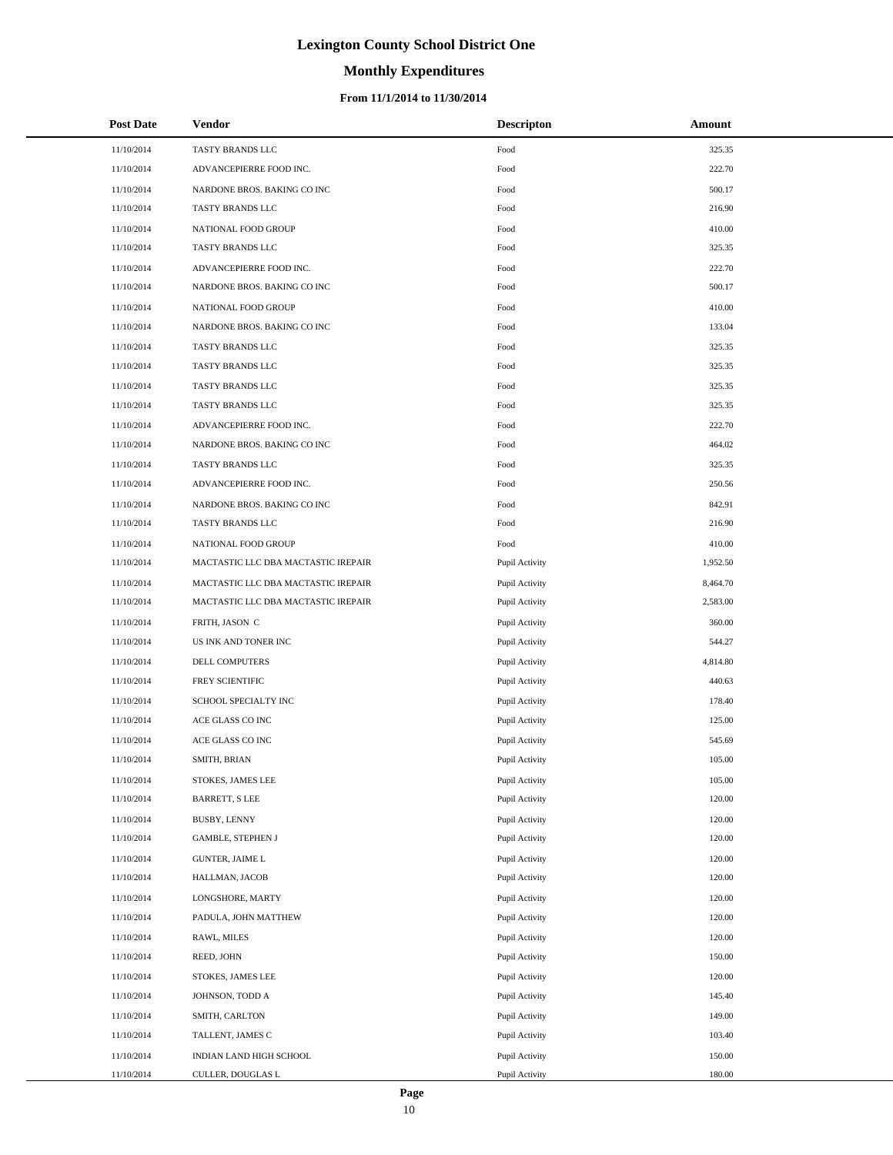# **Monthly Expenditures**

### **From 11/1/2014 to 11/30/2014**

| <b>Post Date</b> | <b>Vendor</b>                       | <b>Descripton</b> | Amount   |
|------------------|-------------------------------------|-------------------|----------|
| 11/10/2014       | TASTY BRANDS LLC                    | Food              | 325.35   |
| 11/10/2014       | ADVANCEPIERRE FOOD INC.             | Food              | 222.70   |
| 11/10/2014       | NARDONE BROS. BAKING CO INC         | Food              | 500.17   |
| 11/10/2014       | TASTY BRANDS LLC                    | Food              | 216.90   |
| 11/10/2014       | NATIONAL FOOD GROUP                 | Food              | 410.00   |
| 11/10/2014       | TASTY BRANDS LLC                    | Food              | 325.35   |
| 11/10/2014       | ADVANCEPIERRE FOOD INC.             | Food              | 222.70   |
| 11/10/2014       | NARDONE BROS. BAKING CO INC         | Food              | 500.17   |
| 11/10/2014       | NATIONAL FOOD GROUP                 | Food              | 410.00   |
| 11/10/2014       | NARDONE BROS. BAKING CO INC         | Food              | 133.04   |
| 11/10/2014       | TASTY BRANDS LLC                    | Food              | 325.35   |
| 11/10/2014       | TASTY BRANDS LLC                    | Food              | 325.35   |
| 11/10/2014       | TASTY BRANDS LLC                    | Food              | 325.35   |
| 11/10/2014       | TASTY BRANDS LLC                    | Food              | 325.35   |
| 11/10/2014       | ADVANCEPIERRE FOOD INC.             | Food              | 222.70   |
| 11/10/2014       | NARDONE BROS. BAKING CO INC         | Food              | 464.02   |
| 11/10/2014       | TASTY BRANDS LLC                    | Food              | 325.35   |
| 11/10/2014       | ADVANCEPIERRE FOOD INC.             | Food              | 250.56   |
| 11/10/2014       | NARDONE BROS. BAKING CO INC         | Food              | 842.91   |
| 11/10/2014       | TASTY BRANDS LLC                    | Food              | 216.90   |
| 11/10/2014       | NATIONAL FOOD GROUP                 | Food              | 410.00   |
| 11/10/2014       | MACTASTIC LLC DBA MACTASTIC IREPAIR | Pupil Activity    | 1,952.50 |
| 11/10/2014       | MACTASTIC LLC DBA MACTASTIC IREPAIR | Pupil Activity    | 8,464.70 |
| 11/10/2014       | MACTASTIC LLC DBA MACTASTIC IREPAIR | Pupil Activity    | 2,583.00 |
| 11/10/2014       | FRITH, JASON C                      | Pupil Activity    | 360.00   |
| 11/10/2014       | US INK AND TONER INC                | Pupil Activity    | 544.27   |
| 11/10/2014       | DELL COMPUTERS                      | Pupil Activity    | 4,814.80 |
| 11/10/2014       | FREY SCIENTIFIC                     | Pupil Activity    | 440.63   |
| 11/10/2014       | SCHOOL SPECIALTY INC                | Pupil Activity    | 178.40   |
| 11/10/2014       | ACE GLASS CO INC                    | Pupil Activity    | 125.00   |
| 11/10/2014       | ACE GLASS CO INC                    | Pupil Activity    | 545.69   |
| 11/10/2014       | SMITH, BRIAN                        | Pupil Activity    | 105.00   |
| 11/10/2014       | STOKES, JAMES LEE                   | Pupil Activity    | 105.00   |
| 11/10/2014       | <b>BARRETT, S LEE</b>               | Pupil Activity    | 120.00   |
| 11/10/2014       | BUSBY, LENNY                        | Pupil Activity    | 120.00   |
| 11/10/2014       | <b>GAMBLE, STEPHEN J</b>            | Pupil Activity    | 120.00   |
| 11/10/2014       | <b>GUNTER, JAIME L</b>              | Pupil Activity    | 120.00   |
| 11/10/2014       | HALLMAN, JACOB                      | Pupil Activity    | 120.00   |
| 11/10/2014       | LONGSHORE, MARTY                    | Pupil Activity    | 120.00   |
| 11/10/2014       | PADULA, JOHN MATTHEW                | Pupil Activity    | 120.00   |
| 11/10/2014       | RAWL, MILES                         | Pupil Activity    | 120.00   |
| 11/10/2014       | REED, JOHN                          | Pupil Activity    | 150.00   |
| 11/10/2014       | STOKES, JAMES LEE                   | Pupil Activity    | 120.00   |
| 11/10/2014       | JOHNSON, TODD A                     | Pupil Activity    | 145.40   |
| 11/10/2014       | SMITH, CARLTON                      | Pupil Activity    | 149.00   |
| 11/10/2014       | TALLENT, JAMES C                    | Pupil Activity    | 103.40   |
| 11/10/2014       | INDIAN LAND HIGH SCHOOL             | Pupil Activity    | 150.00   |
| 11/10/2014       | CULLER, DOUGLAS L                   | Pupil Activity    | 180.00   |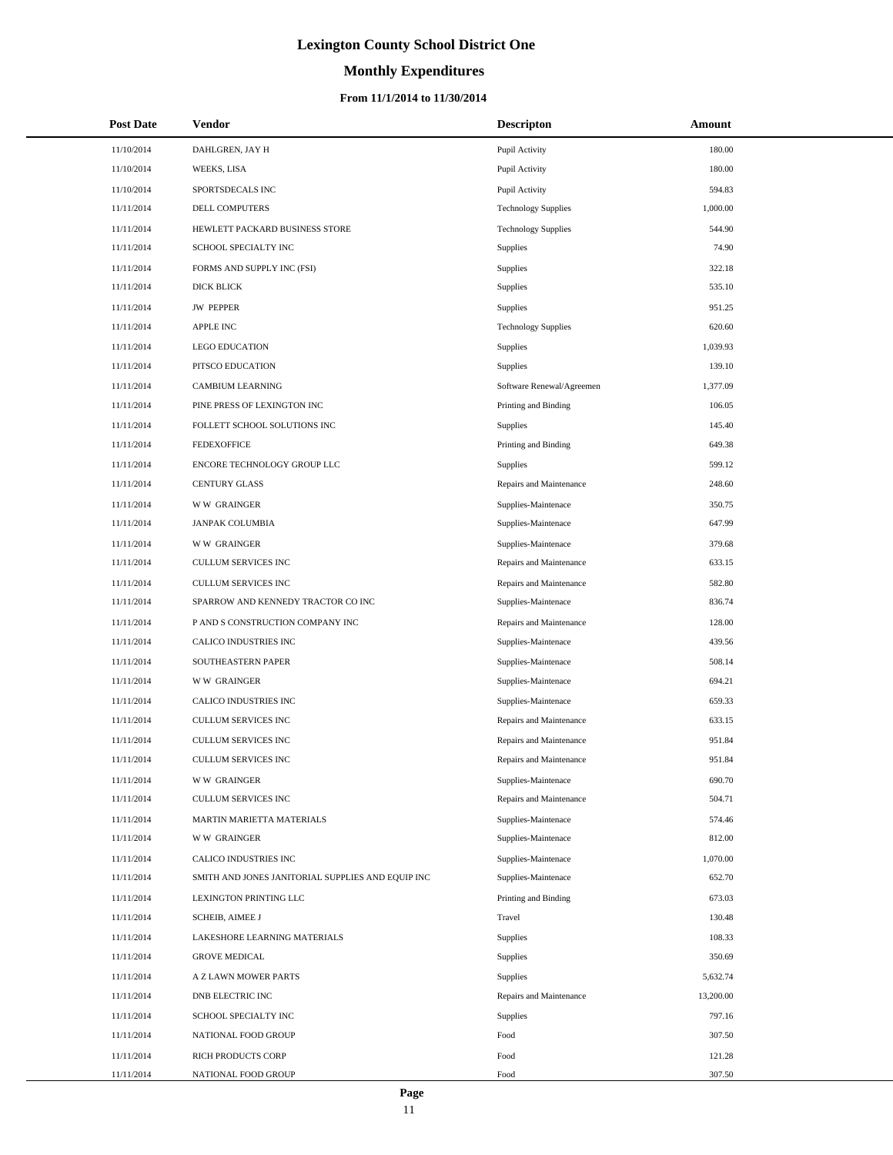# **Monthly Expenditures**

### **From 11/1/2014 to 11/30/2014**

| <b>Post Date</b> | <b>Vendor</b>                                     | <b>Descripton</b>          | Amount    |
|------------------|---------------------------------------------------|----------------------------|-----------|
| 11/10/2014       | DAHLGREN, JAY H                                   | Pupil Activity             | 180.00    |
| 11/10/2014       | WEEKS, LISA                                       | Pupil Activity             | 180.00    |
| 11/10/2014       | SPORTSDECALS INC                                  | Pupil Activity             | 594.83    |
| 11/11/2014       | <b>DELL COMPUTERS</b>                             | <b>Technology Supplies</b> | 1,000.00  |
| 11/11/2014       | HEWLETT PACKARD BUSINESS STORE                    | <b>Technology Supplies</b> | 544.90    |
| 11/11/2014       | SCHOOL SPECIALTY INC                              | Supplies                   | 74.90     |
| 11/11/2014       | FORMS AND SUPPLY INC (FSI)                        | <b>Supplies</b>            | 322.18    |
| 11/11/2014       | <b>DICK BLICK</b>                                 | Supplies                   | 535.10    |
| 11/11/2014       | <b>JW PEPPER</b>                                  | Supplies                   | 951.25    |
| 11/11/2014       | APPLE INC                                         | <b>Technology Supplies</b> | 620.60    |
| 11/11/2014       | <b>LEGO EDUCATION</b>                             | Supplies                   | 1,039.93  |
| 11/11/2014       | PITSCO EDUCATION                                  | <b>Supplies</b>            | 139.10    |
| 11/11/2014       | <b>CAMBIUM LEARNING</b>                           | Software Renewal/Agreemen  | 1,377.09  |
| 11/11/2014       | PINE PRESS OF LEXINGTON INC                       | Printing and Binding       | 106.05    |
| 11/11/2014       | FOLLETT SCHOOL SOLUTIONS INC                      | <b>Supplies</b>            | 145.40    |
| 11/11/2014       | <b>FEDEXOFFICE</b>                                | Printing and Binding       | 649.38    |
| 11/11/2014       | ENCORE TECHNOLOGY GROUP LLC                       | Supplies                   | 599.12    |
| 11/11/2014       | <b>CENTURY GLASS</b>                              | Repairs and Maintenance    | 248.60    |
| 11/11/2014       | <b>WW GRAINGER</b>                                | Supplies-Maintenace        | 350.75    |
| 11/11/2014       | <b>JANPAK COLUMBIA</b>                            | Supplies-Maintenace        | 647.99    |
| 11/11/2014       | <b>WW GRAINGER</b>                                | Supplies-Maintenace        | 379.68    |
| 11/11/2014       | <b>CULLUM SERVICES INC</b>                        | Repairs and Maintenance    | 633.15    |
| 11/11/2014       | <b>CULLUM SERVICES INC</b>                        | Repairs and Maintenance    | 582.80    |
| 11/11/2014       | SPARROW AND KENNEDY TRACTOR CO INC                | Supplies-Maintenace        | 836.74    |
| 11/11/2014       | P AND S CONSTRUCTION COMPANY INC                  | Repairs and Maintenance    | 128.00    |
| 11/11/2014       | CALICO INDUSTRIES INC                             | Supplies-Maintenace        | 439.56    |
| 11/11/2014       | SOUTHEASTERN PAPER                                | Supplies-Maintenace        | 508.14    |
| 11/11/2014       | <b>WW GRAINGER</b>                                | Supplies-Maintenace        | 694.21    |
| 11/11/2014       | CALICO INDUSTRIES INC                             | Supplies-Maintenace        | 659.33    |
| 11/11/2014       | CULLUM SERVICES INC                               | Repairs and Maintenance    | 633.15    |
| 11/11/2014       | <b>CULLUM SERVICES INC</b>                        | Repairs and Maintenance    | 951.84    |
| 11/11/2014       | <b>CULLUM SERVICES INC</b>                        | Repairs and Maintenance    | 951.84    |
| 11/11/2014       | <b>WW GRAINGER</b>                                | Supplies-Maintenace        | 690.70    |
| 11/11/2014       | <b>CULLUM SERVICES INC</b>                        | Repairs and Maintenance    | 504.71    |
| 11/11/2014       | MARTIN MARIETTA MATERIALS                         | Supplies-Maintenace        | 574.46    |
| 11/11/2014       | <b>WW GRAINGER</b>                                | Supplies-Maintenace        | 812.00    |
| 11/11/2014       | CALICO INDUSTRIES INC                             | Supplies-Maintenace        | 1,070.00  |
| 11/11/2014       | SMITH AND JONES JANITORIAL SUPPLIES AND EQUIP INC | Supplies-Maintenace        | 652.70    |
| 11/11/2014       | LEXINGTON PRINTING LLC                            | Printing and Binding       | 673.03    |
| 11/11/2014       | <b>SCHEIB, AIMEE J</b>                            | Travel                     | 130.48    |
| 11/11/2014       | LAKESHORE LEARNING MATERIALS                      | Supplies                   | 108.33    |
| 11/11/2014       | <b>GROVE MEDICAL</b>                              | <b>Supplies</b>            | 350.69    |
| 11/11/2014       | A Z LAWN MOWER PARTS                              | <b>Supplies</b>            | 5,632.74  |
| 11/11/2014       | DNB ELECTRIC INC                                  | Repairs and Maintenance    | 13,200.00 |
| 11/11/2014       | SCHOOL SPECIALTY INC                              | Supplies                   | 797.16    |
| 11/11/2014       | NATIONAL FOOD GROUP                               | Food                       | 307.50    |
| 11/11/2014       | RICH PRODUCTS CORP                                | Food                       | 121.28    |
| 11/11/2014       | NATIONAL FOOD GROUP                               | Food                       | 307.50    |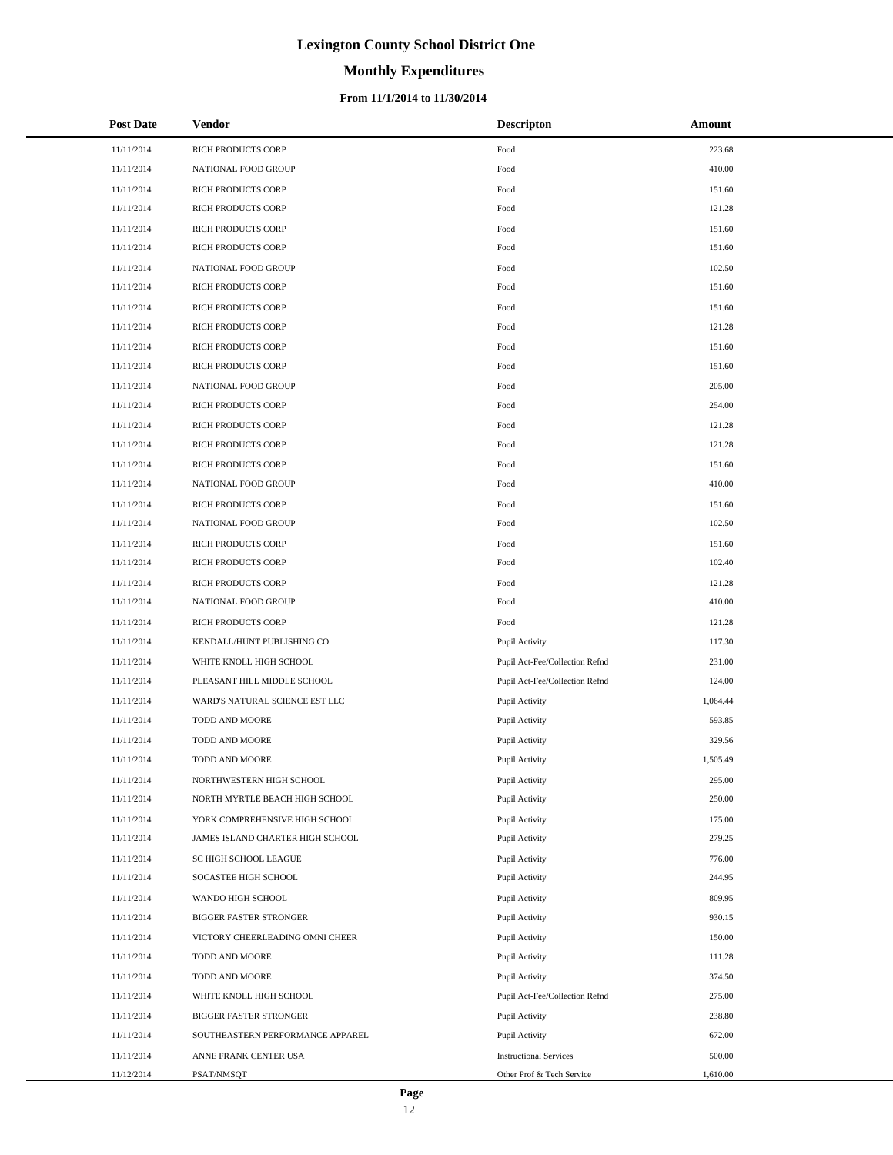# **Monthly Expenditures**

### **From 11/1/2014 to 11/30/2014**

| <b>Post Date</b> | <b>Vendor</b>                    | <b>Descripton</b>              | Amount   |
|------------------|----------------------------------|--------------------------------|----------|
| 11/11/2014       | RICH PRODUCTS CORP               | Food                           | 223.68   |
| 11/11/2014       | NATIONAL FOOD GROUP              | Food                           | 410.00   |
| 11/11/2014       | RICH PRODUCTS CORP               | Food                           | 151.60   |
| 11/11/2014       | RICH PRODUCTS CORP               | Food                           | 121.28   |
| 11/11/2014       | RICH PRODUCTS CORP               | Food                           | 151.60   |
| 11/11/2014       | RICH PRODUCTS CORP               | Food                           | 151.60   |
| 11/11/2014       | NATIONAL FOOD GROUP              | Food                           | 102.50   |
| 11/11/2014       | RICH PRODUCTS CORP               | Food                           | 151.60   |
| 11/11/2014       | RICH PRODUCTS CORP               | Food                           | 151.60   |
| 11/11/2014       | RICH PRODUCTS CORP               | Food                           | 121.28   |
| 11/11/2014       | RICH PRODUCTS CORP               | Food                           | 151.60   |
| 11/11/2014       | RICH PRODUCTS CORP               | Food                           | 151.60   |
| 11/11/2014       | NATIONAL FOOD GROUP              | Food                           | 205.00   |
| 11/11/2014       | RICH PRODUCTS CORP               | Food                           | 254.00   |
| 11/11/2014       | RICH PRODUCTS CORP               | Food                           | 121.28   |
| 11/11/2014       | RICH PRODUCTS CORP               | Food                           | 121.28   |
| 11/11/2014       | RICH PRODUCTS CORP               | Food                           | 151.60   |
| 11/11/2014       | NATIONAL FOOD GROUP              | Food                           | 410.00   |
| 11/11/2014       | RICH PRODUCTS CORP               | Food                           | 151.60   |
| 11/11/2014       | NATIONAL FOOD GROUP              | Food                           | 102.50   |
| 11/11/2014       | RICH PRODUCTS CORP               | Food                           | 151.60   |
| 11/11/2014       | RICH PRODUCTS CORP               | Food                           | 102.40   |
| 11/11/2014       | RICH PRODUCTS CORP               | Food                           | 121.28   |
| 11/11/2014       | NATIONAL FOOD GROUP              | Food                           | 410.00   |
| 11/11/2014       | RICH PRODUCTS CORP               | Food                           | 121.28   |
| 11/11/2014       | KENDALL/HUNT PUBLISHING CO       | Pupil Activity                 | 117.30   |
| 11/11/2014       | WHITE KNOLL HIGH SCHOOL          | Pupil Act-Fee/Collection Refnd | 231.00   |
| 11/11/2014       | PLEASANT HILL MIDDLE SCHOOL      | Pupil Act-Fee/Collection Refnd | 124.00   |
| 11/11/2014       | WARD'S NATURAL SCIENCE EST LLC   | Pupil Activity                 | 1,064.44 |
| 11/11/2014       | TODD AND MOORE                   | Pupil Activity                 | 593.85   |
| 11/11/2014       | TODD AND MOORE                   | Pupil Activity                 | 329.56   |
| 11/11/2014       | TODD AND MOORE                   | Pupil Activity                 | 1,505.49 |
| 11/11/2014       | NORTHWESTERN HIGH SCHOOL         | Pupil Activity                 | 295.00   |
| 11/11/2014       | NORTH MYRTLE BEACH HIGH SCHOOL   | Pupil Activity                 | 250.00   |
| 11/11/2014       | YORK COMPREHENSIVE HIGH SCHOOL   | Pupil Activity                 | 175.00   |
| 11/11/2014       | JAMES ISLAND CHARTER HIGH SCHOOL | Pupil Activity                 | 279.25   |
| 11/11/2014       | SC HIGH SCHOOL LEAGUE            | Pupil Activity                 | 776.00   |
| 11/11/2014       | SOCASTEE HIGH SCHOOL             | Pupil Activity                 | 244.95   |
| 11/11/2014       | WANDO HIGH SCHOOL                | Pupil Activity                 | 809.95   |
| 11/11/2014       | <b>BIGGER FASTER STRONGER</b>    | Pupil Activity                 | 930.15   |
| 11/11/2014       | VICTORY CHEERLEADING OMNI CHEER  | Pupil Activity                 | 150.00   |
| 11/11/2014       | TODD AND MOORE                   | Pupil Activity                 | 111.28   |
| 11/11/2014       | TODD AND MOORE                   | Pupil Activity                 | 374.50   |
| 11/11/2014       | WHITE KNOLL HIGH SCHOOL          | Pupil Act-Fee/Collection Refnd | 275.00   |
| 11/11/2014       | <b>BIGGER FASTER STRONGER</b>    | Pupil Activity                 | 238.80   |
| 11/11/2014       | SOUTHEASTERN PERFORMANCE APPAREL | Pupil Activity                 | 672.00   |
| 11/11/2014       | ANNE FRANK CENTER USA            | <b>Instructional Services</b>  | 500.00   |
| 11/12/2014       | PSAT/NMSQT                       | Other Prof & Tech Service      | 1,610.00 |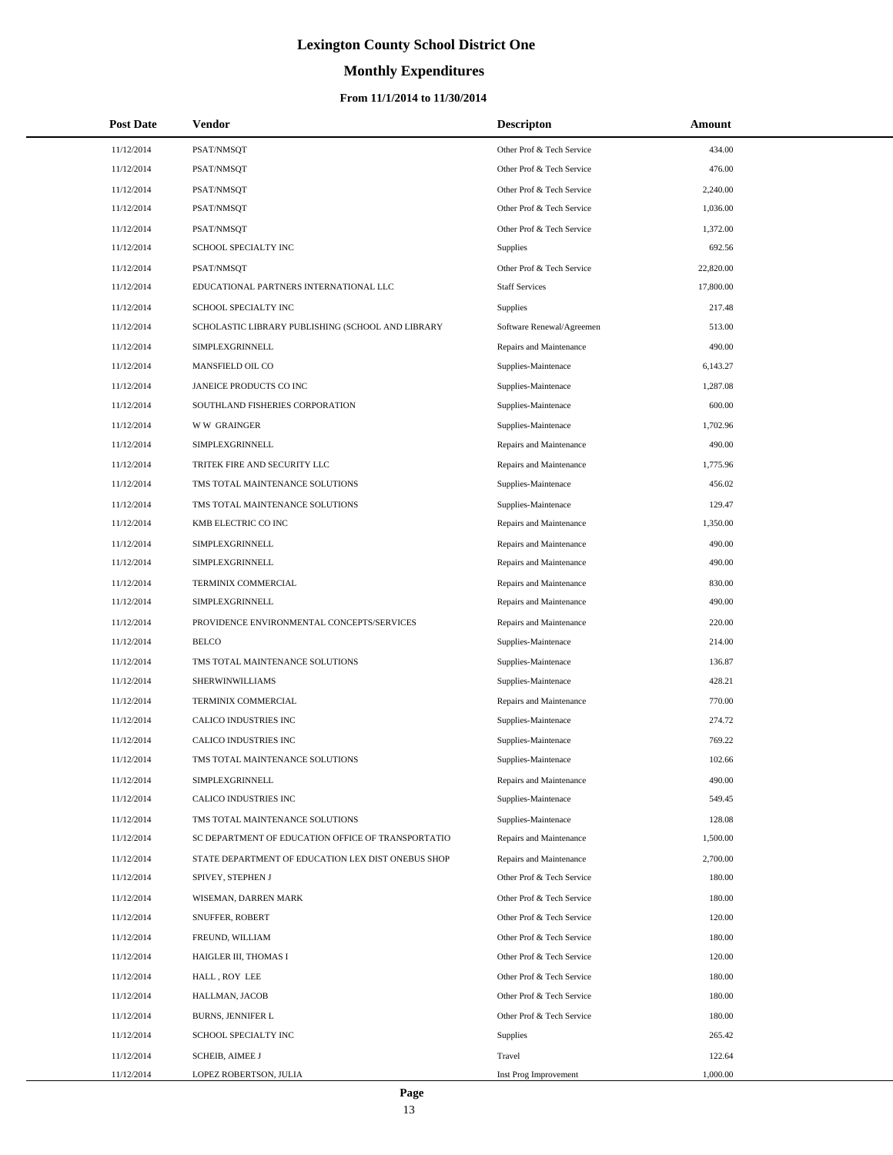# **Monthly Expenditures**

### **From 11/1/2014 to 11/30/2014**

| <b>Post Date</b> | Vendor                                             | <b>Descripton</b>         | Amount    |
|------------------|----------------------------------------------------|---------------------------|-----------|
| 11/12/2014       | PSAT/NMSQT                                         | Other Prof & Tech Service | 434.00    |
| 11/12/2014       | PSAT/NMSQT                                         | Other Prof & Tech Service | 476.00    |
| 11/12/2014       | PSAT/NMSOT                                         | Other Prof & Tech Service | 2,240.00  |
| 11/12/2014       | PSAT/NMSQT                                         | Other Prof & Tech Service | 1,036.00  |
| 11/12/2014       | PSAT/NMSQT                                         | Other Prof & Tech Service | 1,372.00  |
| 11/12/2014       | SCHOOL SPECIALTY INC                               | Supplies                  | 692.56    |
| 11/12/2014       | PSAT/NMSQT                                         | Other Prof & Tech Service | 22,820.00 |
| 11/12/2014       | EDUCATIONAL PARTNERS INTERNATIONAL LLC             | <b>Staff Services</b>     | 17,800.00 |
| 11/12/2014       | SCHOOL SPECIALTY INC                               | Supplies                  | 217.48    |
| 11/12/2014       | SCHOLASTIC LIBRARY PUBLISHING (SCHOOL AND LIBRARY  | Software Renewal/Agreemen | 513.00    |
| 11/12/2014       | SIMPLEXGRINNELL                                    | Repairs and Maintenance   | 490.00    |
| 11/12/2014       | MANSFIELD OIL CO                                   | Supplies-Maintenace       | 6,143.27  |
| 11/12/2014       | JANEICE PRODUCTS CO INC                            | Supplies-Maintenace       | 1,287.08  |
| 11/12/2014       | SOUTHLAND FISHERIES CORPORATION                    | Supplies-Maintenace       | 600.00    |
| 11/12/2014       | <b>WW GRAINGER</b>                                 | Supplies-Maintenace       | 1,702.96  |
| 11/12/2014       | SIMPLEXGRINNELL                                    | Repairs and Maintenance   | 490.00    |
| 11/12/2014       | TRITEK FIRE AND SECURITY LLC                       | Repairs and Maintenance   | 1,775.96  |
| 11/12/2014       | TMS TOTAL MAINTENANCE SOLUTIONS                    | Supplies-Maintenace       | 456.02    |
| 11/12/2014       | TMS TOTAL MAINTENANCE SOLUTIONS                    | Supplies-Maintenace       | 129.47    |
| 11/12/2014       | KMB ELECTRIC CO INC                                | Repairs and Maintenance   | 1,350.00  |
| 11/12/2014       | SIMPLEXGRINNELL                                    | Repairs and Maintenance   | 490.00    |
| 11/12/2014       | SIMPLEXGRINNELL                                    | Repairs and Maintenance   | 490.00    |
| 11/12/2014       | TERMINIX COMMERCIAL                                | Repairs and Maintenance   | 830.00    |
| 11/12/2014       | SIMPLEXGRINNELL                                    | Repairs and Maintenance   | 490.00    |
| 11/12/2014       | PROVIDENCE ENVIRONMENTAL CONCEPTS/SERVICES         | Repairs and Maintenance   | 220.00    |
| 11/12/2014       | <b>BELCO</b>                                       | Supplies-Maintenace       | 214.00    |
| 11/12/2014       | TMS TOTAL MAINTENANCE SOLUTIONS                    | Supplies-Maintenace       | 136.87    |
| 11/12/2014       | SHERWINWILLIAMS                                    | Supplies-Maintenace       | 428.21    |
| 11/12/2014       | TERMINIX COMMERCIAL                                | Repairs and Maintenance   | 770.00    |
| 11/12/2014       | CALICO INDUSTRIES INC                              | Supplies-Maintenace       | 274.72    |
| 11/12/2014       | CALICO INDUSTRIES INC                              | Supplies-Maintenace       | 769.22    |
| 11/12/2014       | TMS TOTAL MAINTENANCE SOLUTIONS                    | Supplies-Maintenace       | 102.66    |
| 11/12/2014       | SIMPLEXGRINNELL                                    | Repairs and Maintenance   | 490.00    |
| 11/12/2014       | CALICO INDUSTRIES INC                              | Supplies-Maintenace       | 549.45    |
| 11/12/2014       | TMS TOTAL MAINTENANCE SOLUTIONS                    | Supplies-Maintenace       | 128.08    |
| 11/12/2014       | SC DEPARTMENT OF EDUCATION OFFICE OF TRANSPORTATIO | Repairs and Maintenance   | 1,500.00  |
| 11/12/2014       | STATE DEPARTMENT OF EDUCATION LEX DIST ONEBUS SHOP | Repairs and Maintenance   | 2,700.00  |
| 11/12/2014       | SPIVEY, STEPHEN J                                  | Other Prof & Tech Service | 180.00    |
| 11/12/2014       | WISEMAN, DARREN MARK                               | Other Prof & Tech Service | 180.00    |
| 11/12/2014       | SNUFFER, ROBERT                                    | Other Prof & Tech Service | 120.00    |
| 11/12/2014       | FREUND, WILLIAM                                    | Other Prof & Tech Service | 180.00    |
| 11/12/2014       | HAIGLER III, THOMAS I                              | Other Prof & Tech Service | 120.00    |
| 11/12/2014       | HALL, ROY LEE                                      | Other Prof & Tech Service | 180.00    |
| 11/12/2014       | HALLMAN, JACOB                                     | Other Prof & Tech Service | 180.00    |
| 11/12/2014       | <b>BURNS, JENNIFER L</b>                           | Other Prof & Tech Service | 180.00    |
| 11/12/2014       | SCHOOL SPECIALTY INC                               | Supplies                  | 265.42    |
| 11/12/2014       | <b>SCHEIB, AIMEE J</b>                             | Travel                    | 122.64    |
| 11/12/2014       | LOPEZ ROBERTSON, JULIA                             | Inst Prog Improvement     | 1,000.00  |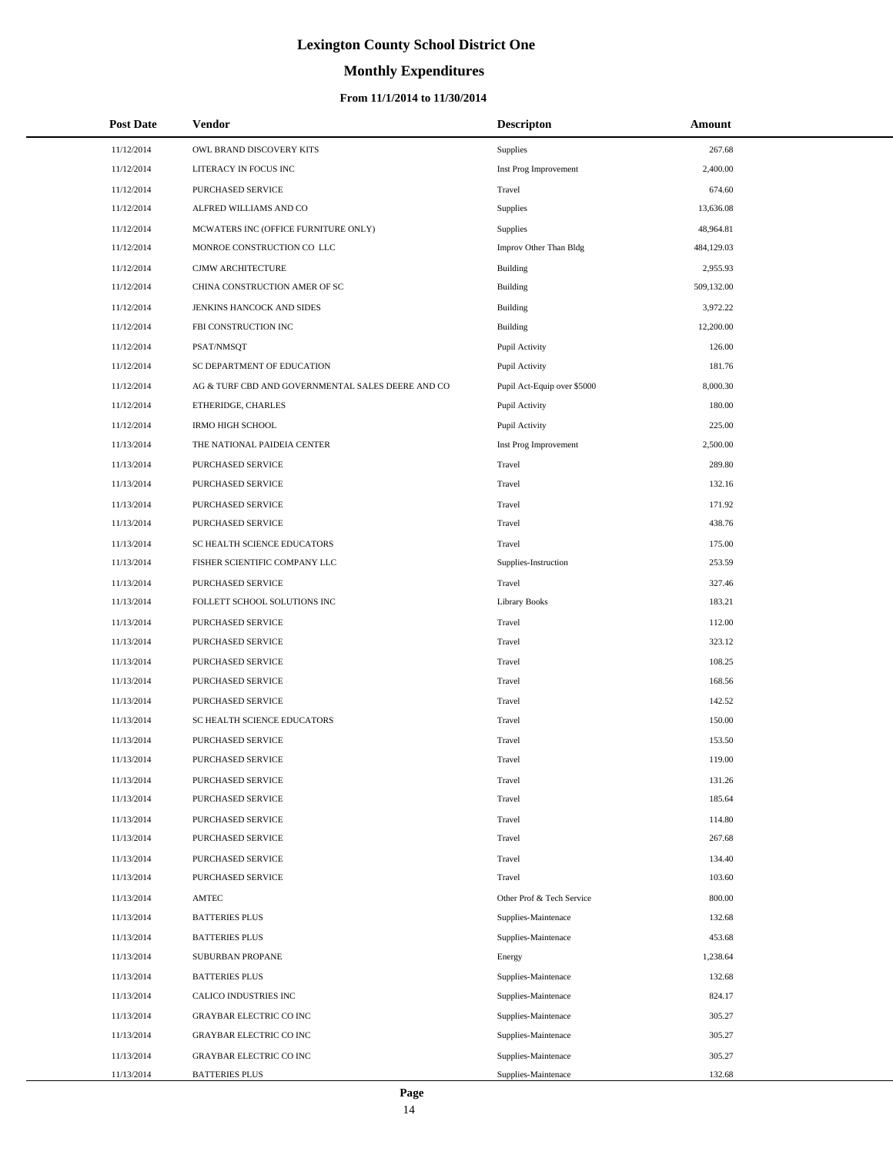# **Monthly Expenditures**

| <b>Post Date</b> | Vendor                                            | <b>Descripton</b>           | Amount     |
|------------------|---------------------------------------------------|-----------------------------|------------|
| 11/12/2014       | OWL BRAND DISCOVERY KITS                          | Supplies                    | 267.68     |
| 11/12/2014       | LITERACY IN FOCUS INC                             | Inst Prog Improvement       | 2,400.00   |
| 11/12/2014       | PURCHASED SERVICE                                 | Travel                      | 674.60     |
| 11/12/2014       | ALFRED WILLIAMS AND CO                            | Supplies                    | 13,636.08  |
| 11/12/2014       | MCWATERS INC (OFFICE FURNITURE ONLY)              | Supplies                    | 48,964.81  |
| 11/12/2014       | MONROE CONSTRUCTION CO LLC                        | Improv Other Than Bldg      | 484,129.03 |
| 11/12/2014       | CJMW ARCHITECTURE                                 | Building                    | 2,955.93   |
| 11/12/2014       | CHINA CONSTRUCTION AMER OF SC                     | <b>Building</b>             | 509,132.00 |
| 11/12/2014       | JENKINS HANCOCK AND SIDES                         | <b>Building</b>             | 3,972.22   |
| 11/12/2014       | FBI CONSTRUCTION INC                              | <b>Building</b>             | 12,200.00  |
| 11/12/2014       | PSAT/NMSQT                                        | Pupil Activity              | 126.00     |
| 11/12/2014       | SC DEPARTMENT OF EDUCATION                        | Pupil Activity              | 181.76     |
| 11/12/2014       | AG & TURF CBD AND GOVERNMENTAL SALES DEERE AND CO | Pupil Act-Equip over \$5000 | 8,000.30   |
| 11/12/2014       | ETHERIDGE, CHARLES                                | Pupil Activity              | 180.00     |
| 11/12/2014       | <b>IRMO HIGH SCHOOL</b>                           | Pupil Activity              | 225.00     |
| 11/13/2014       | THE NATIONAL PAIDEIA CENTER                       | Inst Prog Improvement       | 2,500.00   |
| 11/13/2014       | PURCHASED SERVICE                                 | Travel                      | 289.80     |
| 11/13/2014       | PURCHASED SERVICE                                 | Travel                      | 132.16     |
| 11/13/2014       | PURCHASED SERVICE                                 | Travel                      | 171.92     |
| 11/13/2014       | PURCHASED SERVICE                                 | Travel                      | 438.76     |
| 11/13/2014       | SC HEALTH SCIENCE EDUCATORS                       | Travel                      | 175.00     |
| 11/13/2014       | FISHER SCIENTIFIC COMPANY LLC                     | Supplies-Instruction        | 253.59     |
| 11/13/2014       | PURCHASED SERVICE                                 | Travel                      | 327.46     |
| 11/13/2014       | FOLLETT SCHOOL SOLUTIONS INC                      | <b>Library Books</b>        | 183.21     |
| 11/13/2014       | PURCHASED SERVICE                                 | Travel                      | 112.00     |
| 11/13/2014       | PURCHASED SERVICE                                 | Travel                      | 323.12     |
| 11/13/2014       | PURCHASED SERVICE                                 | Travel                      | 108.25     |
| 11/13/2014       | PURCHASED SERVICE                                 | Travel                      | 168.56     |
| 11/13/2014       | PURCHASED SERVICE                                 | Travel                      | 142.52     |
| 11/13/2014       | SC HEALTH SCIENCE EDUCATORS                       | Travel                      | 150.00     |
| 11/13/2014       | PURCHASED SERVICE                                 | Travel                      | 153.50     |
| 11/13/2014       | PURCHASED SERVICE                                 | Travel                      | 119.00     |
| 11/13/2014       | PURCHASED SERVICE                                 | Travel                      | 131.26     |
| 11/13/2014       | PURCHASED SERVICE                                 | Travel                      | 185.64     |
| 11/13/2014       | PURCHASED SERVICE                                 | Travel                      | 114.80     |
| 11/13/2014       | PURCHASED SERVICE                                 | Travel                      | 267.68     |
| 11/13/2014       | PURCHASED SERVICE                                 | Travel                      | 134.40     |
| 11/13/2014       | PURCHASED SERVICE                                 | Travel                      | 103.60     |
| 11/13/2014       | AMTEC                                             | Other Prof & Tech Service   | 800.00     |
| 11/13/2014       | <b>BATTERIES PLUS</b>                             | Supplies-Maintenace         | 132.68     |
| 11/13/2014       | <b>BATTERIES PLUS</b>                             | Supplies-Maintenace         | 453.68     |
| 11/13/2014       | SUBURBAN PROPANE                                  | Energy                      | 1,238.64   |
| 11/13/2014       | <b>BATTERIES PLUS</b>                             | Supplies-Maintenace         | 132.68     |
| 11/13/2014       | CALICO INDUSTRIES INC                             | Supplies-Maintenace         | 824.17     |
| 11/13/2014       | <b>GRAYBAR ELECTRIC CO INC</b>                    | Supplies-Maintenace         | 305.27     |
| 11/13/2014       | GRAYBAR ELECTRIC CO INC                           | Supplies-Maintenace         | 305.27     |
| 11/13/2014       | <b>GRAYBAR ELECTRIC CO INC</b>                    | Supplies-Maintenace         | 305.27     |
| 11/13/2014       | <b>BATTERIES PLUS</b>                             | Supplies-Maintenace         | 132.68     |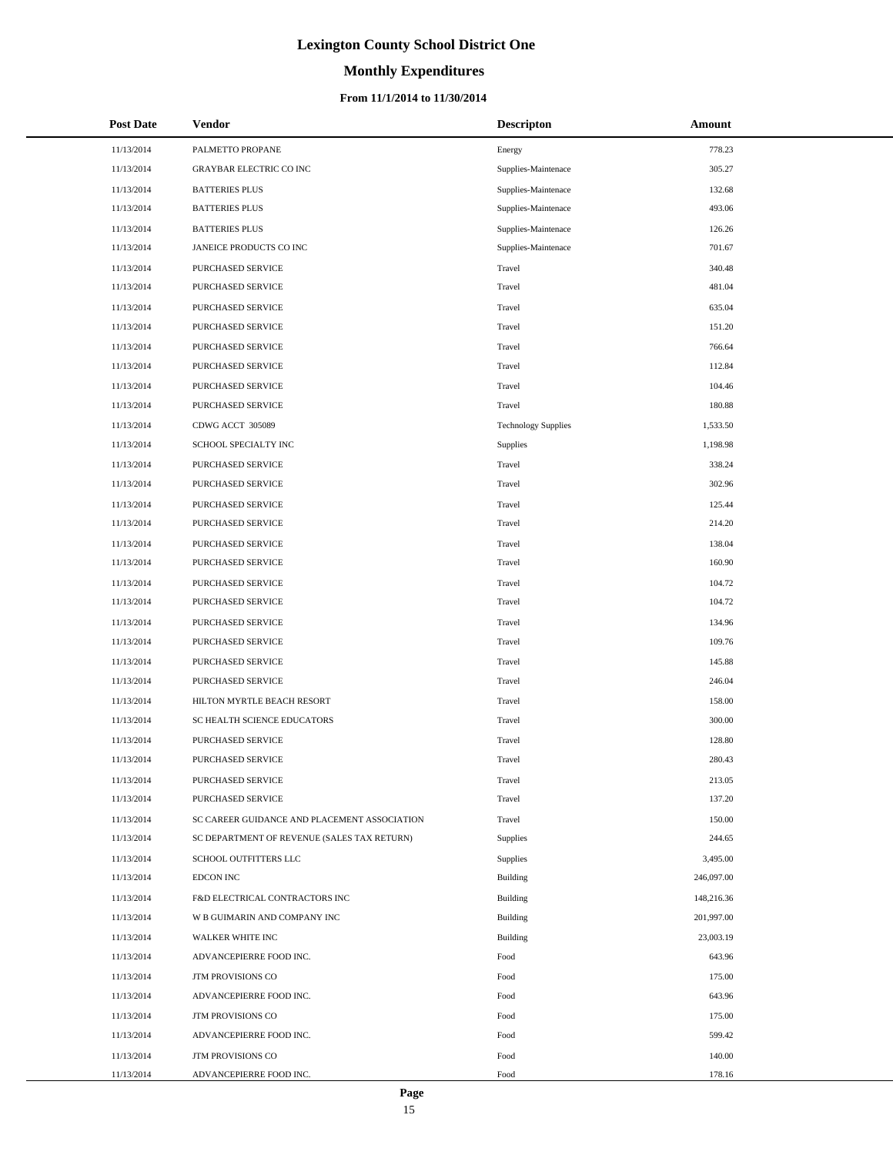# **Monthly Expenditures**

### **From 11/1/2014 to 11/30/2014**

| <b>Post Date</b> | <b>Vendor</b>                                | <b>Descripton</b>          | Amount     |
|------------------|----------------------------------------------|----------------------------|------------|
| 11/13/2014       | PALMETTO PROPANE                             | Energy                     | 778.23     |
| 11/13/2014       | <b>GRAYBAR ELECTRIC CO INC</b>               | Supplies-Maintenace        | 305.27     |
| 11/13/2014       | <b>BATTERIES PLUS</b>                        | Supplies-Maintenace        | 132.68     |
| 11/13/2014       | <b>BATTERIES PLUS</b>                        | Supplies-Maintenace        | 493.06     |
| 11/13/2014       | <b>BATTERIES PLUS</b>                        | Supplies-Maintenace        | 126.26     |
| 11/13/2014       | JANEICE PRODUCTS CO INC                      | Supplies-Maintenace        | 701.67     |
| 11/13/2014       | PURCHASED SERVICE                            | Travel                     | 340.48     |
| 11/13/2014       | PURCHASED SERVICE                            | Travel                     | 481.04     |
| 11/13/2014       | PURCHASED SERVICE                            | Travel                     | 635.04     |
| 11/13/2014       | PURCHASED SERVICE                            | Travel                     | 151.20     |
| 11/13/2014       | PURCHASED SERVICE                            | Travel                     | 766.64     |
| 11/13/2014       | PURCHASED SERVICE                            | Travel                     | 112.84     |
| 11/13/2014       | PURCHASED SERVICE                            | Travel                     | 104.46     |
| 11/13/2014       | PURCHASED SERVICE                            | Travel                     | 180.88     |
| 11/13/2014       | CDWG ACCT 305089                             | <b>Technology Supplies</b> | 1,533.50   |
| 11/13/2014       | SCHOOL SPECIALTY INC                         | Supplies                   | 1,198.98   |
| 11/13/2014       | PURCHASED SERVICE                            | Travel                     | 338.24     |
| 11/13/2014       | PURCHASED SERVICE                            | Travel                     | 302.96     |
| 11/13/2014       | PURCHASED SERVICE                            | Travel                     | 125.44     |
| 11/13/2014       | PURCHASED SERVICE                            | Travel                     | 214.20     |
| 11/13/2014       | PURCHASED SERVICE                            | Travel                     | 138.04     |
| 11/13/2014       | PURCHASED SERVICE                            | Travel                     | 160.90     |
| 11/13/2014       | PURCHASED SERVICE                            | Travel                     | 104.72     |
| 11/13/2014       | PURCHASED SERVICE                            | Travel                     | 104.72     |
| 11/13/2014       | PURCHASED SERVICE                            | Travel                     | 134.96     |
| 11/13/2014       | PURCHASED SERVICE                            | Travel                     | 109.76     |
| 11/13/2014       | PURCHASED SERVICE                            | Travel                     | 145.88     |
| 11/13/2014       | PURCHASED SERVICE                            | Travel                     | 246.04     |
| 11/13/2014       | HILTON MYRTLE BEACH RESORT                   | Travel                     | 158.00     |
| 11/13/2014       | SC HEALTH SCIENCE EDUCATORS                  | Travel                     | 300.00     |
| 11/13/2014       | PURCHASED SERVICE                            | Travel                     | 128.80     |
| 11/13/2014       | PURCHASED SERVICE                            | Travel                     | 280.43     |
| 11/13/2014       | PURCHASED SERVICE                            | Travel                     | 213.05     |
| 11/13/2014       | PURCHASED SERVICE                            | Travel                     | 137.20     |
| 11/13/2014       | SC CAREER GUIDANCE AND PLACEMENT ASSOCIATION | Travel                     | 150.00     |
| 11/13/2014       | SC DEPARTMENT OF REVENUE (SALES TAX RETURN)  | Supplies                   | 244.65     |
| 11/13/2014       | SCHOOL OUTFITTERS LLC                        | Supplies                   | 3,495.00   |
| 11/13/2014       | <b>EDCON INC</b>                             | <b>Building</b>            | 246,097.00 |
| 11/13/2014       | F&D ELECTRICAL CONTRACTORS INC               | <b>Building</b>            | 148,216.36 |
| 11/13/2014       | W B GUIMARIN AND COMPANY INC                 | <b>Building</b>            | 201,997.00 |
| 11/13/2014       | WALKER WHITE INC                             | <b>Building</b>            | 23,003.19  |
| 11/13/2014       | ADVANCEPIERRE FOOD INC.                      | Food                       | 643.96     |
| 11/13/2014       | JTM PROVISIONS CO                            | Food                       | 175.00     |
| 11/13/2014       | ADVANCEPIERRE FOOD INC.                      | Food                       | 643.96     |
| 11/13/2014       | JTM PROVISIONS CO                            | Food                       | 175.00     |
| 11/13/2014       | ADVANCEPIERRE FOOD INC.                      | Food                       | 599.42     |
| 11/13/2014       | JTM PROVISIONS CO                            | Food                       | 140.00     |
| 11/13/2014       | ADVANCEPIERRE FOOD INC.                      | Food                       | 178.16     |

÷.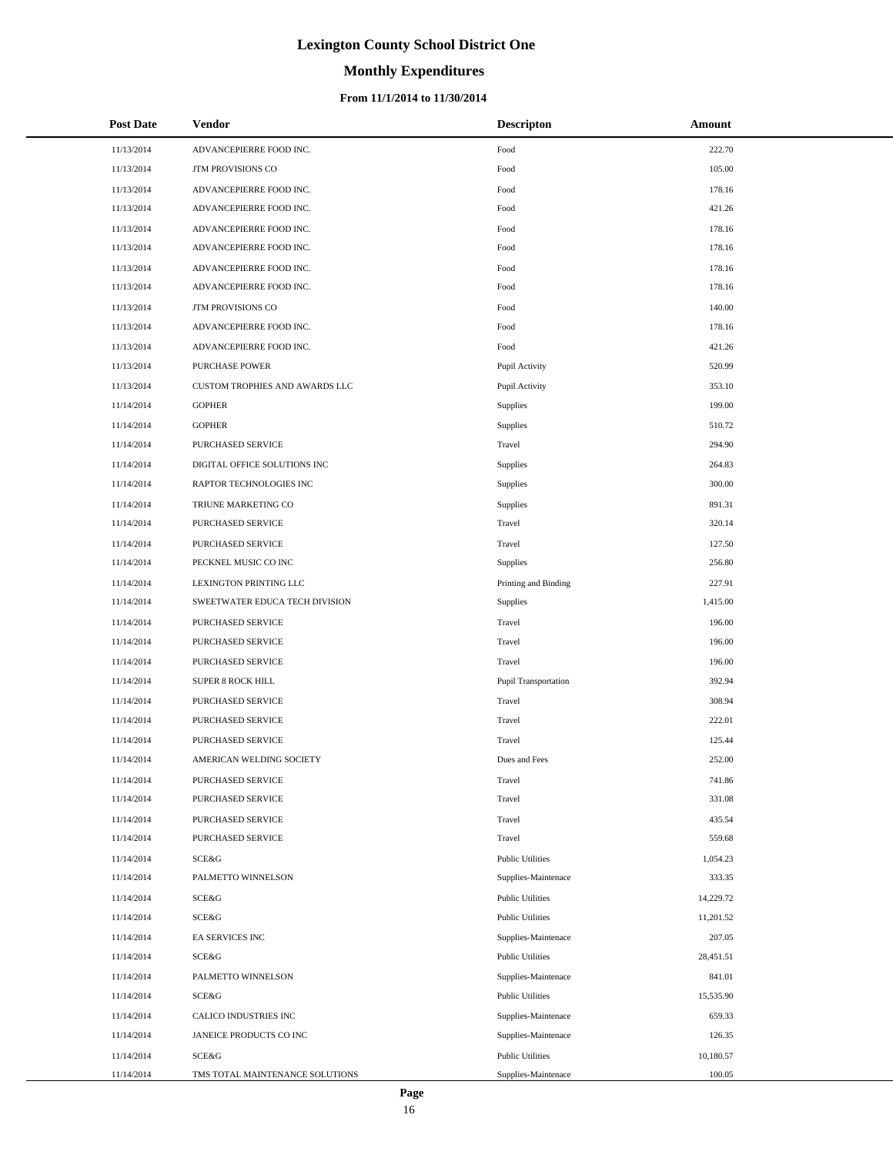# **Monthly Expenditures**

### **From 11/1/2014 to 11/30/2014**

| <b>Post Date</b> | Vendor                          | <b>Descripton</b>       | Amount    |
|------------------|---------------------------------|-------------------------|-----------|
| 11/13/2014       | ADVANCEPIERRE FOOD INC.         | Food                    | 222.70    |
| 11/13/2014       | JTM PROVISIONS CO               | Food                    | 105.00    |
| 11/13/2014       | ADVANCEPIERRE FOOD INC.         | Food                    | 178.16    |
| 11/13/2014       | ADVANCEPIERRE FOOD INC.         | Food                    | 421.26    |
| 11/13/2014       | ADVANCEPIERRE FOOD INC.         | Food                    | 178.16    |
| 11/13/2014       | ADVANCEPIERRE FOOD INC.         | Food                    | 178.16    |
| 11/13/2014       | ADVANCEPIERRE FOOD INC.         | Food                    | 178.16    |
| 11/13/2014       | ADVANCEPIERRE FOOD INC.         | Food                    | 178.16    |
| 11/13/2014       | JTM PROVISIONS CO               | Food                    | 140.00    |
| 11/13/2014       | ADVANCEPIERRE FOOD INC.         | Food                    | 178.16    |
| 11/13/2014       | ADVANCEPIERRE FOOD INC.         | Food                    | 421.26    |
| 11/13/2014       | <b>PURCHASE POWER</b>           | Pupil Activity          | 520.99    |
| 11/13/2014       | CUSTOM TROPHIES AND AWARDS LLC  | Pupil Activity          | 353.10    |
| 11/14/2014       | <b>GOPHER</b>                   | Supplies                | 199.00    |
| 11/14/2014       | <b>GOPHER</b>                   | Supplies                | 510.72    |
| 11/14/2014       | PURCHASED SERVICE               | Travel                  | 294.90    |
| 11/14/2014       | DIGITAL OFFICE SOLUTIONS INC    | Supplies                | 264.83    |
| 11/14/2014       | RAPTOR TECHNOLOGIES INC         | Supplies                | 300.00    |
| 11/14/2014       | TRIUNE MARKETING CO             | Supplies                | 891.31    |
| 11/14/2014       | PURCHASED SERVICE               | Travel                  | 320.14    |
| 11/14/2014       | PURCHASED SERVICE               | Travel                  | 127.50    |
| 11/14/2014       | PECKNEL MUSIC CO INC            | Supplies                | 256.80    |
| 11/14/2014       | LEXINGTON PRINTING LLC          | Printing and Binding    | 227.91    |
| 11/14/2014       | SWEETWATER EDUCA TECH DIVISION  | Supplies                | 1,415.00  |
| 11/14/2014       | PURCHASED SERVICE               | Travel                  | 196.00    |
| 11/14/2014       | PURCHASED SERVICE               | Travel                  | 196.00    |
| 11/14/2014       | PURCHASED SERVICE               | Travel                  | 196.00    |
| 11/14/2014       | SUPER 8 ROCK HILL               | Pupil Transportation    | 392.94    |
| 11/14/2014       | PURCHASED SERVICE               | Travel                  | 308.94    |
| 11/14/2014       | PURCHASED SERVICE               | Travel                  | 222.01    |
| 11/14/2014       | PURCHASED SERVICE               | Travel                  | 125.44    |
| 11/14/2014       | AMERICAN WELDING SOCIETY        | Dues and Fees           | 252.00    |
| 11/14/2014       | PURCHASED SERVICE               | Travel                  | 741.86    |
| 11/14/2014       | PURCHASED SERVICE               | Travel                  | 331.08    |
| 11/14/2014       | PURCHASED SERVICE               | Travel                  | 435.54    |
| 11/14/2014       | PURCHASED SERVICE               | Travel                  | 559.68    |
| 11/14/2014       | <b>SCE&amp;G</b>                | <b>Public Utilities</b> | 1,054.23  |
| 11/14/2014       | PALMETTO WINNELSON              | Supplies-Maintenace     | 333.35    |
| 11/14/2014       | SCE&G                           | <b>Public Utilities</b> | 14,229.72 |
| 11/14/2014       | SCE&G                           | <b>Public Utilities</b> | 11,201.52 |
| 11/14/2014       | EA SERVICES INC                 | Supplies-Maintenace     | 207.05    |
| 11/14/2014       | SCE&G                           | <b>Public Utilities</b> | 28,451.51 |
| 11/14/2014       | PALMETTO WINNELSON              | Supplies-Maintenace     | 841.01    |
| 11/14/2014       | SCE&G                           | <b>Public Utilities</b> | 15,535.90 |
| 11/14/2014       | CALICO INDUSTRIES INC           | Supplies-Maintenace     | 659.33    |
| 11/14/2014       | JANEICE PRODUCTS CO INC         | Supplies-Maintenace     | 126.35    |
| 11/14/2014       | SCE&G                           | <b>Public Utilities</b> | 10,180.57 |
| 11/14/2014       | TMS TOTAL MAINTENANCE SOLUTIONS | Supplies-Maintenace     | 100.05    |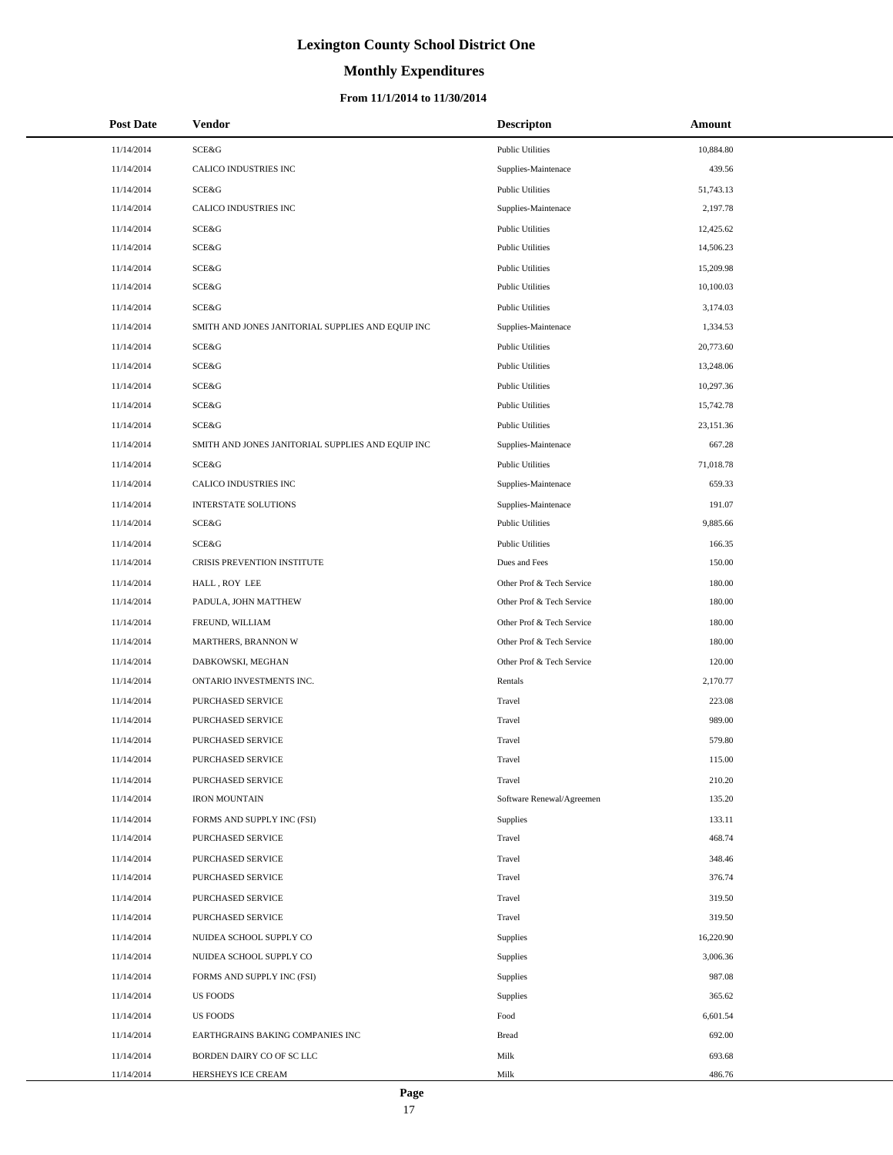# **Monthly Expenditures**

### **From 11/1/2014 to 11/30/2014**

| <b>Post Date</b> | Vendor                                            | Descripton                | Amount    |
|------------------|---------------------------------------------------|---------------------------|-----------|
| 11/14/2014       | SCE&G                                             | <b>Public Utilities</b>   | 10,884.80 |
| 11/14/2014       | CALICO INDUSTRIES INC                             | Supplies-Maintenace       | 439.56    |
| 11/14/2014       | SCE&G                                             | <b>Public Utilities</b>   | 51,743.13 |
| 11/14/2014       | CALICO INDUSTRIES INC                             | Supplies-Maintenace       | 2,197.78  |
| 11/14/2014       | SCE&G                                             | <b>Public Utilities</b>   | 12,425.62 |
| 11/14/2014       | SCE&G                                             | <b>Public Utilities</b>   | 14,506.23 |
| 11/14/2014       | SCE&G                                             | <b>Public Utilities</b>   | 15,209.98 |
| 11/14/2014       | SCE&G                                             | <b>Public Utilities</b>   | 10,100.03 |
| 11/14/2014       | SCE&G                                             | <b>Public Utilities</b>   | 3,174.03  |
| 11/14/2014       | SMITH AND JONES JANITORIAL SUPPLIES AND EQUIP INC | Supplies-Maintenace       | 1,334.53  |
| 11/14/2014       | SCE&G                                             | <b>Public Utilities</b>   | 20,773.60 |
| 11/14/2014       | SCE&G                                             | <b>Public Utilities</b>   | 13,248.06 |
| 11/14/2014       | SCE&G                                             | <b>Public Utilities</b>   | 10,297.36 |
| 11/14/2014       | SCE&G                                             | <b>Public Utilities</b>   | 15,742.78 |
| 11/14/2014       | SCE&G                                             | <b>Public Utilities</b>   | 23,151.36 |
| 11/14/2014       | SMITH AND JONES JANITORIAL SUPPLIES AND EQUIP INC | Supplies-Maintenace       | 667.28    |
| 11/14/2014       | SCE&G                                             | <b>Public Utilities</b>   | 71,018.78 |
| 11/14/2014       | CALICO INDUSTRIES INC                             | Supplies-Maintenace       | 659.33    |
| 11/14/2014       | <b>INTERSTATE SOLUTIONS</b>                       | Supplies-Maintenace       | 191.07    |
| 11/14/2014       | SCE&G                                             | <b>Public Utilities</b>   | 9,885.66  |
| 11/14/2014       | SCE&G                                             | <b>Public Utilities</b>   | 166.35    |
| 11/14/2014       | CRISIS PREVENTION INSTITUTE                       | Dues and Fees             | 150.00    |
| 11/14/2014       | HALL, ROY LEE                                     | Other Prof & Tech Service | 180.00    |
| 11/14/2014       | PADULA, JOHN MATTHEW                              | Other Prof & Tech Service | 180.00    |
| 11/14/2014       | FREUND, WILLIAM                                   | Other Prof & Tech Service | 180.00    |
| 11/14/2014       | MARTHERS, BRANNON W                               | Other Prof & Tech Service | 180.00    |
| 11/14/2014       | DABKOWSKI, MEGHAN                                 | Other Prof & Tech Service | 120.00    |
| 11/14/2014       | ONTARIO INVESTMENTS INC.                          | Rentals                   | 2,170.77  |
| 11/14/2014       | PURCHASED SERVICE                                 | Travel                    | 223.08    |
| 11/14/2014       | PURCHASED SERVICE                                 | Travel                    | 989.00    |
| 11/14/2014       | PURCHASED SERVICE                                 | Travel                    | 579.80    |
| 11/14/2014       | PURCHASED SERVICE                                 | Travel                    | 115.00    |
| 11/14/2014       | PURCHASED SERVICE                                 | Travel                    | 210.20    |
| 11/14/2014       | <b>IRON MOUNTAIN</b>                              | Software Renewal/Agreemen | 135.20    |
| 11/14/2014       | FORMS AND SUPPLY INC (FSI)                        | Supplies                  | 133.11    |
| 11/14/2014       | PURCHASED SERVICE                                 | Travel                    | 468.74    |
| 11/14/2014       | PURCHASED SERVICE                                 | Travel                    | 348.46    |
| 11/14/2014       | PURCHASED SERVICE                                 | Travel                    | 376.74    |
| 11/14/2014       | PURCHASED SERVICE                                 | Travel                    | 319.50    |
| 11/14/2014       | PURCHASED SERVICE                                 | Travel                    | 319.50    |
| 11/14/2014       | NUIDEA SCHOOL SUPPLY CO                           | <b>Supplies</b>           | 16,220.90 |
| 11/14/2014       | NUIDEA SCHOOL SUPPLY CO                           | Supplies                  | 3,006.36  |
| 11/14/2014       | FORMS AND SUPPLY INC (FSI)                        | Supplies                  | 987.08    |
| 11/14/2014       | US FOODS                                          | Supplies                  | 365.62    |
| 11/14/2014       | US FOODS                                          | Food                      | 6,601.54  |
| 11/14/2014       | EARTHGRAINS BAKING COMPANIES INC                  | <b>Bread</b>              | 692.00    |
| 11/14/2014       | BORDEN DAIRY CO OF SC LLC                         | Milk                      | 693.68    |
| 11/14/2014       | HERSHEYS ICE CREAM                                | Milk                      | 486.76    |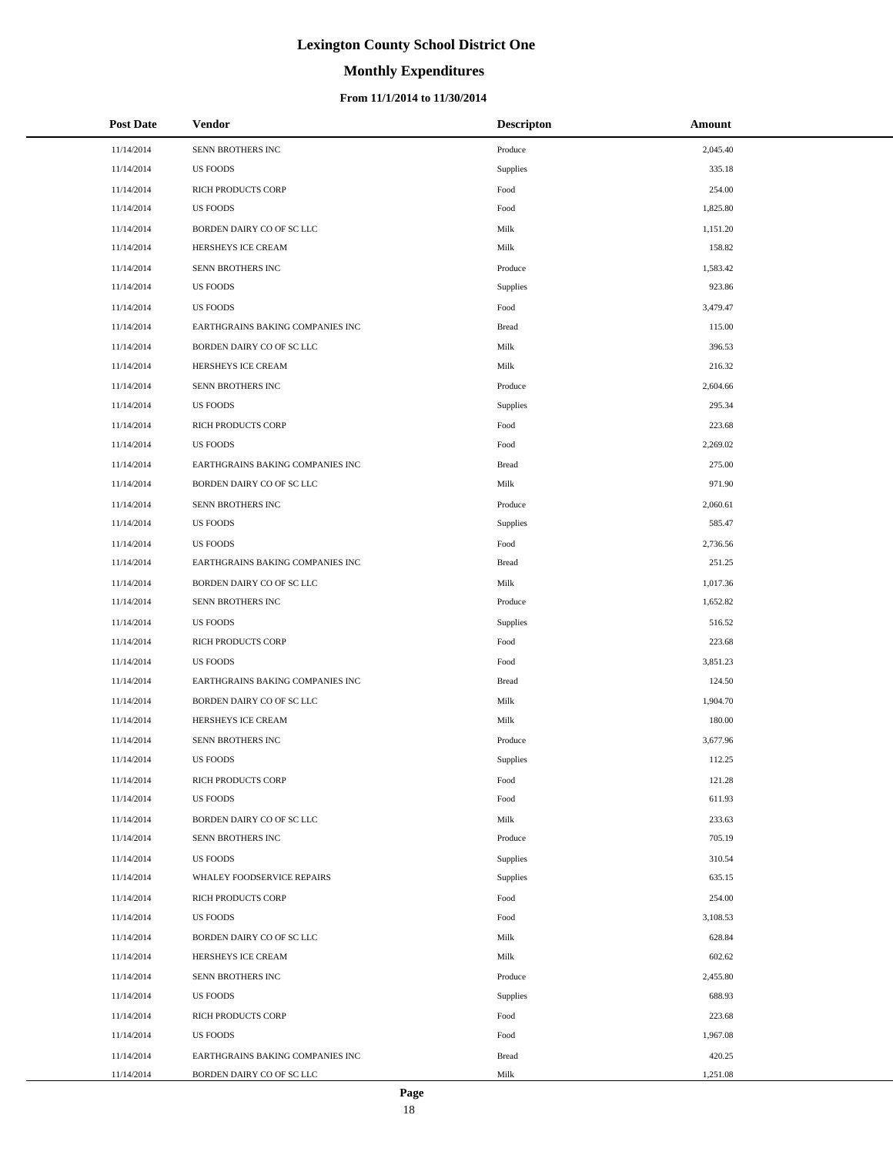# **Monthly Expenditures**

### **From 11/1/2014 to 11/30/2014**

| <b>Post Date</b> | <b>Vendor</b>                    | <b>Descripton</b> | Amount   |
|------------------|----------------------------------|-------------------|----------|
| 11/14/2014       | SENN BROTHERS INC                | Produce           | 2,045.40 |
| 11/14/2014       | <b>US FOODS</b>                  | Supplies          | 335.18   |
| 11/14/2014       | RICH PRODUCTS CORP               | Food              | 254.00   |
| 11/14/2014       | <b>US FOODS</b>                  | Food              | 1,825.80 |
| 11/14/2014       | BORDEN DAIRY CO OF SC LLC        | Milk              | 1,151.20 |
| 11/14/2014       | HERSHEYS ICE CREAM               | Milk              | 158.82   |
| 11/14/2014       | SENN BROTHERS INC                | Produce           | 1,583.42 |
| 11/14/2014       | <b>US FOODS</b>                  | Supplies          | 923.86   |
| 11/14/2014       | <b>US FOODS</b>                  | Food              | 3,479.47 |
| 11/14/2014       | EARTHGRAINS BAKING COMPANIES INC | <b>Bread</b>      | 115.00   |
| 11/14/2014       | BORDEN DAIRY CO OF SC LLC        | Milk              | 396.53   |
| 11/14/2014       | HERSHEYS ICE CREAM               | Milk              | 216.32   |
| 11/14/2014       | SENN BROTHERS INC                | Produce           | 2,604.66 |
| 11/14/2014       | <b>US FOODS</b>                  | Supplies          | 295.34   |
| 11/14/2014       | RICH PRODUCTS CORP               | Food              | 223.68   |
| 11/14/2014       | <b>US FOODS</b>                  | Food              | 2,269.02 |
| 11/14/2014       | EARTHGRAINS BAKING COMPANIES INC | <b>Bread</b>      | 275.00   |
| 11/14/2014       | BORDEN DAIRY CO OF SC LLC        | Milk              | 971.90   |
| 11/14/2014       | SENN BROTHERS INC                | Produce           | 2,060.61 |
| 11/14/2014       | <b>US FOODS</b>                  | Supplies          | 585.47   |
| 11/14/2014       | <b>US FOODS</b>                  | Food              | 2,736.56 |
| 11/14/2014       | EARTHGRAINS BAKING COMPANIES INC | <b>Bread</b>      | 251.25   |
| 11/14/2014       | BORDEN DAIRY CO OF SC LLC        | Milk              | 1,017.36 |
| 11/14/2014       | SENN BROTHERS INC                | Produce           | 1,652.82 |
| 11/14/2014       | US FOODS                         | Supplies          | 516.52   |
| 11/14/2014       | RICH PRODUCTS CORP               | Food              | 223.68   |
| 11/14/2014       | <b>US FOODS</b>                  | Food              | 3,851.23 |
| 11/14/2014       | EARTHGRAINS BAKING COMPANIES INC | <b>Bread</b>      | 124.50   |
| 11/14/2014       | BORDEN DAIRY CO OF SC LLC        | Milk              | 1,904.70 |
| 11/14/2014       | HERSHEYS ICE CREAM               | Milk              | 180.00   |
| 11/14/2014       | SENN BROTHERS INC                | Produce           | 3,677.96 |
| 11/14/2014       | <b>US FOODS</b>                  | Supplies          | 112.25   |
| 11/14/2014       | RICH PRODUCTS CORP               | Food              | 121.28   |
| 11/14/2014       | <b>US FOODS</b>                  | Food              | 611.93   |
| 11/14/2014       | BORDEN DAIRY CO OF SC LLC        | Milk              | 233.63   |
| 11/14/2014       | SENN BROTHERS INC                | Produce           | 705.19   |
| 11/14/2014       | US FOODS                         | Supplies          | 310.54   |
| 11/14/2014       | WHALEY FOODSERVICE REPAIRS       | Supplies          | 635.15   |
| 11/14/2014       | RICH PRODUCTS CORP               | Food              | 254.00   |
| 11/14/2014       | <b>US FOODS</b>                  | Food              | 3,108.53 |
| 11/14/2014       | BORDEN DAIRY CO OF SC LLC        | Milk              | 628.84   |
| 11/14/2014       | HERSHEYS ICE CREAM               | Milk              | 602.62   |
| 11/14/2014       | SENN BROTHERS INC                | Produce           | 2,455.80 |
| 11/14/2014       | <b>US FOODS</b>                  | Supplies          | 688.93   |
| 11/14/2014       | RICH PRODUCTS CORP               | Food              | 223.68   |
| 11/14/2014       | <b>US FOODS</b>                  | Food              | 1,967.08 |
| 11/14/2014       | EARTHGRAINS BAKING COMPANIES INC | <b>Bread</b>      | 420.25   |
| 11/14/2014       | BORDEN DAIRY CO OF SC LLC        | Milk              | 1,251.08 |

÷.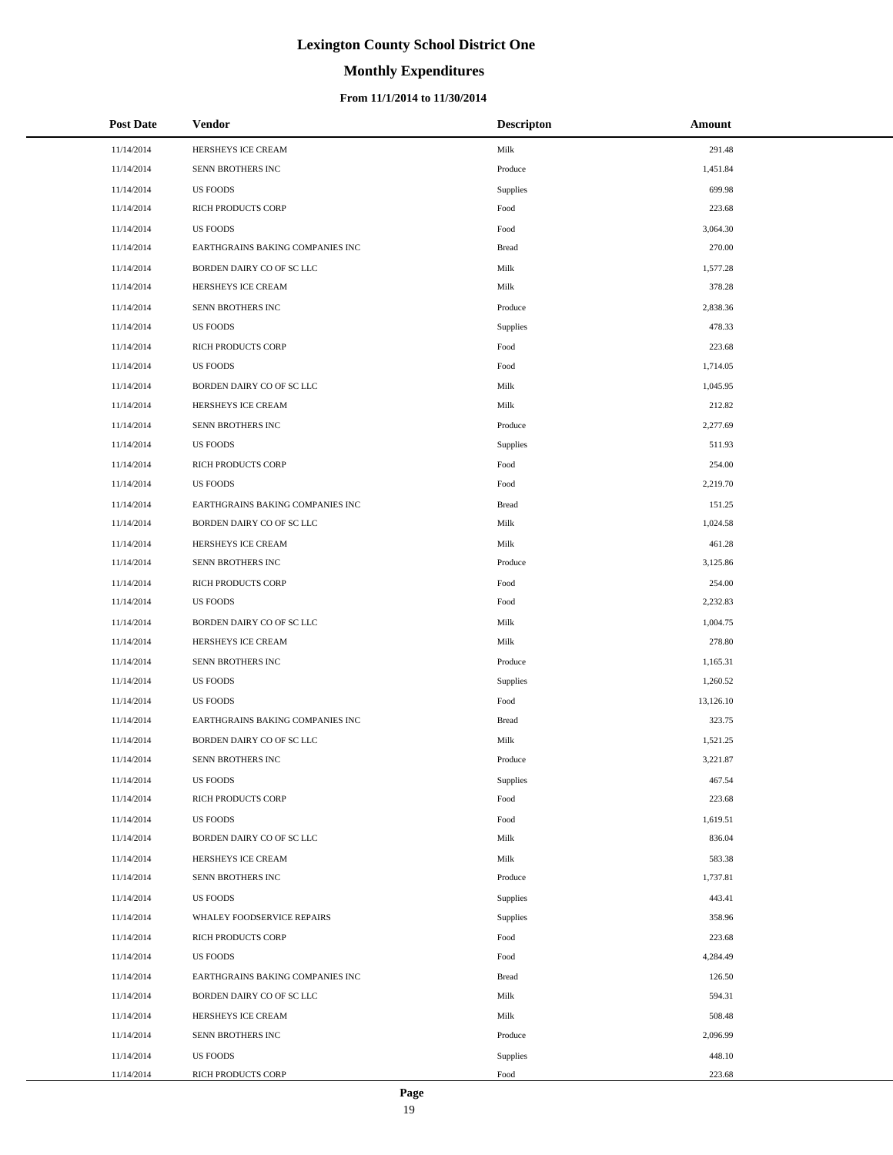# **Monthly Expenditures**

### **From 11/1/2014 to 11/30/2014**

| <b>Post Date</b> | Vendor                           | <b>Descripton</b> | Amount    |
|------------------|----------------------------------|-------------------|-----------|
| 11/14/2014       | HERSHEYS ICE CREAM               | Milk              | 291.48    |
| 11/14/2014       | SENN BROTHERS INC                | Produce           | 1,451.84  |
| 11/14/2014       | <b>US FOODS</b>                  | Supplies          | 699.98    |
| 11/14/2014       | <b>RICH PRODUCTS CORP</b>        | Food              | 223.68    |
| 11/14/2014       | <b>US FOODS</b>                  | Food              | 3,064.30  |
| 11/14/2014       | EARTHGRAINS BAKING COMPANIES INC | <b>Bread</b>      | 270.00    |
| 11/14/2014       | BORDEN DAIRY CO OF SC LLC        | Milk              | 1,577.28  |
| 11/14/2014       | HERSHEYS ICE CREAM               | Milk              | 378.28    |
| 11/14/2014       | SENN BROTHERS INC                | Produce           | 2,838.36  |
| 11/14/2014       | <b>US FOODS</b>                  | Supplies          | 478.33    |
| 11/14/2014       | RICH PRODUCTS CORP               | Food              | 223.68    |
| 11/14/2014       | <b>US FOODS</b>                  | Food              | 1,714.05  |
| 11/14/2014       | BORDEN DAIRY CO OF SC LLC        | Milk              | 1,045.95  |
| 11/14/2014       | HERSHEYS ICE CREAM               | Milk              | 212.82    |
| 11/14/2014       | SENN BROTHERS INC                | Produce           | 2,277.69  |
| 11/14/2014       | <b>US FOODS</b>                  | Supplies          | 511.93    |
| 11/14/2014       | <b>RICH PRODUCTS CORP</b>        | Food              | 254.00    |
| 11/14/2014       | <b>US FOODS</b>                  | Food              | 2,219.70  |
| 11/14/2014       | EARTHGRAINS BAKING COMPANIES INC | <b>Bread</b>      | 151.25    |
| 11/14/2014       | BORDEN DAIRY CO OF SC LLC        | Milk              | 1,024.58  |
| 11/14/2014       | HERSHEYS ICE CREAM               | Milk              | 461.28    |
| 11/14/2014       | SENN BROTHERS INC                | Produce           | 3,125.86  |
| 11/14/2014       | RICH PRODUCTS CORP               | Food              | 254.00    |
| 11/14/2014       | <b>US FOODS</b>                  | Food              | 2,232.83  |
| 11/14/2014       | BORDEN DAIRY CO OF SC LLC        | Milk              | 1,004.75  |
| 11/14/2014       | HERSHEYS ICE CREAM               | Milk              | 278.80    |
| 11/14/2014       | SENN BROTHERS INC                | Produce           | 1,165.31  |
| 11/14/2014       | <b>US FOODS</b>                  | Supplies          | 1,260.52  |
| 11/14/2014       | <b>US FOODS</b>                  | Food              | 13,126.10 |
| 11/14/2014       | EARTHGRAINS BAKING COMPANIES INC | <b>Bread</b>      | 323.75    |
| 11/14/2014       | BORDEN DAIRY CO OF SC LLC        | Milk              | 1,521.25  |
| 11/14/2014       | SENN BROTHERS INC                | Produce           | 3,221.87  |
| 11/14/2014       | <b>US FOODS</b>                  | Supplies          | 467.54    |
| 11/14/2014       | RICH PRODUCTS CORP               | Food              | 223.68    |
| 11/14/2014       | <b>US FOODS</b>                  | Food              | 1,619.51  |
| 11/14/2014       | BORDEN DAIRY CO OF SC LLC        | Milk              | 836.04    |
| 11/14/2014       | HERSHEYS ICE CREAM               | Milk              | 583.38    |
| 11/14/2014       | SENN BROTHERS INC                | Produce           | 1,737.81  |
| 11/14/2014       | <b>US FOODS</b>                  | Supplies          | 443.41    |
| 11/14/2014       | WHALEY FOODSERVICE REPAIRS       | Supplies          | 358.96    |
| 11/14/2014       | RICH PRODUCTS CORP               | Food              | 223.68    |
| 11/14/2014       | <b>US FOODS</b>                  | Food              | 4,284.49  |
| 11/14/2014       | EARTHGRAINS BAKING COMPANIES INC | <b>Bread</b>      | 126.50    |
| 11/14/2014       | BORDEN DAIRY CO OF SC LLC        | Milk              | 594.31    |
| 11/14/2014       | HERSHEYS ICE CREAM               | Milk              | 508.48    |
| 11/14/2014       | SENN BROTHERS INC                | Produce           | 2,096.99  |
| 11/14/2014       | <b>US FOODS</b>                  | Supplies          | 448.10    |
| 11/14/2014       | RICH PRODUCTS CORP               | Food              | 223.68    |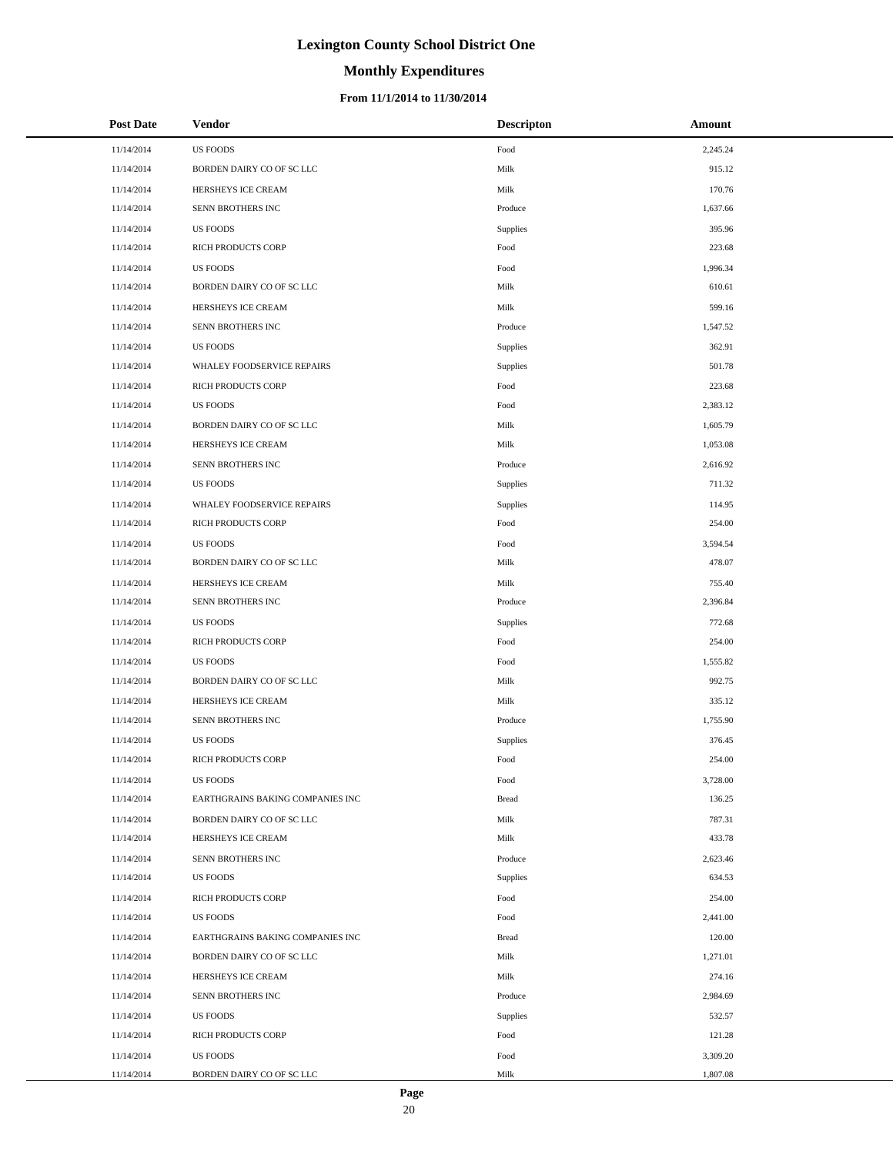# **Monthly Expenditures**

### **From 11/1/2014 to 11/30/2014**

| <b>Post Date</b> | Vendor                           | <b>Descripton</b> | Amount   |
|------------------|----------------------------------|-------------------|----------|
| 11/14/2014       | <b>US FOODS</b>                  | Food              | 2,245.24 |
| 11/14/2014       | BORDEN DAIRY CO OF SC LLC        | Milk              | 915.12   |
| 11/14/2014       | HERSHEYS ICE CREAM               | Milk              | 170.76   |
| 11/14/2014       | SENN BROTHERS INC                | Produce           | 1,637.66 |
| 11/14/2014       | <b>US FOODS</b>                  | Supplies          | 395.96   |
| 11/14/2014       | RICH PRODUCTS CORP               | Food              | 223.68   |
| 11/14/2014       | <b>US FOODS</b>                  | Food              | 1,996.34 |
| 11/14/2014       | BORDEN DAIRY CO OF SC LLC        | Milk              | 610.61   |
| 11/14/2014       | HERSHEYS ICE CREAM               | Milk              | 599.16   |
| 11/14/2014       | SENN BROTHERS INC                | Produce           | 1,547.52 |
| 11/14/2014       | <b>US FOODS</b>                  | Supplies          | 362.91   |
| 11/14/2014       | WHALEY FOODSERVICE REPAIRS       | Supplies          | 501.78   |
| 11/14/2014       | RICH PRODUCTS CORP               | Food              | 223.68   |
| 11/14/2014       | <b>US FOODS</b>                  | Food              | 2,383.12 |
| 11/14/2014       | BORDEN DAIRY CO OF SC LLC        | Milk              | 1,605.79 |
| 11/14/2014       | HERSHEYS ICE CREAM               | Milk              | 1,053.08 |
| 11/14/2014       | SENN BROTHERS INC                | Produce           | 2,616.92 |
| 11/14/2014       | <b>US FOODS</b>                  | Supplies          | 711.32   |
| 11/14/2014       | WHALEY FOODSERVICE REPAIRS       | Supplies          | 114.95   |
| 11/14/2014       | RICH PRODUCTS CORP               | Food              | 254.00   |
| 11/14/2014       | <b>US FOODS</b>                  | Food              | 3,594.54 |
| 11/14/2014       | BORDEN DAIRY CO OF SC LLC        | Milk              | 478.07   |
| 11/14/2014       | HERSHEYS ICE CREAM               | Milk              | 755.40   |
| 11/14/2014       | SENN BROTHERS INC                | Produce           | 2,396.84 |
| 11/14/2014       | <b>US FOODS</b>                  | Supplies          | 772.68   |
| 11/14/2014       | RICH PRODUCTS CORP               | Food              | 254.00   |
| 11/14/2014       | <b>US FOODS</b>                  | Food              | 1,555.82 |
| 11/14/2014       | BORDEN DAIRY CO OF SC LLC        | Milk              | 992.75   |
| 11/14/2014       | HERSHEYS ICE CREAM               | Milk              | 335.12   |
| 11/14/2014       | SENN BROTHERS INC                | Produce           | 1,755.90 |
| 11/14/2014       | <b>US FOODS</b>                  | Supplies          | 376.45   |
| 11/14/2014       | <b>RICH PRODUCTS CORP</b>        | Food              | 254.00   |
| 11/14/2014       | US FOODS                         | Food              | 3,728.00 |
| 11/14/2014       | EARTHGRAINS BAKING COMPANIES INC | <b>Bread</b>      | 136.25   |
| 11/14/2014       | BORDEN DAIRY CO OF SC LLC        | Milk              | 787.31   |
| 11/14/2014       | HERSHEYS ICE CREAM               | Milk              | 433.78   |
| 11/14/2014       | SENN BROTHERS INC                | Produce           | 2,623.46 |
| 11/14/2014       | <b>US FOODS</b>                  | Supplies          | 634.53   |
| 11/14/2014       | RICH PRODUCTS CORP               | Food              | 254.00   |
| 11/14/2014       | <b>US FOODS</b>                  | Food              | 2,441.00 |
| 11/14/2014       | EARTHGRAINS BAKING COMPANIES INC | <b>Bread</b>      | 120.00   |
| 11/14/2014       | BORDEN DAIRY CO OF SC LLC        | Milk              | 1,271.01 |
| 11/14/2014       | HERSHEYS ICE CREAM               | Milk              | 274.16   |
| 11/14/2014       | SENN BROTHERS INC                | Produce           | 2,984.69 |
| 11/14/2014       | US FOODS                         | Supplies          | 532.57   |
| 11/14/2014       | RICH PRODUCTS CORP               | Food              | 121.28   |
| 11/14/2014       | US FOODS                         | Food              | 3,309.20 |
| 11/14/2014       | BORDEN DAIRY CO OF SC LLC        | Milk              | 1,807.08 |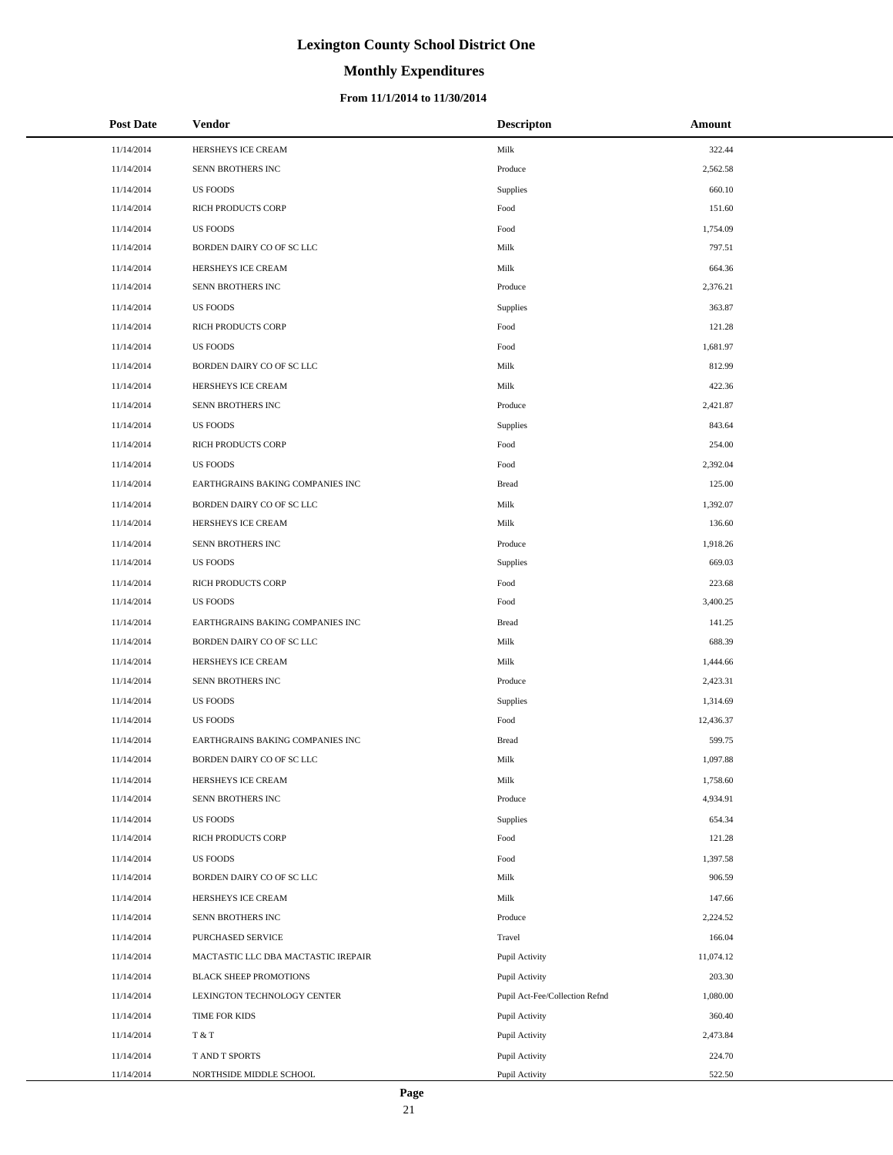# **Monthly Expenditures**

### **From 11/1/2014 to 11/30/2014**

| <b>Post Date</b> | Vendor                              | <b>Descripton</b>              | Amount    |
|------------------|-------------------------------------|--------------------------------|-----------|
| 11/14/2014       | HERSHEYS ICE CREAM                  | Milk                           | 322.44    |
| 11/14/2014       | SENN BROTHERS INC                   | Produce                        | 2,562.58  |
| 11/14/2014       | <b>US FOODS</b>                     | Supplies                       | 660.10    |
| 11/14/2014       | RICH PRODUCTS CORP                  | Food                           | 151.60    |
| 11/14/2014       | <b>US FOODS</b>                     | Food                           | 1,754.09  |
| 11/14/2014       | BORDEN DAIRY CO OF SC LLC           | Milk                           | 797.51    |
| 11/14/2014       | HERSHEYS ICE CREAM                  | Milk                           | 664.36    |
| 11/14/2014       | SENN BROTHERS INC                   | Produce                        | 2,376.21  |
| 11/14/2014       | US FOODS                            | Supplies                       | 363.87    |
| 11/14/2014       | <b>RICH PRODUCTS CORP</b>           | Food                           | 121.28    |
| 11/14/2014       | <b>US FOODS</b>                     | Food                           | 1,681.97  |
| 11/14/2014       | BORDEN DAIRY CO OF SC LLC           | Milk                           | 812.99    |
| 11/14/2014       | HERSHEYS ICE CREAM                  | Milk                           | 422.36    |
| 11/14/2014       | SENN BROTHERS INC                   | Produce                        | 2,421.87  |
| 11/14/2014       | <b>US FOODS</b>                     | Supplies                       | 843.64    |
| 11/14/2014       | <b>RICH PRODUCTS CORP</b>           | Food                           | 254.00    |
| 11/14/2014       | <b>US FOODS</b>                     | Food                           | 2,392.04  |
| 11/14/2014       | EARTHGRAINS BAKING COMPANIES INC    | <b>Bread</b>                   | 125.00    |
| 11/14/2014       | BORDEN DAIRY CO OF SC LLC           | Milk                           | 1,392.07  |
| 11/14/2014       | HERSHEYS ICE CREAM                  | Milk                           | 136.60    |
| 11/14/2014       | SENN BROTHERS INC                   | Produce                        | 1,918.26  |
| 11/14/2014       | <b>US FOODS</b>                     | Supplies                       | 669.03    |
| 11/14/2014       | <b>RICH PRODUCTS CORP</b>           | Food                           | 223.68    |
| 11/14/2014       | <b>US FOODS</b>                     | Food                           | 3,400.25  |
| 11/14/2014       | EARTHGRAINS BAKING COMPANIES INC    | <b>Bread</b>                   | 141.25    |
| 11/14/2014       | BORDEN DAIRY CO OF SC LLC           | Milk                           | 688.39    |
| 11/14/2014       | HERSHEYS ICE CREAM                  | Milk                           | 1,444.66  |
| 11/14/2014       | SENN BROTHERS INC                   | Produce                        | 2,423.31  |
| 11/14/2014       | <b>US FOODS</b>                     | Supplies                       | 1,314.69  |
| 11/14/2014       | <b>US FOODS</b>                     | Food                           | 12,436.37 |
| 11/14/2014       | EARTHGRAINS BAKING COMPANIES INC    | <b>Bread</b>                   | 599.75    |
| 11/14/2014       | BORDEN DAIRY CO OF SC LLC           | Milk                           | 1,097.88  |
| 11/14/2014       | HERSHEYS ICE CREAM                  | Milk                           | 1,758.60  |
| 11/14/2014       | SENN BROTHERS INC                   | Produce                        | 4,934.91  |
| 11/14/2014       | <b>US FOODS</b>                     | Supplies                       | 654.34    |
| 11/14/2014       | RICH PRODUCTS CORP                  | Food                           | 121.28    |
| 11/14/2014       | US FOODS                            | Food                           | 1,397.58  |
| 11/14/2014       | BORDEN DAIRY CO OF SC LLC           | Milk                           | 906.59    |
| 11/14/2014       | HERSHEYS ICE CREAM                  | Milk                           | 147.66    |
| 11/14/2014       | SENN BROTHERS INC                   | Produce                        | 2,224.52  |
| 11/14/2014       | PURCHASED SERVICE                   | Travel                         | 166.04    |
| 11/14/2014       | MACTASTIC LLC DBA MACTASTIC IREPAIR | Pupil Activity                 | 11,074.12 |
| 11/14/2014       | <b>BLACK SHEEP PROMOTIONS</b>       | Pupil Activity                 | 203.30    |
| 11/14/2014       | LEXINGTON TECHNOLOGY CENTER         | Pupil Act-Fee/Collection Refnd | 1,080.00  |
| 11/14/2014       | TIME FOR KIDS                       | Pupil Activity                 | 360.40    |
| 11/14/2014       | T & T                               | Pupil Activity                 | 2,473.84  |
| 11/14/2014       | T AND T SPORTS                      | Pupil Activity                 | 224.70    |
| 11/14/2014       | NORTHSIDE MIDDLE SCHOOL             | Pupil Activity                 | 522.50    |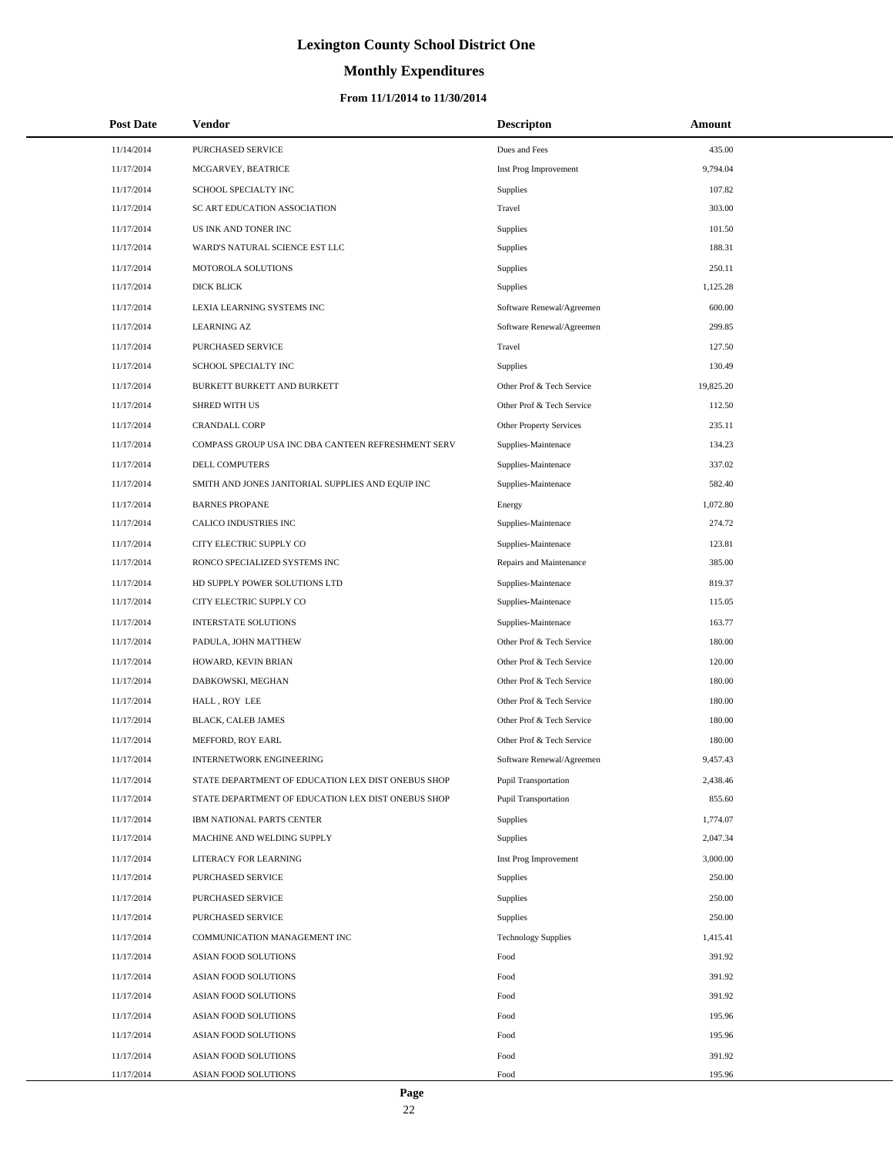# **Monthly Expenditures**

| <b>Post Date</b> | Vendor                                             | <b>Descripton</b>              | Amount    |
|------------------|----------------------------------------------------|--------------------------------|-----------|
| 11/14/2014       | PURCHASED SERVICE                                  | Dues and Fees                  | 435.00    |
| 11/17/2014       | MCGARVEY, BEATRICE                                 | Inst Prog Improvement          | 9,794.04  |
| 11/17/2014       | SCHOOL SPECIALTY INC                               | Supplies                       | 107.82    |
| 11/17/2014       | SC ART EDUCATION ASSOCIATION                       | Travel                         | 303.00    |
| 11/17/2014       | US INK AND TONER INC                               | Supplies                       | 101.50    |
| 11/17/2014       | WARD'S NATURAL SCIENCE EST LLC                     | Supplies                       | 188.31    |
| 11/17/2014       | MOTOROLA SOLUTIONS                                 | Supplies                       | 250.11    |
| 11/17/2014       | DICK BLICK                                         | Supplies                       | 1,125.28  |
| 11/17/2014       | LEXIA LEARNING SYSTEMS INC                         | Software Renewal/Agreemen      | 600.00    |
| 11/17/2014       | <b>LEARNING AZ</b>                                 | Software Renewal/Agreemen      | 299.85    |
| 11/17/2014       | PURCHASED SERVICE                                  | Travel                         | 127.50    |
| 11/17/2014       | SCHOOL SPECIALTY INC                               | Supplies                       | 130.49    |
| 11/17/2014       | BURKETT BURKETT AND BURKETT                        | Other Prof & Tech Service      | 19,825.20 |
| 11/17/2014       | <b>SHRED WITH US</b>                               | Other Prof & Tech Service      | 112.50    |
| 11/17/2014       | <b>CRANDALL CORP</b>                               | <b>Other Property Services</b> | 235.11    |
| 11/17/2014       | COMPASS GROUP USA INC DBA CANTEEN REFRESHMENT SERV | Supplies-Maintenace            | 134.23    |
| 11/17/2014       | <b>DELL COMPUTERS</b>                              | Supplies-Maintenace            | 337.02    |
| 11/17/2014       | SMITH AND JONES JANITORIAL SUPPLIES AND EQUIP INC  | Supplies-Maintenace            | 582.40    |
| 11/17/2014       | <b>BARNES PROPANE</b>                              | Energy                         | 1,072.80  |
| 11/17/2014       | CALICO INDUSTRIES INC                              | Supplies-Maintenace            | 274.72    |
| 11/17/2014       | CITY ELECTRIC SUPPLY CO                            | Supplies-Maintenace            | 123.81    |
| 11/17/2014       | RONCO SPECIALIZED SYSTEMS INC                      | Repairs and Maintenance        | 385.00    |
| 11/17/2014       | HD SUPPLY POWER SOLUTIONS LTD                      | Supplies-Maintenace            | 819.37    |
| 11/17/2014       | CITY ELECTRIC SUPPLY CO                            | Supplies-Maintenace            | 115.05    |
| 11/17/2014       | <b>INTERSTATE SOLUTIONS</b>                        | Supplies-Maintenace            | 163.77    |
| 11/17/2014       | PADULA, JOHN MATTHEW                               | Other Prof & Tech Service      | 180.00    |
| 11/17/2014       | HOWARD, KEVIN BRIAN                                | Other Prof & Tech Service      | 120.00    |
| 11/17/2014       | DABKOWSKI, MEGHAN                                  | Other Prof & Tech Service      | 180.00    |
| 11/17/2014       | HALL, ROY LEE                                      | Other Prof & Tech Service      | 180.00    |
| 11/17/2014       | <b>BLACK, CALEB JAMES</b>                          | Other Prof & Tech Service      | 180.00    |
| 11/17/2014       | MEFFORD, ROY EARL                                  | Other Prof & Tech Service      | 180.00    |
| 11/17/2014       | <b>INTERNETWORK ENGINEERING</b>                    | Software Renewal/Agreemen      | 9,457.43  |
| 11/17/2014       | STATE DEPARTMENT OF EDUCATION LEX DIST ONEBUS SHOP | Pupil Transportation           | 2,438.46  |
| 11/17/2014       | STATE DEPARTMENT OF EDUCATION LEX DIST ONEBUS SHOP | <b>Pupil Transportation</b>    | 855.60    |
| 11/17/2014       | IBM NATIONAL PARTS CENTER                          | Supplies                       | 1,774.07  |
| 11/17/2014       | MACHINE AND WELDING SUPPLY                         | Supplies                       | 2,047.34  |
| 11/17/2014       | LITERACY FOR LEARNING                              | Inst Prog Improvement          | 3,000.00  |
| 11/17/2014       | PURCHASED SERVICE                                  | Supplies                       | 250.00    |
| 11/17/2014       | PURCHASED SERVICE                                  | Supplies                       | 250.00    |
| 11/17/2014       | PURCHASED SERVICE                                  | Supplies                       | 250.00    |
| 11/17/2014       | COMMUNICATION MANAGEMENT INC                       | <b>Technology Supplies</b>     | 1,415.41  |
| 11/17/2014       | ASIAN FOOD SOLUTIONS                               | Food                           | 391.92    |
| 11/17/2014       | ASIAN FOOD SOLUTIONS                               | Food                           | 391.92    |
| 11/17/2014       | ASIAN FOOD SOLUTIONS                               | Food                           | 391.92    |
| 11/17/2014       | ASIAN FOOD SOLUTIONS                               | Food                           | 195.96    |
| 11/17/2014       | ASIAN FOOD SOLUTIONS                               | Food                           | 195.96    |
| 11/17/2014       | ASIAN FOOD SOLUTIONS                               | Food                           | 391.92    |
| 11/17/2014       | ASIAN FOOD SOLUTIONS                               | Food                           | 195.96    |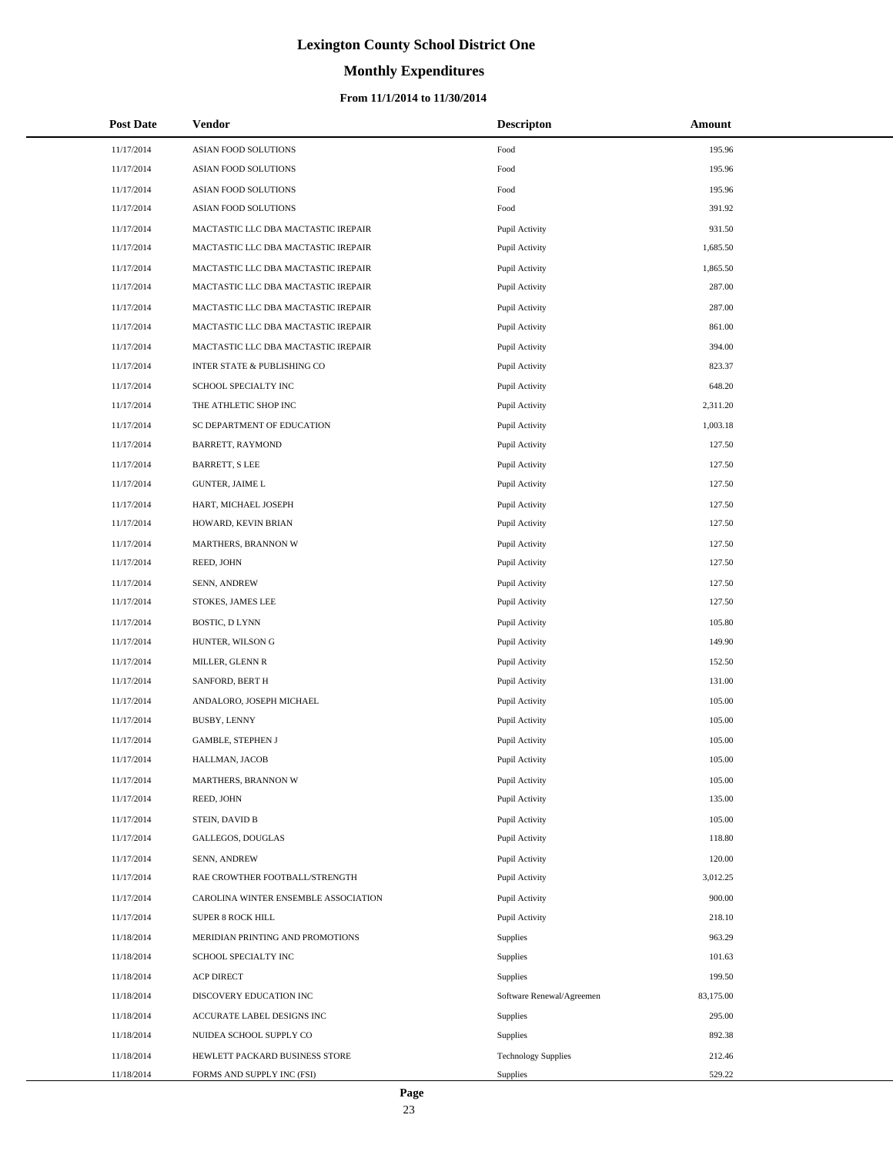# **Monthly Expenditures**

### **From 11/1/2014 to 11/30/2014**

| <b>Post Date</b> | Vendor                                 | <b>Descripton</b>          | Amount    |
|------------------|----------------------------------------|----------------------------|-----------|
| 11/17/2014       | ASIAN FOOD SOLUTIONS                   | Food                       | 195.96    |
| 11/17/2014       | ASIAN FOOD SOLUTIONS                   | Food                       | 195.96    |
| 11/17/2014       | ASIAN FOOD SOLUTIONS                   | Food                       | 195.96    |
| 11/17/2014       | ASIAN FOOD SOLUTIONS                   | Food                       | 391.92    |
| 11/17/2014       | MACTASTIC LLC DBA MACTASTIC IREPAIR    | Pupil Activity             | 931.50    |
| 11/17/2014       | MACTASTIC LLC DBA MACTASTIC IREPAIR    | Pupil Activity             | 1,685.50  |
| 11/17/2014       | MACTASTIC LLC DBA MACTASTIC IREPAIR    | Pupil Activity             | 1,865.50  |
| 11/17/2014       | MACTASTIC LLC DBA MACTASTIC IREPAIR    | Pupil Activity             | 287.00    |
| 11/17/2014       | MACTASTIC LLC DBA MACTASTIC IREPAIR    | Pupil Activity             | 287.00    |
| 11/17/2014       | MACTASTIC LLC DBA MACTASTIC IREPAIR    | Pupil Activity             | 861.00    |
| 11/17/2014       | MACTASTIC LLC DBA MACTASTIC IREPAIR    | Pupil Activity             | 394.00    |
| 11/17/2014       | <b>INTER STATE &amp; PUBLISHING CO</b> | Pupil Activity             | 823.37    |
| 11/17/2014       | SCHOOL SPECIALTY INC                   | Pupil Activity             | 648.20    |
| 11/17/2014       | THE ATHLETIC SHOP INC                  | Pupil Activity             | 2,311.20  |
| 11/17/2014       | SC DEPARTMENT OF EDUCATION             | Pupil Activity             | 1,003.18  |
| 11/17/2014       | BARRETT, RAYMOND                       | Pupil Activity             | 127.50    |
| 11/17/2014       | <b>BARRETT, S LEE</b>                  | Pupil Activity             | 127.50    |
| 11/17/2014       | <b>GUNTER, JAIME L</b>                 | Pupil Activity             | 127.50    |
| 11/17/2014       | HART, MICHAEL JOSEPH                   | Pupil Activity             | 127.50    |
| 11/17/2014       | HOWARD, KEVIN BRIAN                    | Pupil Activity             | 127.50    |
| 11/17/2014       | MARTHERS, BRANNON W                    | Pupil Activity             | 127.50    |
| 11/17/2014       | REED, JOHN                             | Pupil Activity             | 127.50    |
| 11/17/2014       | SENN, ANDREW                           | Pupil Activity             | 127.50    |
| 11/17/2014       | STOKES, JAMES LEE                      | Pupil Activity             | 127.50    |
| 11/17/2014       | BOSTIC, D LYNN                         | Pupil Activity             | 105.80    |
| 11/17/2014       | HUNTER, WILSON G                       | Pupil Activity             | 149.90    |
| 11/17/2014       | MILLER, GLENN R                        | Pupil Activity             | 152.50    |
| 11/17/2014       | <b>SANFORD, BERT H</b>                 | Pupil Activity             | 131.00    |
| 11/17/2014       | ANDALORO, JOSEPH MICHAEL               | Pupil Activity             | 105.00    |
| 11/17/2014       | BUSBY, LENNY                           | Pupil Activity             | 105.00    |
| 11/17/2014       | <b>GAMBLE, STEPHEN J</b>               | Pupil Activity             | 105.00    |
| 11/17/2014       | HALLMAN, JACOB                         | Pupil Activity             | 105.00    |
| 11/17/2014       | MARTHERS, BRANNON W                    | Pupil Activity             | 105.00    |
| 11/17/2014       | REED, JOHN                             | Pupil Activity             | 135.00    |
| 11/17/2014       | STEIN, DAVID B                         | Pupil Activity             | 105.00    |
| 11/17/2014       | GALLEGOS, DOUGLAS                      | Pupil Activity             | 118.80    |
| 11/17/2014       | SENN, ANDREW                           | Pupil Activity             | 120.00    |
| 11/17/2014       | RAE CROWTHER FOOTBALL/STRENGTH         | Pupil Activity             | 3,012.25  |
| 11/17/2014       | CAROLINA WINTER ENSEMBLE ASSOCIATION   | Pupil Activity             | 900.00    |
| 11/17/2014       | <b>SUPER 8 ROCK HILL</b>               | Pupil Activity             | 218.10    |
| 11/18/2014       | MERIDIAN PRINTING AND PROMOTIONS       | Supplies                   | 963.29    |
| 11/18/2014       | SCHOOL SPECIALTY INC                   | Supplies                   | 101.63    |
| 11/18/2014       | <b>ACP DIRECT</b>                      | Supplies                   | 199.50    |
| 11/18/2014       | DISCOVERY EDUCATION INC                | Software Renewal/Agreemen  | 83,175.00 |
| 11/18/2014       | ACCURATE LABEL DESIGNS INC             | Supplies                   | 295.00    |
| 11/18/2014       | NUIDEA SCHOOL SUPPLY CO                | Supplies                   | 892.38    |
| 11/18/2014       | HEWLETT PACKARD BUSINESS STORE         | <b>Technology Supplies</b> | 212.46    |
| 11/18/2014       | FORMS AND SUPPLY INC (FSI)             | Supplies                   | 529.22    |

÷.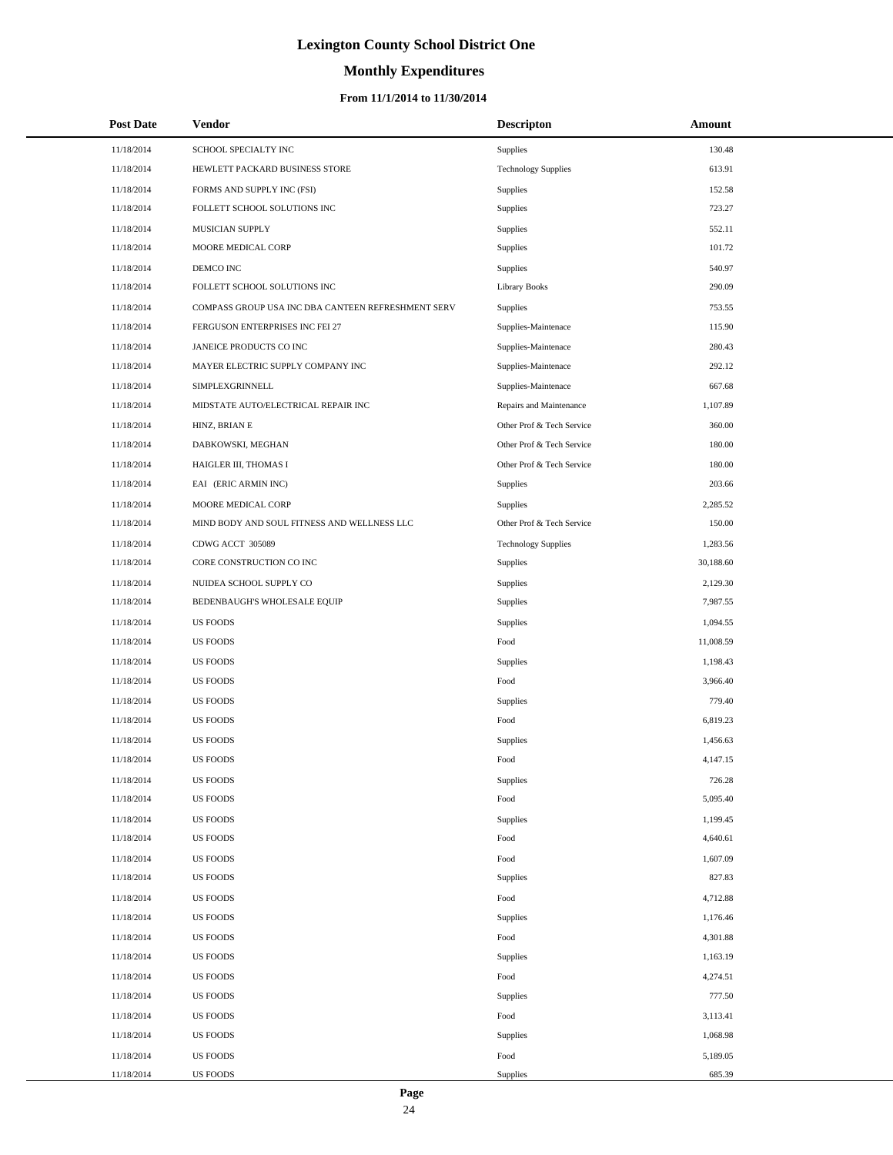# **Monthly Expenditures**

### **From 11/1/2014 to 11/30/2014**

| <b>Post Date</b> | Vendor                                             | <b>Descripton</b>          | Amount    |
|------------------|----------------------------------------------------|----------------------------|-----------|
| 11/18/2014       | SCHOOL SPECIALTY INC                               | Supplies                   | 130.48    |
| 11/18/2014       | HEWLETT PACKARD BUSINESS STORE                     | <b>Technology Supplies</b> | 613.91    |
| 11/18/2014       | FORMS AND SUPPLY INC (FSI)                         | Supplies                   | 152.58    |
| 11/18/2014       | FOLLETT SCHOOL SOLUTIONS INC                       | Supplies                   | 723.27    |
| 11/18/2014       | MUSICIAN SUPPLY                                    | Supplies                   | 552.11    |
| 11/18/2014       | MOORE MEDICAL CORP                                 | Supplies                   | 101.72    |
| 11/18/2014       | DEMCO INC                                          | Supplies                   | 540.97    |
| 11/18/2014       | FOLLETT SCHOOL SOLUTIONS INC                       | <b>Library Books</b>       | 290.09    |
| 11/18/2014       | COMPASS GROUP USA INC DBA CANTEEN REFRESHMENT SERV | Supplies                   | 753.55    |
| 11/18/2014       | FERGUSON ENTERPRISES INC FEI 27                    | Supplies-Maintenace        | 115.90    |
| 11/18/2014       | JANEICE PRODUCTS CO INC                            | Supplies-Maintenace        | 280.43    |
| 11/18/2014       | MAYER ELECTRIC SUPPLY COMPANY INC                  | Supplies-Maintenace        | 292.12    |
| 11/18/2014       | SIMPLEXGRINNELL                                    | Supplies-Maintenace        | 667.68    |
| 11/18/2014       | MIDSTATE AUTO/ELECTRICAL REPAIR INC                | Repairs and Maintenance    | 1,107.89  |
| 11/18/2014       | HINZ, BRIAN E                                      | Other Prof & Tech Service  | 360.00    |
| 11/18/2014       | DABKOWSKI, MEGHAN                                  | Other Prof & Tech Service  | 180.00    |
| 11/18/2014       | HAIGLER III, THOMAS I                              | Other Prof & Tech Service  | 180.00    |
| 11/18/2014       | EAI (ERIC ARMIN INC)                               | Supplies                   | 203.66    |
| 11/18/2014       | MOORE MEDICAL CORP                                 | Supplies                   | 2,285.52  |
| 11/18/2014       | MIND BODY AND SOUL FITNESS AND WELLNESS LLC        | Other Prof & Tech Service  | 150.00    |
| 11/18/2014       | CDWG ACCT 305089                                   | <b>Technology Supplies</b> | 1,283.56  |
| 11/18/2014       | CORE CONSTRUCTION CO INC                           | Supplies                   | 30,188.60 |
| 11/18/2014       | NUIDEA SCHOOL SUPPLY CO                            | Supplies                   | 2,129.30  |
| 11/18/2014       | BEDENBAUGH'S WHOLESALE EQUIP                       | Supplies                   | 7,987.55  |
| 11/18/2014       | <b>US FOODS</b>                                    | Supplies                   | 1,094.55  |
| 11/18/2014       | <b>US FOODS</b>                                    | Food                       | 11,008.59 |
| 11/18/2014       | <b>US FOODS</b>                                    | Supplies                   | 1,198.43  |
| 11/18/2014       | <b>US FOODS</b>                                    | Food                       | 3,966.40  |
| 11/18/2014       | <b>US FOODS</b>                                    | Supplies                   | 779.40    |
| 11/18/2014       | <b>US FOODS</b>                                    | Food                       | 6,819.23  |
| 11/18/2014       | <b>US FOODS</b>                                    | Supplies                   | 1,456.63  |
| 11/18/2014       | <b>US FOODS</b>                                    | Food                       | 4,147.15  |
| 11/18/2014       | <b>US FOODS</b>                                    | Supplies                   | 726.28    |
| 11/18/2014       | <b>US FOODS</b>                                    | Food                       | 5,095.40  |
| 11/18/2014       | <b>US FOODS</b>                                    | Supplies                   | 1,199.45  |
| 11/18/2014       | <b>US FOODS</b>                                    | Food                       | 4,640.61  |
| 11/18/2014       | <b>US FOODS</b>                                    | Food                       | 1,607.09  |
| 11/18/2014       | <b>US FOODS</b>                                    | Supplies                   | 827.83    |
| 11/18/2014       | <b>US FOODS</b>                                    | Food                       | 4,712.88  |
| 11/18/2014       | <b>US FOODS</b>                                    | Supplies                   | 1,176.46  |
| 11/18/2014       | <b>US FOODS</b>                                    | Food                       | 4,301.88  |
| 11/18/2014       | <b>US FOODS</b>                                    | Supplies                   | 1,163.19  |
| 11/18/2014       | <b>US FOODS</b>                                    | Food                       | 4,274.51  |
| 11/18/2014       | <b>US FOODS</b>                                    | Supplies                   | 777.50    |
| 11/18/2014       | <b>US FOODS</b>                                    | Food                       | 3,113.41  |
| 11/18/2014       | <b>US FOODS</b>                                    | Supplies                   | 1,068.98  |
| 11/18/2014       | <b>US FOODS</b>                                    | Food                       | 5,189.05  |
| 11/18/2014       | <b>US FOODS</b>                                    | Supplies                   | 685.39    |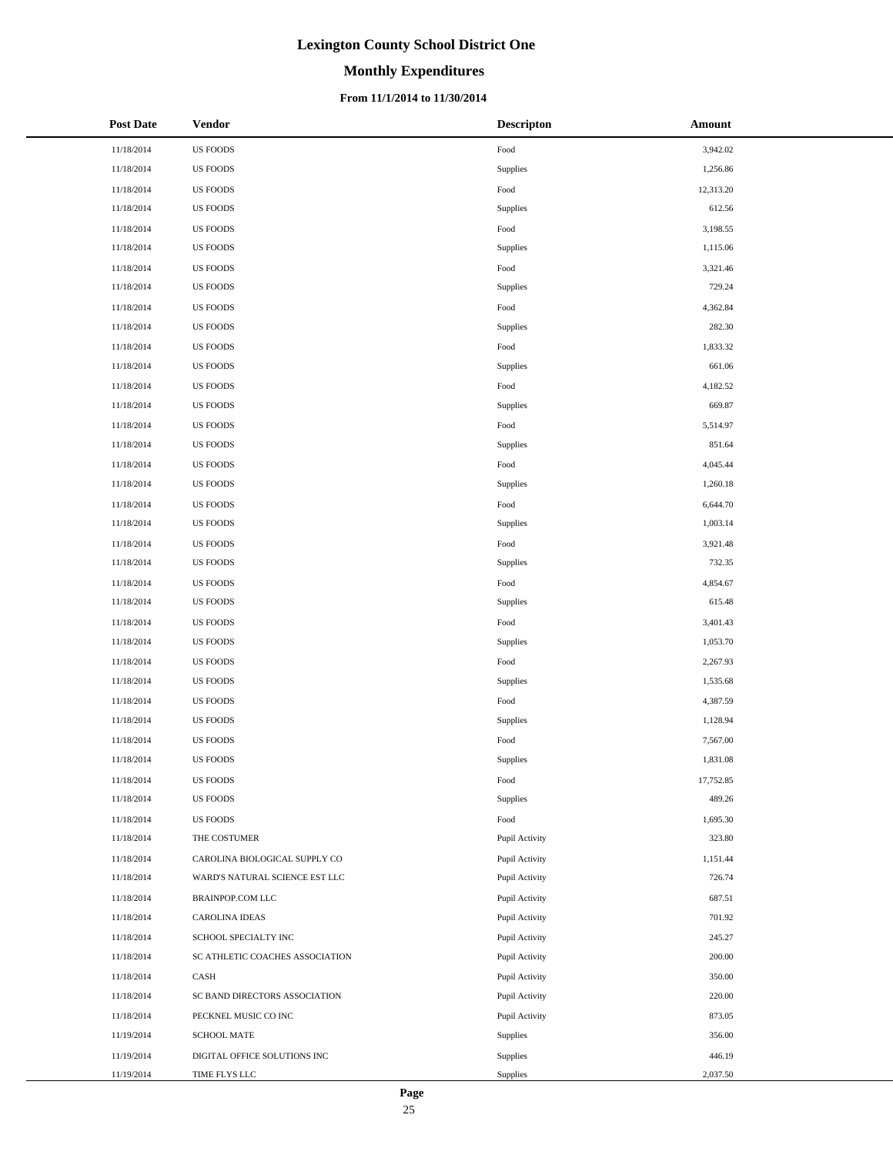# **Monthly Expenditures**

### **From 11/1/2014 to 11/30/2014**

| <b>Post Date</b> | <b>Vendor</b>                   | <b>Descripton</b>      | Amount    |
|------------------|---------------------------------|------------------------|-----------|
| 11/18/2014       | <b>US FOODS</b>                 | Food                   | 3,942.02  |
| 11/18/2014       | <b>US FOODS</b>                 | Supplies               | 1,256.86  |
| 11/18/2014       | US FOODS                        | Food                   | 12,313.20 |
| 11/18/2014       | <b>US FOODS</b>                 | Supplies               | 612.56    |
| 11/18/2014       | <b>US FOODS</b>                 | $\operatorname*{Food}$ | 3,198.55  |
| 11/18/2014       | <b>US FOODS</b>                 | Supplies               | 1,115.06  |
| 11/18/2014       | <b>US FOODS</b>                 | Food                   | 3,321.46  |
| 11/18/2014       | <b>US FOODS</b>                 | Supplies               | 729.24    |
| 11/18/2014       | <b>US FOODS</b>                 | Food                   | 4,362.84  |
| 11/18/2014       | US FOODS                        | Supplies               | 282.30    |
| 11/18/2014       | US FOODS                        | $\operatorname*{Food}$ | 1,833.32  |
| 11/18/2014       | US FOODS                        | Supplies               | 661.06    |
| 11/18/2014       | <b>US FOODS</b>                 | Food                   | 4,182.52  |
| 11/18/2014       | <b>US FOODS</b>                 | Supplies               | 669.87    |
| 11/18/2014       | <b>US FOODS</b>                 | $\operatorname*{Food}$ | 5,514.97  |
| 11/18/2014       | <b>US FOODS</b>                 | Supplies               | 851.64    |
| 11/18/2014       | <b>US FOODS</b>                 | Food                   | 4,045.44  |
| 11/18/2014       | <b>US FOODS</b>                 | Supplies               | 1,260.18  |
| 11/18/2014       | US FOODS                        | Food                   | 6,644.70  |
| 11/18/2014       | <b>US FOODS</b>                 | Supplies               | 1,003.14  |
| 11/18/2014       | <b>US FOODS</b>                 | Food                   | 3,921.48  |
| 11/18/2014       | <b>US FOODS</b>                 | Supplies               | 732.35    |
| 11/18/2014       | <b>US FOODS</b>                 | Food                   | 4,854.67  |
| 11/18/2014       | <b>US FOODS</b>                 | Supplies               | 615.48    |
| 11/18/2014       | <b>US FOODS</b>                 | Food                   | 3,401.43  |
| 11/18/2014       | <b>US FOODS</b>                 | Supplies               | 1,053.70  |
| 11/18/2014       | US FOODS                        | Food                   | 2,267.93  |
| 11/18/2014       | <b>US FOODS</b>                 | Supplies               | 1,535.68  |
| 11/18/2014       | <b>US FOODS</b>                 | Food                   | 4,387.59  |
| 11/18/2014       | <b>US FOODS</b>                 | Supplies               | 1,128.94  |
| 11/18/2014       | <b>US FOODS</b>                 | Food                   | 7,567.00  |
| 11/18/2014       | <b>US FOODS</b>                 | Supplies               | 1,831.08  |
| 11/18/2014       | <b>US FOODS</b>                 | Food                   | 17,752.85 |
| 11/18/2014       | <b>US FOODS</b>                 | Supplies               | 489.26    |
| 11/18/2014       | <b>US FOODS</b>                 | Food                   | 1,695.30  |
| 11/18/2014       | THE COSTUMER                    | Pupil Activity         | 323.80    |
| 11/18/2014       | CAROLINA BIOLOGICAL SUPPLY CO   | Pupil Activity         | 1,151.44  |
| 11/18/2014       | WARD'S NATURAL SCIENCE EST LLC  | Pupil Activity         | 726.74    |
| 11/18/2014       | BRAINPOP.COM LLC                | Pupil Activity         | 687.51    |
| 11/18/2014       | <b>CAROLINA IDEAS</b>           | Pupil Activity         | 701.92    |
| 11/18/2014       | SCHOOL SPECIALTY INC            | Pupil Activity         | 245.27    |
| 11/18/2014       | SC ATHLETIC COACHES ASSOCIATION | Pupil Activity         | 200.00    |
| 11/18/2014       | CASH                            | Pupil Activity         | 350.00    |
| 11/18/2014       | SC BAND DIRECTORS ASSOCIATION   | Pupil Activity         | 220.00    |
| 11/18/2014       | PECKNEL MUSIC CO INC            | Pupil Activity         | 873.05    |
| 11/19/2014       | <b>SCHOOL MATE</b>              | Supplies               | 356.00    |
| 11/19/2014       | DIGITAL OFFICE SOLUTIONS INC    | Supplies               | 446.19    |
| 11/19/2014       | TIME FLYS LLC                   | Supplies               | 2,037.50  |

 $\overline{\phantom{a}}$  $\overline{a}$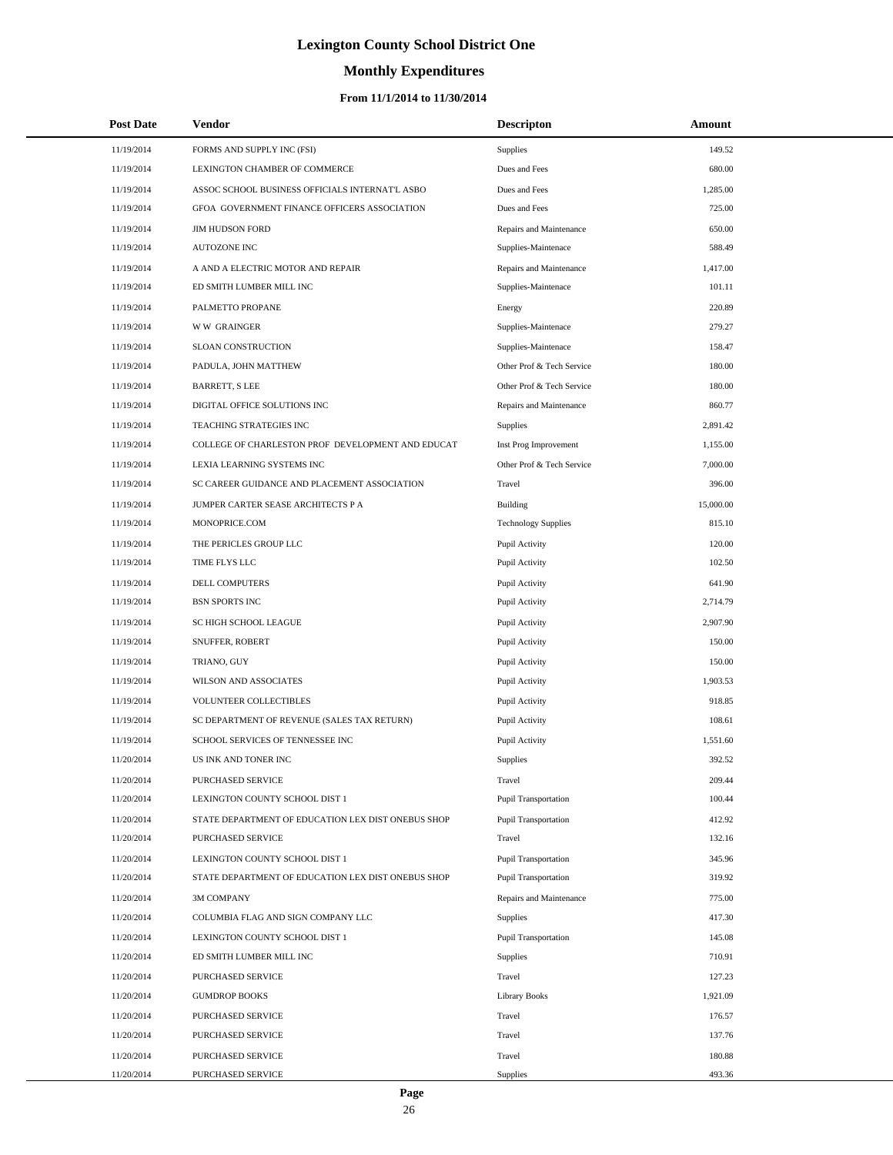# **Monthly Expenditures**

### **From 11/1/2014 to 11/30/2014**

| <b>Post Date</b> | Vendor                                             | <b>Descripton</b>           | Amount    |
|------------------|----------------------------------------------------|-----------------------------|-----------|
| 11/19/2014       | FORMS AND SUPPLY INC (FSI)                         | Supplies                    | 149.52    |
| 11/19/2014       | LEXINGTON CHAMBER OF COMMERCE                      | Dues and Fees               | 680.00    |
| 11/19/2014       | ASSOC SCHOOL BUSINESS OFFICIALS INTERNAT'L ASBO    | Dues and Fees               | 1,285.00  |
| 11/19/2014       | GFOA GOVERNMENT FINANCE OFFICERS ASSOCIATION       | Dues and Fees               | 725.00    |
| 11/19/2014       | <b>JIM HUDSON FORD</b>                             | Repairs and Maintenance     | 650.00    |
| 11/19/2014       | AUTOZONE INC                                       | Supplies-Maintenace         | 588.49    |
| 11/19/2014       | A AND A ELECTRIC MOTOR AND REPAIR                  | Repairs and Maintenance     | 1,417.00  |
| 11/19/2014       | ED SMITH LUMBER MILL INC                           | Supplies-Maintenace         | 101.11    |
| 11/19/2014       | PALMETTO PROPANE                                   | Energy                      | 220.89    |
| 11/19/2014       | <b>WW GRAINGER</b>                                 | Supplies-Maintenace         | 279.27    |
| 11/19/2014       | SLOAN CONSTRUCTION                                 | Supplies-Maintenace         | 158.47    |
| 11/19/2014       | PADULA, JOHN MATTHEW                               | Other Prof & Tech Service   | 180.00    |
| 11/19/2014       | <b>BARRETT, S LEE</b>                              | Other Prof & Tech Service   | 180.00    |
| 11/19/2014       | DIGITAL OFFICE SOLUTIONS INC                       | Repairs and Maintenance     | 860.77    |
| 11/19/2014       | TEACHING STRATEGIES INC                            | Supplies                    | 2,891.42  |
| 11/19/2014       | COLLEGE OF CHARLESTON PROF DEVELOPMENT AND EDUCAT  | Inst Prog Improvement       | 1,155.00  |
| 11/19/2014       | LEXIA LEARNING SYSTEMS INC                         | Other Prof & Tech Service   | 7,000.00  |
| 11/19/2014       | SC CAREER GUIDANCE AND PLACEMENT ASSOCIATION       | Travel                      | 396.00    |
| 11/19/2014       | JUMPER CARTER SEASE ARCHITECTS P A                 | Building                    | 15,000.00 |
| 11/19/2014       | MONOPRICE.COM                                      | <b>Technology Supplies</b>  | 815.10    |
| 11/19/2014       | THE PERICLES GROUP LLC                             | Pupil Activity              | 120.00    |
| 11/19/2014       | TIME FLYS LLC                                      | Pupil Activity              | 102.50    |
| 11/19/2014       | DELL COMPUTERS                                     | Pupil Activity              | 641.90    |
| 11/19/2014       | <b>BSN SPORTS INC</b>                              | Pupil Activity              | 2,714.79  |
| 11/19/2014       | SC HIGH SCHOOL LEAGUE                              | Pupil Activity              | 2,907.90  |
| 11/19/2014       | SNUFFER, ROBERT                                    | Pupil Activity              | 150.00    |
| 11/19/2014       | TRIANO, GUY                                        | Pupil Activity              | 150.00    |
| 11/19/2014       | WILSON AND ASSOCIATES                              | Pupil Activity              | 1,903.53  |
| 11/19/2014       | VOLUNTEER COLLECTIBLES                             | Pupil Activity              | 918.85    |
| 11/19/2014       | SC DEPARTMENT OF REVENUE (SALES TAX RETURN)        | Pupil Activity              | 108.61    |
| 11/19/2014       | SCHOOL SERVICES OF TENNESSEE INC                   | Pupil Activity              | 1,551.60  |
| 11/20/2014       | US INK AND TONER INC                               | Supplies                    | 392.52    |
| 11/20/2014       | PURCHASED SERVICE                                  | Travel                      | 209.44    |
| 11/20/2014       | LEXINGTON COUNTY SCHOOL DIST 1                     | <b>Pupil Transportation</b> | 100.44    |
| 11/20/2014       | STATE DEPARTMENT OF EDUCATION LEX DIST ONEBUS SHOP | Pupil Transportation        | 412.92    |
| 11/20/2014       | PURCHASED SERVICE                                  | Travel                      | 132.16    |
| 11/20/2014       | LEXINGTON COUNTY SCHOOL DIST 1                     | Pupil Transportation        | 345.96    |
| 11/20/2014       | STATE DEPARTMENT OF EDUCATION LEX DIST ONEBUS SHOP | Pupil Transportation        | 319.92    |
| 11/20/2014       | 3M COMPANY                                         | Repairs and Maintenance     | 775.00    |
| 11/20/2014       | COLUMBIA FLAG AND SIGN COMPANY LLC                 | Supplies                    | 417.30    |
| 11/20/2014       | LEXINGTON COUNTY SCHOOL DIST 1                     | Pupil Transportation        | 145.08    |
| 11/20/2014       | ED SMITH LUMBER MILL INC                           | Supplies                    | 710.91    |
| 11/20/2014       | PURCHASED SERVICE                                  | Travel                      | 127.23    |
| 11/20/2014       | <b>GUMDROP BOOKS</b>                               | Library Books               | 1,921.09  |
| 11/20/2014       | PURCHASED SERVICE                                  | Travel                      | 176.57    |
| 11/20/2014       | PURCHASED SERVICE                                  | Travel                      | 137.76    |
| 11/20/2014       | PURCHASED SERVICE                                  | Travel                      | 180.88    |
| 11/20/2014       | PURCHASED SERVICE                                  | Supplies                    | 493.36    |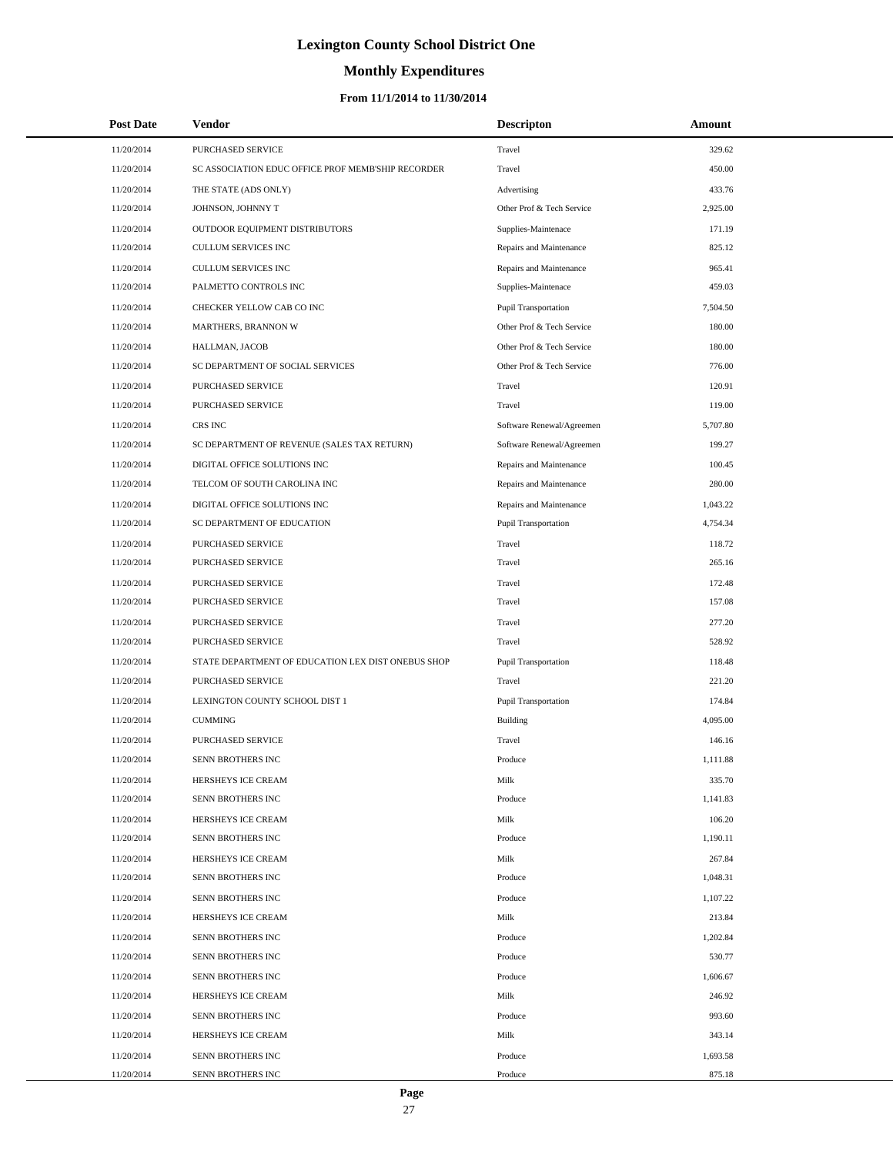# **Monthly Expenditures**

### **From 11/1/2014 to 11/30/2014**

| <b>Post Date</b> | Vendor                                             | <b>Descripton</b>           | Amount   |  |
|------------------|----------------------------------------------------|-----------------------------|----------|--|
| 11/20/2014       | PURCHASED SERVICE                                  | Travel                      | 329.62   |  |
| 11/20/2014       | SC ASSOCIATION EDUC OFFICE PROF MEMB'SHIP RECORDER | Travel                      | 450.00   |  |
| 11/20/2014       | THE STATE (ADS ONLY)                               | Advertising                 | 433.76   |  |
| 11/20/2014       | JOHNSON, JOHNNY T                                  | Other Prof & Tech Service   | 2,925.00 |  |
| 11/20/2014       | OUTDOOR EQUIPMENT DISTRIBUTORS                     | Supplies-Maintenace         | 171.19   |  |
| 11/20/2014       | CULLUM SERVICES INC                                | Repairs and Maintenance     | 825.12   |  |
| 11/20/2014       | CULLUM SERVICES INC                                | Repairs and Maintenance     | 965.41   |  |
| 11/20/2014       | PALMETTO CONTROLS INC                              | Supplies-Maintenace         | 459.03   |  |
| 11/20/2014       | CHECKER YELLOW CAB CO INC                          | <b>Pupil Transportation</b> | 7,504.50 |  |
| 11/20/2014       | MARTHERS, BRANNON W                                | Other Prof & Tech Service   | 180.00   |  |
| 11/20/2014       | HALLMAN, JACOB                                     | Other Prof & Tech Service   | 180.00   |  |
| 11/20/2014       | SC DEPARTMENT OF SOCIAL SERVICES                   | Other Prof & Tech Service   | 776.00   |  |
| 11/20/2014       | PURCHASED SERVICE                                  | Travel                      | 120.91   |  |
| 11/20/2014       | PURCHASED SERVICE                                  | Travel                      | 119.00   |  |
| 11/20/2014       | CRS INC                                            | Software Renewal/Agreemen   | 5,707.80 |  |
| 11/20/2014       | SC DEPARTMENT OF REVENUE (SALES TAX RETURN)        | Software Renewal/Agreemen   | 199.27   |  |
| 11/20/2014       | DIGITAL OFFICE SOLUTIONS INC                       | Repairs and Maintenance     | 100.45   |  |
| 11/20/2014       | TELCOM OF SOUTH CAROLINA INC                       | Repairs and Maintenance     | 280.00   |  |
| 11/20/2014       | DIGITAL OFFICE SOLUTIONS INC                       | Repairs and Maintenance     | 1,043.22 |  |
| 11/20/2014       | SC DEPARTMENT OF EDUCATION                         | Pupil Transportation        | 4,754.34 |  |
| 11/20/2014       | PURCHASED SERVICE                                  | Travel                      | 118.72   |  |
| 11/20/2014       | PURCHASED SERVICE                                  | Travel                      | 265.16   |  |
| 11/20/2014       | PURCHASED SERVICE                                  | Travel                      | 172.48   |  |
| 11/20/2014       | PURCHASED SERVICE                                  | Travel                      | 157.08   |  |
| 11/20/2014       | PURCHASED SERVICE                                  | Travel                      | 277.20   |  |
| 11/20/2014       | PURCHASED SERVICE                                  | Travel                      | 528.92   |  |
| 11/20/2014       | STATE DEPARTMENT OF EDUCATION LEX DIST ONEBUS SHOP | Pupil Transportation        | 118.48   |  |
| 11/20/2014       | PURCHASED SERVICE                                  | Travel                      | 221.20   |  |
| 11/20/2014       | LEXINGTON COUNTY SCHOOL DIST 1                     | Pupil Transportation        | 174.84   |  |
| 11/20/2014       | <b>CUMMING</b>                                     | <b>Building</b>             | 4,095.00 |  |
| 11/20/2014       | PURCHASED SERVICE                                  | Travel                      | 146.16   |  |
| 11/20/2014       | SENN BROTHERS INC                                  | Produce                     | 1,111.88 |  |
| 11/20/2014       | HERSHEYS ICE CREAM                                 | Milk                        | 335.70   |  |
| 11/20/2014       | SENN BROTHERS INC                                  | Produce                     | 1,141.83 |  |
| 11/20/2014       | HERSHEYS ICE CREAM                                 | Milk                        | 106.20   |  |
| 11/20/2014       | SENN BROTHERS INC                                  | Produce                     | 1,190.11 |  |
| 11/20/2014       | HERSHEYS ICE CREAM                                 | Milk                        | 267.84   |  |
| 11/20/2014       | SENN BROTHERS INC                                  | Produce                     | 1,048.31 |  |
| 11/20/2014       | SENN BROTHERS INC                                  | Produce                     | 1,107.22 |  |
| 11/20/2014       | HERSHEYS ICE CREAM                                 | Milk                        | 213.84   |  |
| 11/20/2014       | SENN BROTHERS INC                                  | Produce                     | 1,202.84 |  |
| 11/20/2014       | SENN BROTHERS INC                                  | Produce                     | 530.77   |  |
| 11/20/2014       | SENN BROTHERS INC                                  | Produce                     | 1,606.67 |  |
| 11/20/2014       | HERSHEYS ICE CREAM                                 | Milk                        | 246.92   |  |
| 11/20/2014       | SENN BROTHERS INC                                  | Produce                     | 993.60   |  |
| 11/20/2014       | HERSHEYS ICE CREAM                                 | Milk                        | 343.14   |  |
| 11/20/2014       | SENN BROTHERS INC                                  | Produce                     | 1,693.58 |  |
| 11/20/2014       | SENN BROTHERS INC                                  | Produce                     | 875.18   |  |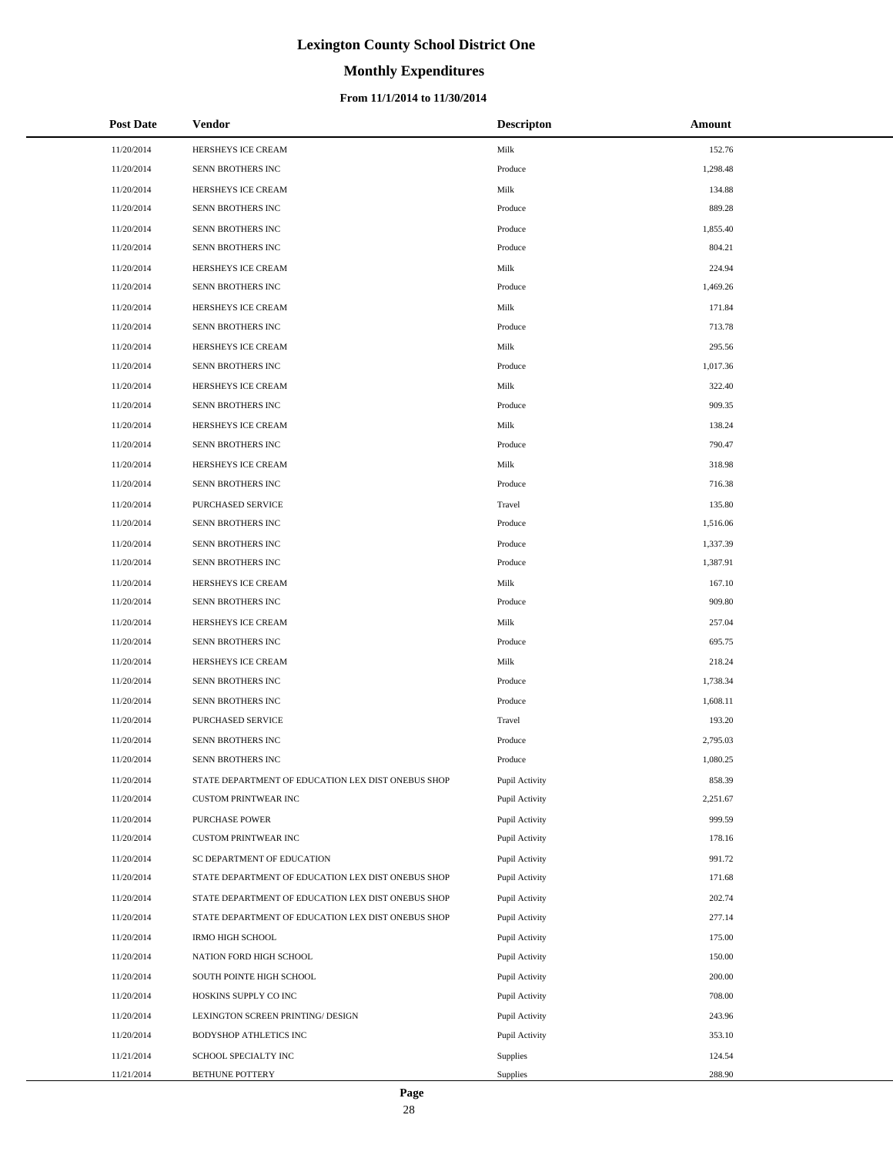# **Monthly Expenditures**

### **From 11/1/2014 to 11/30/2014**

| <b>Post Date</b> | Vendor                                             | <b>Descripton</b> | Amount   |
|------------------|----------------------------------------------------|-------------------|----------|
| 11/20/2014       | HERSHEYS ICE CREAM                                 | Milk              | 152.76   |
| 11/20/2014       | SENN BROTHERS INC                                  | Produce           | 1,298.48 |
| 11/20/2014       | HERSHEYS ICE CREAM                                 | Milk              | 134.88   |
| 11/20/2014       | SENN BROTHERS INC                                  | Produce           | 889.28   |
| 11/20/2014       | SENN BROTHERS INC                                  | Produce           | 1,855.40 |
| 11/20/2014       | SENN BROTHERS INC                                  | Produce           | 804.21   |
| 11/20/2014       | HERSHEYS ICE CREAM                                 | Milk              | 224.94   |
| 11/20/2014       | SENN BROTHERS INC                                  | Produce           | 1,469.26 |
| 11/20/2014       | HERSHEYS ICE CREAM                                 | Milk              | 171.84   |
| 11/20/2014       | SENN BROTHERS INC                                  | Produce           | 713.78   |
| 11/20/2014       | HERSHEYS ICE CREAM                                 | Milk              | 295.56   |
| 11/20/2014       | SENN BROTHERS INC                                  | Produce           | 1,017.36 |
| 11/20/2014       | HERSHEYS ICE CREAM                                 | Milk              | 322.40   |
| 11/20/2014       | SENN BROTHERS INC                                  | Produce           | 909.35   |
| 11/20/2014       | HERSHEYS ICE CREAM                                 | Milk              | 138.24   |
| 11/20/2014       | SENN BROTHERS INC                                  | Produce           | 790.47   |
| 11/20/2014       | HERSHEYS ICE CREAM                                 | Milk              | 318.98   |
| 11/20/2014       | SENN BROTHERS INC                                  | Produce           | 716.38   |
| 11/20/2014       | PURCHASED SERVICE                                  | Travel            | 135.80   |
| 11/20/2014       | SENN BROTHERS INC                                  | Produce           | 1,516.06 |
| 11/20/2014       | SENN BROTHERS INC                                  | Produce           | 1,337.39 |
| 11/20/2014       | SENN BROTHERS INC                                  | Produce           | 1,387.91 |
| 11/20/2014       | HERSHEYS ICE CREAM                                 | Milk              | 167.10   |
| 11/20/2014       | SENN BROTHERS INC                                  | Produce           | 909.80   |
| 11/20/2014       | HERSHEYS ICE CREAM                                 | Milk              | 257.04   |
| 11/20/2014       | SENN BROTHERS INC                                  | Produce           | 695.75   |
| 11/20/2014       | HERSHEYS ICE CREAM                                 | Milk              | 218.24   |
| 11/20/2014       | SENN BROTHERS INC                                  | Produce           | 1,738.34 |
| 11/20/2014       | SENN BROTHERS INC                                  | Produce           | 1,608.11 |
| 11/20/2014       | PURCHASED SERVICE                                  | Travel            | 193.20   |
| 11/20/2014       | SENN BROTHERS INC                                  | Produce           | 2,795.03 |
| 11/20/2014       | SENN BROTHERS INC                                  | Produce           | 1,080.25 |
| 11/20/2014       | STATE DEPARTMENT OF EDUCATION LEX DIST ONEBUS SHOP | Pupil Activity    | 858.39   |
| 11/20/2014       | <b>CUSTOM PRINTWEAR INC</b>                        | Pupil Activity    | 2,251.67 |
| 11/20/2014       | PURCHASE POWER                                     | Pupil Activity    | 999.59   |
| 11/20/2014       | CUSTOM PRINTWEAR INC                               | Pupil Activity    | 178.16   |
| 11/20/2014       | SC DEPARTMENT OF EDUCATION                         | Pupil Activity    | 991.72   |
| 11/20/2014       | STATE DEPARTMENT OF EDUCATION LEX DIST ONEBUS SHOP | Pupil Activity    | 171.68   |
| 11/20/2014       | STATE DEPARTMENT OF EDUCATION LEX DIST ONEBUS SHOP | Pupil Activity    | 202.74   |
| 11/20/2014       | STATE DEPARTMENT OF EDUCATION LEX DIST ONEBUS SHOP | Pupil Activity    | 277.14   |
| 11/20/2014       | IRMO HIGH SCHOOL                                   | Pupil Activity    | 175.00   |
| 11/20/2014       | NATION FORD HIGH SCHOOL                            | Pupil Activity    | 150.00   |
| 11/20/2014       | SOUTH POINTE HIGH SCHOOL                           | Pupil Activity    | 200.00   |
| 11/20/2014       | HOSKINS SUPPLY CO INC                              | Pupil Activity    | 708.00   |
| 11/20/2014       | LEXINGTON SCREEN PRINTING/ DESIGN                  | Pupil Activity    | 243.96   |
| 11/20/2014       | BODYSHOP ATHLETICS INC                             | Pupil Activity    | 353.10   |
| 11/21/2014       | SCHOOL SPECIALTY INC                               | Supplies          | 124.54   |
| 11/21/2014       | BETHUNE POTTERY                                    | Supplies          | 288.90   |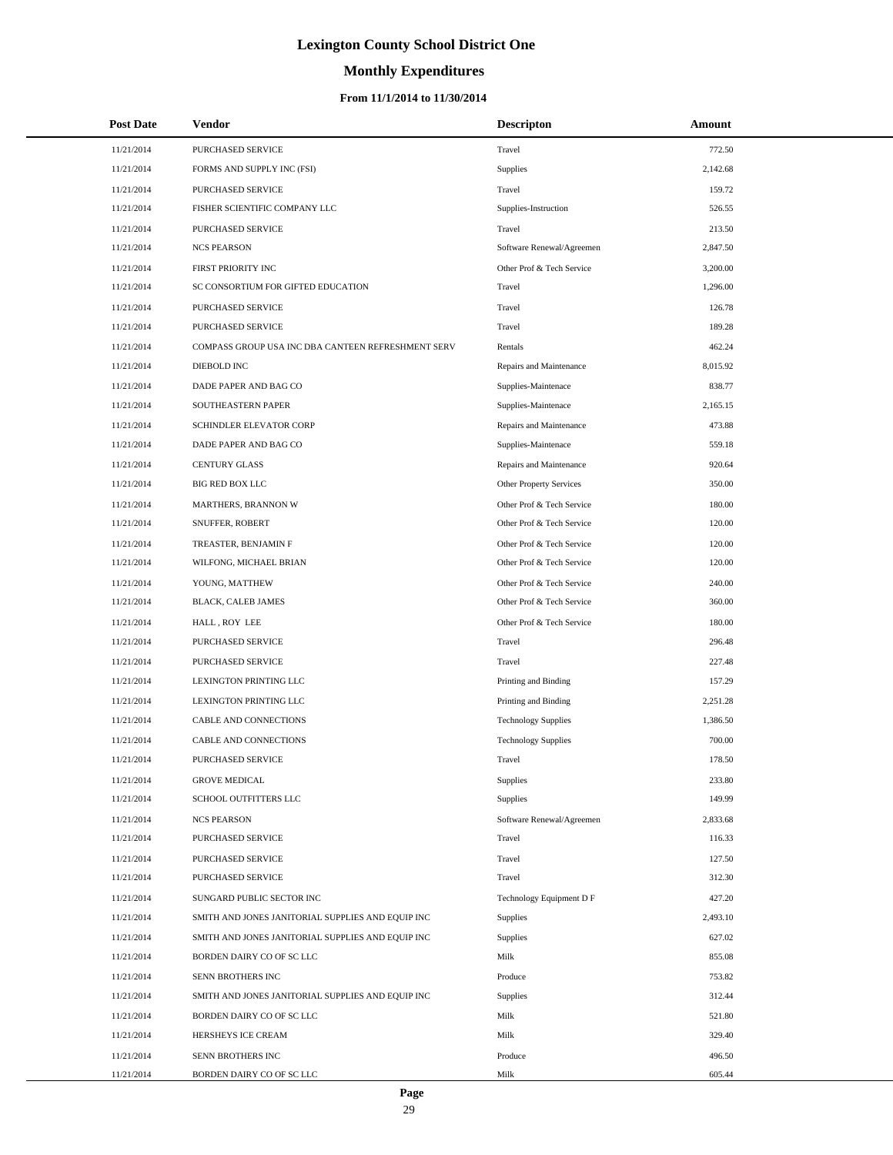# **Monthly Expenditures**

### **From 11/1/2014 to 11/30/2014**

| <b>Post Date</b> | <b>Vendor</b>                                      | <b>Descripton</b>          | Amount   |
|------------------|----------------------------------------------------|----------------------------|----------|
| 11/21/2014       | PURCHASED SERVICE                                  | Travel                     | 772.50   |
| 11/21/2014       | FORMS AND SUPPLY INC (FSI)                         | Supplies                   | 2,142.68 |
| 11/21/2014       | PURCHASED SERVICE                                  | Travel                     | 159.72   |
| 11/21/2014       | FISHER SCIENTIFIC COMPANY LLC                      | Supplies-Instruction       | 526.55   |
| 11/21/2014       | PURCHASED SERVICE                                  | Travel                     | 213.50   |
| 11/21/2014       | <b>NCS PEARSON</b>                                 | Software Renewal/Agreemen  | 2,847.50 |
| 11/21/2014       | FIRST PRIORITY INC                                 | Other Prof & Tech Service  | 3,200.00 |
| 11/21/2014       | SC CONSORTIUM FOR GIFTED EDUCATION                 | Travel                     | 1,296.00 |
| 11/21/2014       | PURCHASED SERVICE                                  | Travel                     | 126.78   |
| 11/21/2014       | PURCHASED SERVICE                                  | Travel                     | 189.28   |
| 11/21/2014       | COMPASS GROUP USA INC DBA CANTEEN REFRESHMENT SERV | Rentals                    | 462.24   |
| 11/21/2014       | DIEBOLD INC                                        | Repairs and Maintenance    | 8,015.92 |
| 11/21/2014       | DADE PAPER AND BAG CO                              | Supplies-Maintenace        | 838.77   |
| 11/21/2014       | <b>SOUTHEASTERN PAPER</b>                          | Supplies-Maintenace        | 2,165.15 |
| 11/21/2014       | SCHINDLER ELEVATOR CORP                            | Repairs and Maintenance    | 473.88   |
| 11/21/2014       | DADE PAPER AND BAG CO                              | Supplies-Maintenace        | 559.18   |
| 11/21/2014       | <b>CENTURY GLASS</b>                               | Repairs and Maintenance    | 920.64   |
| 11/21/2014       | <b>BIG RED BOX LLC</b>                             | Other Property Services    | 350.00   |
| 11/21/2014       | MARTHERS, BRANNON W                                | Other Prof & Tech Service  | 180.00   |
| 11/21/2014       | SNUFFER, ROBERT                                    | Other Prof & Tech Service  | 120.00   |
| 11/21/2014       | TREASTER, BENJAMIN F                               | Other Prof & Tech Service  | 120.00   |
| 11/21/2014       | WILFONG, MICHAEL BRIAN                             | Other Prof & Tech Service  | 120.00   |
| 11/21/2014       | YOUNG, MATTHEW                                     | Other Prof & Tech Service  | 240.00   |
| 11/21/2014       | BLACK, CALEB JAMES                                 | Other Prof & Tech Service  | 360.00   |
| 11/21/2014       | HALL, ROY LEE                                      | Other Prof & Tech Service  | 180.00   |
| 11/21/2014       | PURCHASED SERVICE                                  | Travel                     | 296.48   |
| 11/21/2014       | PURCHASED SERVICE                                  | Travel                     | 227.48   |
| 11/21/2014       | LEXINGTON PRINTING LLC                             | Printing and Binding       | 157.29   |
| 11/21/2014       | LEXINGTON PRINTING LLC                             | Printing and Binding       | 2,251.28 |
| 11/21/2014       | CABLE AND CONNECTIONS                              | <b>Technology Supplies</b> | 1,386.50 |
| 11/21/2014       | CABLE AND CONNECTIONS                              | <b>Technology Supplies</b> | 700.00   |
| 11/21/2014       | PURCHASED SERVICE                                  | Travel                     | 178.50   |
| 11/21/2014       | <b>GROVE MEDICAL</b>                               | Supplies                   | 233.80   |
| 11/21/2014       | SCHOOL OUTFITTERS LLC                              | Supplies                   | 149.99   |
| 11/21/2014       | <b>NCS PEARSON</b>                                 | Software Renewal/Agreemen  | 2,833.68 |
| 11/21/2014       | <b>PURCHASED SERVICE</b>                           | Travel                     | 116.33   |
| 11/21/2014       | PURCHASED SERVICE                                  | Travel                     | 127.50   |
| 11/21/2014       | <b>PURCHASED SERVICE</b>                           | Travel                     | 312.30   |
| 11/21/2014       | SUNGARD PUBLIC SECTOR INC                          | Technology Equipment D F   | 427.20   |
| 11/21/2014       | SMITH AND JONES JANITORIAL SUPPLIES AND EQUIP INC  | Supplies                   | 2,493.10 |
| 11/21/2014       | SMITH AND JONES JANITORIAL SUPPLIES AND EQUIP INC  | Supplies                   | 627.02   |
| 11/21/2014       | BORDEN DAIRY CO OF SC LLC                          | Milk                       | 855.08   |
| 11/21/2014       | SENN BROTHERS INC                                  | Produce                    | 753.82   |
| 11/21/2014       | SMITH AND JONES JANITORIAL SUPPLIES AND EQUIP INC  | Supplies                   | 312.44   |
| 11/21/2014       | BORDEN DAIRY CO OF SC LLC                          | Milk                       | 521.80   |
| 11/21/2014       | HERSHEYS ICE CREAM                                 | Milk                       | 329.40   |
| 11/21/2014       | SENN BROTHERS INC                                  | Produce                    | 496.50   |
| 11/21/2014       | BORDEN DAIRY CO OF SC LLC                          | Milk                       | 605.44   |

L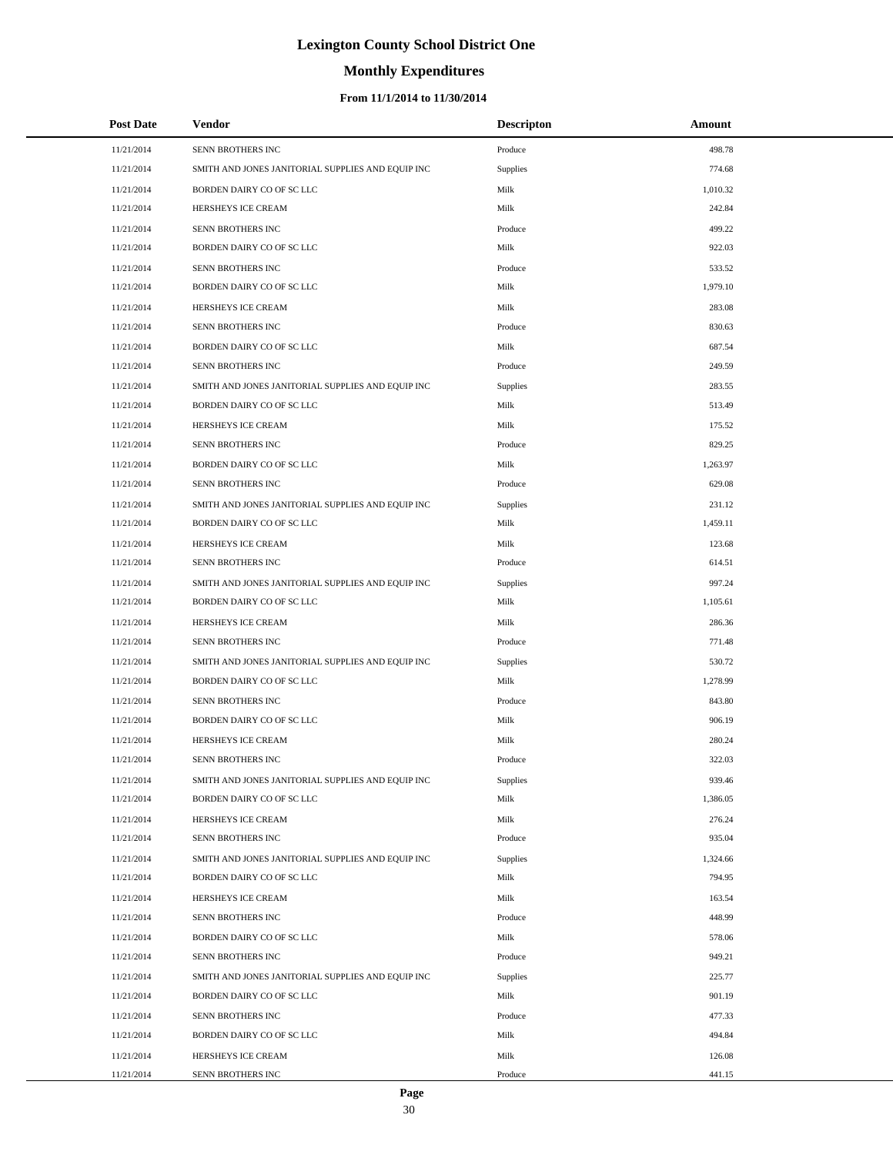# **Monthly Expenditures**

### **From 11/1/2014 to 11/30/2014**

| <b>Post Date</b> | <b>Vendor</b>                                     | <b>Descripton</b> | Amount   |  |
|------------------|---------------------------------------------------|-------------------|----------|--|
| 11/21/2014       | SENN BROTHERS INC                                 | Produce           | 498.78   |  |
| 11/21/2014       | SMITH AND JONES JANITORIAL SUPPLIES AND EQUIP INC | Supplies          | 774.68   |  |
| 11/21/2014       | BORDEN DAIRY CO OF SC LLC                         | Milk              | 1,010.32 |  |
| 11/21/2014       | HERSHEYS ICE CREAM                                | Milk              | 242.84   |  |
| 11/21/2014       | SENN BROTHERS INC                                 | Produce           | 499.22   |  |
| 11/21/2014       | BORDEN DAIRY CO OF SC LLC                         | Milk              | 922.03   |  |
| 11/21/2014       | SENN BROTHERS INC                                 | Produce           | 533.52   |  |
| 11/21/2014       | BORDEN DAIRY CO OF SC LLC                         | Milk              | 1,979.10 |  |
| 11/21/2014       | HERSHEYS ICE CREAM                                | Milk              | 283.08   |  |
| 11/21/2014       | SENN BROTHERS INC                                 | Produce           | 830.63   |  |
| 11/21/2014       | BORDEN DAIRY CO OF SC LLC                         | Milk              | 687.54   |  |
| 11/21/2014       | SENN BROTHERS INC                                 | Produce           | 249.59   |  |
| 11/21/2014       | SMITH AND JONES JANITORIAL SUPPLIES AND EQUIP INC | Supplies          | 283.55   |  |
| 11/21/2014       | BORDEN DAIRY CO OF SC LLC                         | Milk              | 513.49   |  |
| 11/21/2014       | HERSHEYS ICE CREAM                                | Milk              | 175.52   |  |
| 11/21/2014       | SENN BROTHERS INC                                 | Produce           | 829.25   |  |
| 11/21/2014       | BORDEN DAIRY CO OF SC LLC                         | Milk              | 1,263.97 |  |
| 11/21/2014       | SENN BROTHERS INC                                 | Produce           | 629.08   |  |
| 11/21/2014       | SMITH AND JONES JANITORIAL SUPPLIES AND EQUIP INC | Supplies          | 231.12   |  |
| 11/21/2014       | BORDEN DAIRY CO OF SC LLC                         | Milk              | 1,459.11 |  |
| 11/21/2014       | HERSHEYS ICE CREAM                                | Milk              | 123.68   |  |
| 11/21/2014       | SENN BROTHERS INC                                 | Produce           | 614.51   |  |
| 11/21/2014       | SMITH AND JONES JANITORIAL SUPPLIES AND EQUIP INC | Supplies          | 997.24   |  |
| 11/21/2014       | BORDEN DAIRY CO OF SC LLC                         | Milk              | 1,105.61 |  |
| 11/21/2014       | HERSHEYS ICE CREAM                                | Milk              | 286.36   |  |
| 11/21/2014       | SENN BROTHERS INC                                 | Produce           | 771.48   |  |
| 11/21/2014       | SMITH AND JONES JANITORIAL SUPPLIES AND EQUIP INC | Supplies          | 530.72   |  |
| 11/21/2014       | BORDEN DAIRY CO OF SC LLC                         | Milk              | 1,278.99 |  |
| 11/21/2014       | SENN BROTHERS INC                                 | Produce           | 843.80   |  |
| 11/21/2014       | BORDEN DAIRY CO OF SC LLC                         | Milk              | 906.19   |  |
| 11/21/2014       | HERSHEYS ICE CREAM                                | Milk              | 280.24   |  |
| 11/21/2014       | SENN BROTHERS INC                                 | Produce           | 322.03   |  |
| 11/21/2014       | SMITH AND JONES JANITORIAL SUPPLIES AND EQUIP INC | Supplies          | 939.46   |  |
| 11/21/2014       | BORDEN DAIRY CO OF SC LLC                         | Milk              | 1,386.05 |  |
| 11/21/2014       | HERSHEYS ICE CREAM                                | Milk              | 276.24   |  |
| 11/21/2014       | SENN BROTHERS INC                                 | Produce           | 935.04   |  |
| 11/21/2014       | SMITH AND JONES JANITORIAL SUPPLIES AND EQUIP INC | <b>Supplies</b>   | 1,324.66 |  |
| 11/21/2014       | BORDEN DAIRY CO OF SC LLC                         | Milk              | 794.95   |  |
| 11/21/2014       | HERSHEYS ICE CREAM                                | Milk              | 163.54   |  |
| 11/21/2014       | SENN BROTHERS INC                                 | Produce           | 448.99   |  |
| 11/21/2014       | BORDEN DAIRY CO OF SC LLC                         | Milk              | 578.06   |  |
| 11/21/2014       | SENN BROTHERS INC                                 | Produce           | 949.21   |  |
| 11/21/2014       | SMITH AND JONES JANITORIAL SUPPLIES AND EQUIP INC | Supplies          | 225.77   |  |
| 11/21/2014       | BORDEN DAIRY CO OF SC LLC                         | Milk              | 901.19   |  |
| 11/21/2014       | SENN BROTHERS INC                                 | Produce           | 477.33   |  |
| 11/21/2014       | BORDEN DAIRY CO OF SC LLC                         | Milk              | 494.84   |  |
| 11/21/2014       | HERSHEYS ICE CREAM                                | Milk              | 126.08   |  |
| 11/21/2014       | SENN BROTHERS INC                                 | Produce           | 441.15   |  |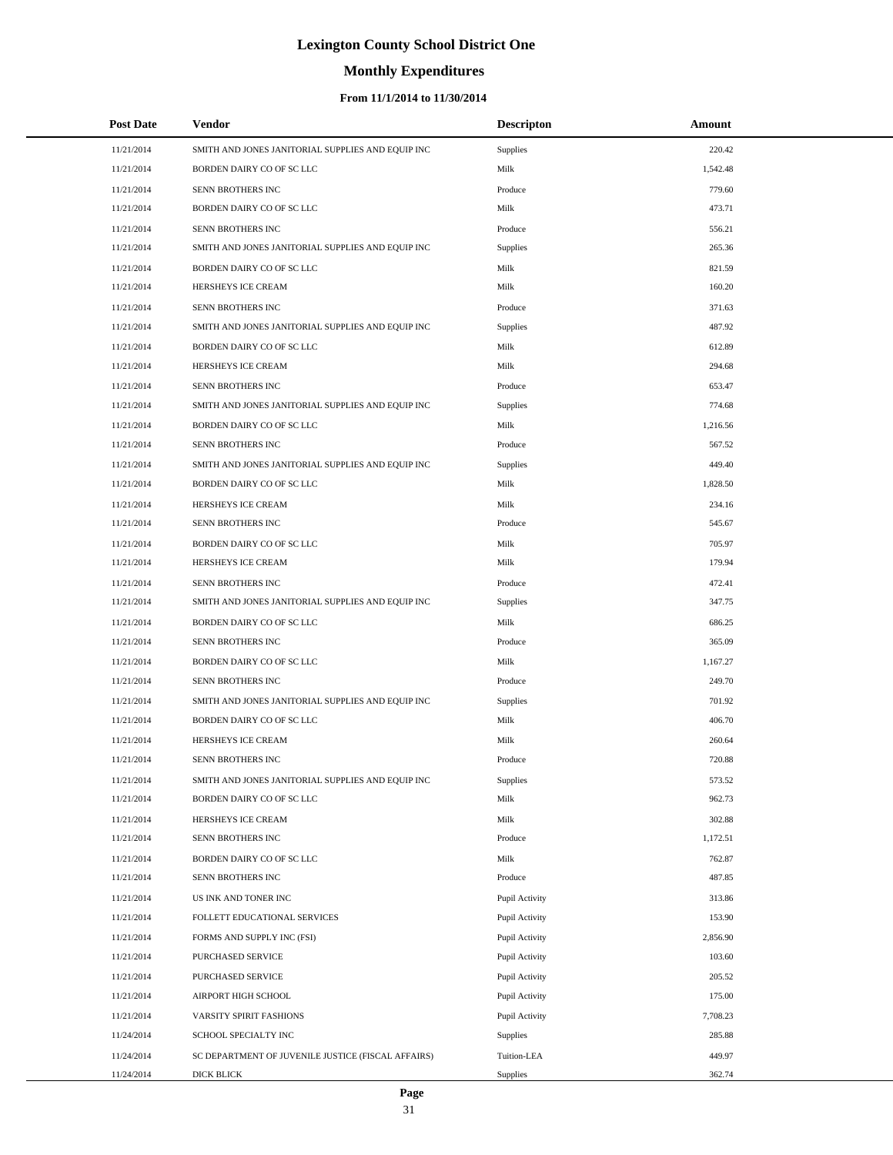# **Monthly Expenditures**

### **From 11/1/2014 to 11/30/2014**

| <b>Post Date</b> | Vendor                                             | <b>Descripton</b> | Amount   |  |
|------------------|----------------------------------------------------|-------------------|----------|--|
| 11/21/2014       | SMITH AND JONES JANITORIAL SUPPLIES AND EQUIP INC  | Supplies          | 220.42   |  |
| 11/21/2014       | BORDEN DAIRY CO OF SC LLC                          | Milk              | 1,542.48 |  |
| 11/21/2014       | SENN BROTHERS INC                                  | Produce           | 779.60   |  |
| 11/21/2014       | BORDEN DAIRY CO OF SC LLC                          | Milk              | 473.71   |  |
| 11/21/2014       | SENN BROTHERS INC                                  | Produce           | 556.21   |  |
| 11/21/2014       | SMITH AND JONES JANITORIAL SUPPLIES AND EQUIP INC  | Supplies          | 265.36   |  |
| 11/21/2014       | BORDEN DAIRY CO OF SC LLC                          | Milk              | 821.59   |  |
| 11/21/2014       | HERSHEYS ICE CREAM                                 | Milk              | 160.20   |  |
| 11/21/2014       | SENN BROTHERS INC                                  | Produce           | 371.63   |  |
| 11/21/2014       | SMITH AND JONES JANITORIAL SUPPLIES AND EQUIP INC  | <b>Supplies</b>   | 487.92   |  |
| 11/21/2014       | BORDEN DAIRY CO OF SC LLC                          | Milk              | 612.89   |  |
| 11/21/2014       | HERSHEYS ICE CREAM                                 | Milk              | 294.68   |  |
| 11/21/2014       | SENN BROTHERS INC                                  | Produce           | 653.47   |  |
| 11/21/2014       | SMITH AND JONES JANITORIAL SUPPLIES AND EQUIP INC  | <b>Supplies</b>   | 774.68   |  |
| 11/21/2014       | BORDEN DAIRY CO OF SC LLC                          | Milk              | 1,216.56 |  |
| 11/21/2014       | SENN BROTHERS INC                                  | Produce           | 567.52   |  |
| 11/21/2014       | SMITH AND JONES JANITORIAL SUPPLIES AND EQUIP INC  | Supplies          | 449.40   |  |
| 11/21/2014       | BORDEN DAIRY CO OF SC LLC                          | Milk              | 1,828.50 |  |
| 11/21/2014       | HERSHEYS ICE CREAM                                 | Milk              | 234.16   |  |
| 11/21/2014       | SENN BROTHERS INC                                  | Produce           | 545.67   |  |
| 11/21/2014       | BORDEN DAIRY CO OF SC LLC                          | Milk              | 705.97   |  |
| 11/21/2014       | HERSHEYS ICE CREAM                                 | Milk              | 179.94   |  |
| 11/21/2014       | SENN BROTHERS INC                                  | Produce           | 472.41   |  |
| 11/21/2014       | SMITH AND JONES JANITORIAL SUPPLIES AND EQUIP INC  | <b>Supplies</b>   | 347.75   |  |
| 11/21/2014       | BORDEN DAIRY CO OF SC LLC                          | Milk              | 686.25   |  |
| 11/21/2014       | SENN BROTHERS INC                                  | Produce           | 365.09   |  |
| 11/21/2014       | BORDEN DAIRY CO OF SC LLC                          | Milk              | 1,167.27 |  |
| 11/21/2014       | SENN BROTHERS INC                                  | Produce           | 249.70   |  |
| 11/21/2014       | SMITH AND JONES JANITORIAL SUPPLIES AND EQUIP INC  | Supplies          | 701.92   |  |
| 11/21/2014       | BORDEN DAIRY CO OF SC LLC                          | Milk              | 406.70   |  |
| 11/21/2014       | HERSHEYS ICE CREAM                                 | Milk              | 260.64   |  |
| 11/21/2014       | SENN BROTHERS INC                                  | Produce           | 720.88   |  |
| 11/21/2014       | SMITH AND JONES JANITORIAL SUPPLIES AND EQUIP INC  | Supplies          | 573.52   |  |
| 11/21/2014       | BORDEN DAIRY CO OF SC LLC                          | Milk              | 962.73   |  |
| 11/21/2014       | HERSHEYS ICE CREAM                                 | Milk              | 302.88   |  |
| 11/21/2014       | SENN BROTHERS INC                                  | Produce           | 1,172.51 |  |
| 11/21/2014       | BORDEN DAIRY CO OF SC LLC                          | Milk              | 762.87   |  |
| 11/21/2014       | SENN BROTHERS INC                                  | Produce           | 487.85   |  |
| 11/21/2014       | US INK AND TONER INC                               | Pupil Activity    | 313.86   |  |
| 11/21/2014       | FOLLETT EDUCATIONAL SERVICES                       | Pupil Activity    | 153.90   |  |
| 11/21/2014       | FORMS AND SUPPLY INC (FSI)                         | Pupil Activity    | 2,856.90 |  |
| 11/21/2014       | PURCHASED SERVICE                                  | Pupil Activity    | 103.60   |  |
| 11/21/2014       | PURCHASED SERVICE                                  | Pupil Activity    | 205.52   |  |
| 11/21/2014       | AIRPORT HIGH SCHOOL                                | Pupil Activity    | 175.00   |  |
| 11/21/2014       | VARSITY SPIRIT FASHIONS                            | Pupil Activity    | 7,708.23 |  |
| 11/24/2014       | SCHOOL SPECIALTY INC                               | Supplies          | 285.88   |  |
| 11/24/2014       | SC DEPARTMENT OF JUVENILE JUSTICE (FISCAL AFFAIRS) | Tuition-LEA       | 449.97   |  |
| 11/24/2014       | DICK BLICK                                         | Supplies          | 362.74   |  |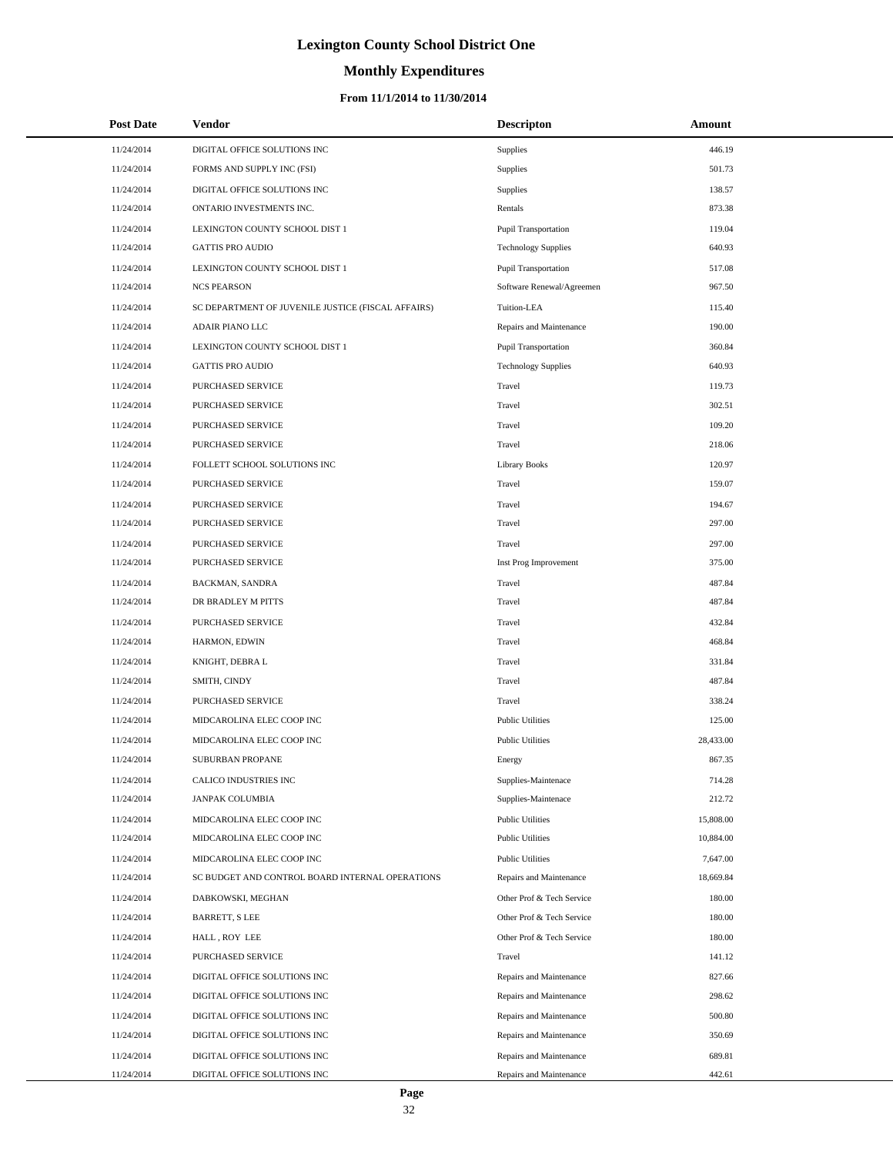# **Monthly Expenditures**

### **From 11/1/2014 to 11/30/2014**

| <b>Post Date</b> | Vendor                                             | <b>Descripton</b>           | Amount    |
|------------------|----------------------------------------------------|-----------------------------|-----------|
| 11/24/2014       | DIGITAL OFFICE SOLUTIONS INC                       | Supplies                    | 446.19    |
| 11/24/2014       | FORMS AND SUPPLY INC (FSI)                         | Supplies                    | 501.73    |
| 11/24/2014       | DIGITAL OFFICE SOLUTIONS INC                       | Supplies                    | 138.57    |
| 11/24/2014       | ONTARIO INVESTMENTS INC.                           | Rentals                     | 873.38    |
| 11/24/2014       | LEXINGTON COUNTY SCHOOL DIST 1                     | Pupil Transportation        | 119.04    |
| 11/24/2014       | <b>GATTIS PRO AUDIO</b>                            | <b>Technology Supplies</b>  | 640.93    |
| 11/24/2014       | LEXINGTON COUNTY SCHOOL DIST 1                     | Pupil Transportation        | 517.08    |
| 11/24/2014       | <b>NCS PEARSON</b>                                 | Software Renewal/Agreemen   | 967.50    |
| 11/24/2014       | SC DEPARTMENT OF JUVENILE JUSTICE (FISCAL AFFAIRS) | Tuition-LEA                 | 115.40    |
| 11/24/2014       | ADAIR PIANO LLC                                    | Repairs and Maintenance     | 190.00    |
| 11/24/2014       | LEXINGTON COUNTY SCHOOL DIST 1                     | <b>Pupil Transportation</b> | 360.84    |
| 11/24/2014       | <b>GATTIS PRO AUDIO</b>                            | <b>Technology Supplies</b>  | 640.93    |
| 11/24/2014       | PURCHASED SERVICE                                  | Travel                      | 119.73    |
| 11/24/2014       | PURCHASED SERVICE                                  | Travel                      | 302.51    |
| 11/24/2014       | PURCHASED SERVICE                                  | Travel                      | 109.20    |
| 11/24/2014       | PURCHASED SERVICE                                  | Travel                      | 218.06    |
| 11/24/2014       | FOLLETT SCHOOL SOLUTIONS INC                       | <b>Library Books</b>        | 120.97    |
| 11/24/2014       | PURCHASED SERVICE                                  | Travel                      | 159.07    |
| 11/24/2014       | PURCHASED SERVICE                                  | Travel                      | 194.67    |
| 11/24/2014       | <b>PURCHASED SERVICE</b>                           | Travel                      | 297.00    |
| 11/24/2014       | PURCHASED SERVICE                                  | Travel                      | 297.00    |
| 11/24/2014       | PURCHASED SERVICE                                  | Inst Prog Improvement       | 375.00    |
| 11/24/2014       | BACKMAN, SANDRA                                    | Travel                      | 487.84    |
| 11/24/2014       | DR BRADLEY M PITTS                                 | Travel                      | 487.84    |
| 11/24/2014       | PURCHASED SERVICE                                  | Travel                      | 432.84    |
| 11/24/2014       | HARMON, EDWIN                                      | Travel                      | 468.84    |
| 11/24/2014       | KNIGHT, DEBRA L                                    | Travel                      | 331.84    |
| 11/24/2014       | SMITH, CINDY                                       | Travel                      | 487.84    |
| 11/24/2014       | PURCHASED SERVICE                                  | Travel                      | 338.24    |
| 11/24/2014       | MIDCAROLINA ELEC COOP INC                          | <b>Public Utilities</b>     | 125.00    |
| 11/24/2014       | MIDCAROLINA ELEC COOP INC                          | <b>Public Utilities</b>     | 28,433.00 |
| 11/24/2014       | <b>SUBURBAN PROPANE</b>                            | Energy                      | 867.35    |
| 11/24/2014       | CALICO INDUSTRIES INC                              | Supplies-Maintenace         | 714.28    |
| 11/24/2014       | JANPAK COLUMBIA                                    | Supplies-Maintenace         | 212.72    |
| 11/24/2014       | MIDCAROLINA ELEC COOP INC                          | <b>Public Utilities</b>     | 15,808.00 |
| 11/24/2014       | MIDCAROLINA ELEC COOP INC                          | <b>Public Utilities</b>     | 10,884.00 |
| 11/24/2014       | MIDCAROLINA ELEC COOP INC                          | <b>Public Utilities</b>     | 7,647.00  |
| 11/24/2014       | SC BUDGET AND CONTROL BOARD INTERNAL OPERATIONS    | Repairs and Maintenance     | 18,669.84 |
| 11/24/2014       | DABKOWSKI, MEGHAN                                  | Other Prof & Tech Service   | 180.00    |
| 11/24/2014       | BARRETT, S LEE                                     | Other Prof & Tech Service   | 180.00    |
| 11/24/2014       | HALL, ROY LEE                                      | Other Prof & Tech Service   | 180.00    |
| 11/24/2014       | PURCHASED SERVICE                                  | Travel                      | 141.12    |
| 11/24/2014       | DIGITAL OFFICE SOLUTIONS INC                       | Repairs and Maintenance     | 827.66    |
| 11/24/2014       | DIGITAL OFFICE SOLUTIONS INC                       | Repairs and Maintenance     | 298.62    |
| 11/24/2014       | DIGITAL OFFICE SOLUTIONS INC                       | Repairs and Maintenance     | 500.80    |
| 11/24/2014       | DIGITAL OFFICE SOLUTIONS INC                       | Repairs and Maintenance     | 350.69    |
| 11/24/2014       | DIGITAL OFFICE SOLUTIONS INC                       | Repairs and Maintenance     | 689.81    |
| 11/24/2014       | DIGITAL OFFICE SOLUTIONS INC                       | Repairs and Maintenance     | 442.61    |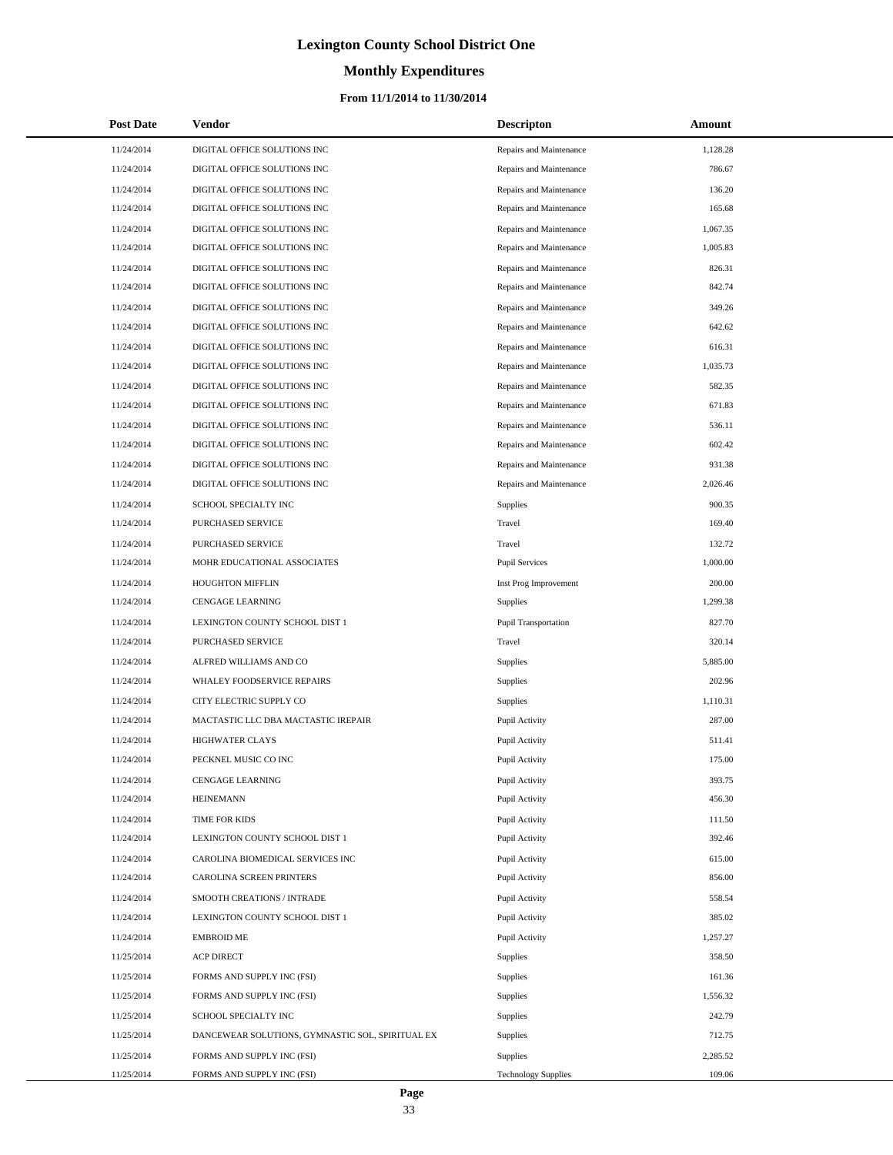# **Monthly Expenditures**

### **From 11/1/2014 to 11/30/2014**

| <b>Post Date</b> | Vendor                                           | <b>Descripton</b>          | Amount   |
|------------------|--------------------------------------------------|----------------------------|----------|
| 11/24/2014       | DIGITAL OFFICE SOLUTIONS INC                     | Repairs and Maintenance    | 1,128.28 |
| 11/24/2014       | DIGITAL OFFICE SOLUTIONS INC                     | Repairs and Maintenance    | 786.67   |
| 11/24/2014       | DIGITAL OFFICE SOLUTIONS INC                     | Repairs and Maintenance    | 136.20   |
| 11/24/2014       | DIGITAL OFFICE SOLUTIONS INC                     | Repairs and Maintenance    | 165.68   |
| 11/24/2014       | DIGITAL OFFICE SOLUTIONS INC                     | Repairs and Maintenance    | 1,067.35 |
| 11/24/2014       | DIGITAL OFFICE SOLUTIONS INC                     | Repairs and Maintenance    | 1,005.83 |
| 11/24/2014       | DIGITAL OFFICE SOLUTIONS INC                     | Repairs and Maintenance    | 826.31   |
| 11/24/2014       | DIGITAL OFFICE SOLUTIONS INC                     | Repairs and Maintenance    | 842.74   |
| 11/24/2014       | DIGITAL OFFICE SOLUTIONS INC                     | Repairs and Maintenance    | 349.26   |
| 11/24/2014       | DIGITAL OFFICE SOLUTIONS INC                     | Repairs and Maintenance    | 642.62   |
| 11/24/2014       | DIGITAL OFFICE SOLUTIONS INC                     | Repairs and Maintenance    | 616.31   |
| 11/24/2014       | DIGITAL OFFICE SOLUTIONS INC                     | Repairs and Maintenance    | 1,035.73 |
| 11/24/2014       | DIGITAL OFFICE SOLUTIONS INC                     | Repairs and Maintenance    | 582.35   |
| 11/24/2014       | DIGITAL OFFICE SOLUTIONS INC                     | Repairs and Maintenance    | 671.83   |
| 11/24/2014       | DIGITAL OFFICE SOLUTIONS INC                     | Repairs and Maintenance    | 536.11   |
| 11/24/2014       | DIGITAL OFFICE SOLUTIONS INC                     | Repairs and Maintenance    | 602.42   |
| 11/24/2014       | DIGITAL OFFICE SOLUTIONS INC                     | Repairs and Maintenance    | 931.38   |
| 11/24/2014       | DIGITAL OFFICE SOLUTIONS INC                     | Repairs and Maintenance    | 2,026.46 |
| 11/24/2014       | SCHOOL SPECIALTY INC                             | Supplies                   | 900.35   |
| 11/24/2014       | PURCHASED SERVICE                                | Travel                     | 169.40   |
| 11/24/2014       | PURCHASED SERVICE                                | Travel                     | 132.72   |
| 11/24/2014       | MOHR EDUCATIONAL ASSOCIATES                      | <b>Pupil Services</b>      | 1,000.00 |
| 11/24/2014       | <b>HOUGHTON MIFFLIN</b>                          | Inst Prog Improvement      | 200.00   |
| 11/24/2014       | CENGAGE LEARNING                                 | Supplies                   | 1,299.38 |
| 11/24/2014       | LEXINGTON COUNTY SCHOOL DIST 1                   | Pupil Transportation       | 827.70   |
| 11/24/2014       | PURCHASED SERVICE                                | Travel                     | 320.14   |
| 11/24/2014       | ALFRED WILLIAMS AND CO                           | Supplies                   | 5,885.00 |
| 11/24/2014       | WHALEY FOODSERVICE REPAIRS                       | Supplies                   | 202.96   |
| 11/24/2014       | CITY ELECTRIC SUPPLY CO                          | Supplies                   | 1,110.31 |
| 11/24/2014       | MACTASTIC LLC DBA MACTASTIC IREPAIR              | Pupil Activity             | 287.00   |
| 11/24/2014       | <b>HIGHWATER CLAYS</b>                           | Pupil Activity             | 511.41   |
| 11/24/2014       | PECKNEL MUSIC CO INC                             | Pupil Activity             | 175.00   |
| 11/24/2014       | CENGAGE LEARNING                                 | Pupil Activity             | 393.75   |
| 11/24/2014       | <b>HEINEMANN</b>                                 | Pupil Activity             | 456.30   |
| 11/24/2014       | TIME FOR KIDS                                    | Pupil Activity             | 111.50   |
| 11/24/2014       | LEXINGTON COUNTY SCHOOL DIST 1                   | Pupil Activity             | 392.46   |
| 11/24/2014       | CAROLINA BIOMEDICAL SERVICES INC                 | Pupil Activity             | 615.00   |
| 11/24/2014       | CAROLINA SCREEN PRINTERS                         | Pupil Activity             | 856.00   |
| 11/24/2014       | SMOOTH CREATIONS / INTRADE                       | Pupil Activity             | 558.54   |
| 11/24/2014       | LEXINGTON COUNTY SCHOOL DIST 1                   | Pupil Activity             | 385.02   |
| 11/24/2014       | <b>EMBROID ME</b>                                | Pupil Activity             | 1,257.27 |
| 11/25/2014       | <b>ACP DIRECT</b>                                | Supplies                   | 358.50   |
| 11/25/2014       | FORMS AND SUPPLY INC (FSI)                       | Supplies                   | 161.36   |
| 11/25/2014       | FORMS AND SUPPLY INC (FSI)                       | Supplies                   | 1,556.32 |
| 11/25/2014       | SCHOOL SPECIALTY INC                             | Supplies                   | 242.79   |
| 11/25/2014       | DANCEWEAR SOLUTIONS, GYMNASTIC SOL, SPIRITUAL EX | Supplies                   | 712.75   |
| 11/25/2014       | FORMS AND SUPPLY INC (FSI)                       | Supplies                   | 2,285.52 |
| 11/25/2014       | FORMS AND SUPPLY INC (FSI)                       | <b>Technology Supplies</b> | 109.06   |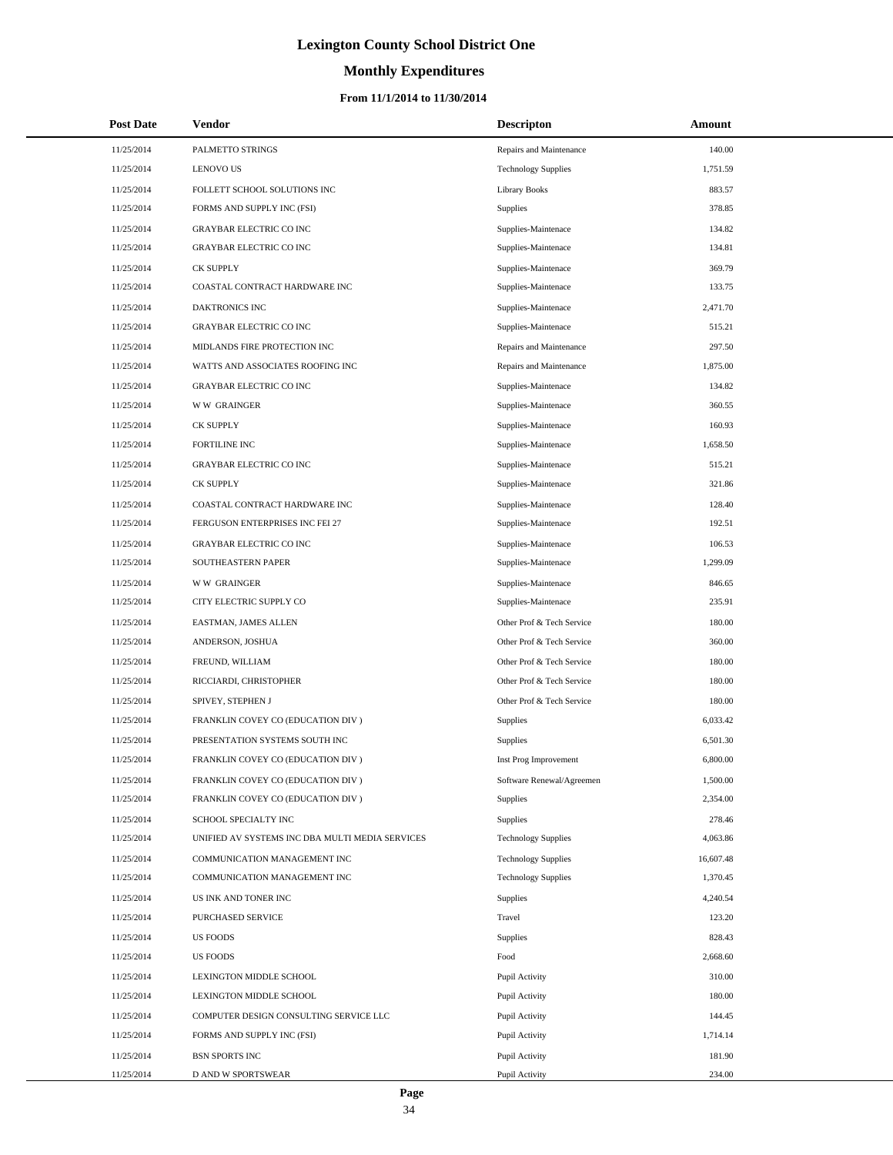# **Monthly Expenditures**

### **From 11/1/2014 to 11/30/2014**

| <b>Post Date</b> | Vendor                                          | <b>Descripton</b>          | Amount    |
|------------------|-------------------------------------------------|----------------------------|-----------|
| 11/25/2014       | PALMETTO STRINGS                                | Repairs and Maintenance    | 140.00    |
| 11/25/2014       | <b>LENOVO US</b>                                | <b>Technology Supplies</b> | 1,751.59  |
| 11/25/2014       | FOLLETT SCHOOL SOLUTIONS INC                    | <b>Library Books</b>       | 883.57    |
| 11/25/2014       | FORMS AND SUPPLY INC (FSI)                      | Supplies                   | 378.85    |
| 11/25/2014       | <b>GRAYBAR ELECTRIC CO INC</b>                  | Supplies-Maintenace        | 134.82    |
| 11/25/2014       | <b>GRAYBAR ELECTRIC CO INC</b>                  | Supplies-Maintenace        | 134.81    |
| 11/25/2014       | <b>CK SUPPLY</b>                                | Supplies-Maintenace        | 369.79    |
| 11/25/2014       | COASTAL CONTRACT HARDWARE INC                   | Supplies-Maintenace        | 133.75    |
| 11/25/2014       | DAKTRONICS INC                                  | Supplies-Maintenace        | 2,471.70  |
| 11/25/2014       | GRAYBAR ELECTRIC CO INC                         | Supplies-Maintenace        | 515.21    |
| 11/25/2014       | MIDLANDS FIRE PROTECTION INC                    | Repairs and Maintenance    | 297.50    |
| 11/25/2014       | WATTS AND ASSOCIATES ROOFING INC                | Repairs and Maintenance    | 1,875.00  |
| 11/25/2014       | <b>GRAYBAR ELECTRIC CO INC</b>                  | Supplies-Maintenace        | 134.82    |
| 11/25/2014       | <b>WW GRAINGER</b>                              | Supplies-Maintenace        | 360.55    |
| 11/25/2014       | <b>CK SUPPLY</b>                                | Supplies-Maintenace        | 160.93    |
| 11/25/2014       | FORTILINE INC                                   | Supplies-Maintenace        | 1,658.50  |
| 11/25/2014       | <b>GRAYBAR ELECTRIC CO INC</b>                  | Supplies-Maintenace        | 515.21    |
| 11/25/2014       | <b>CK SUPPLY</b>                                | Supplies-Maintenace        | 321.86    |
| 11/25/2014       | COASTAL CONTRACT HARDWARE INC                   | Supplies-Maintenace        | 128.40    |
| 11/25/2014       | FERGUSON ENTERPRISES INC FEI 27                 | Supplies-Maintenace        | 192.51    |
| 11/25/2014       | <b>GRAYBAR ELECTRIC CO INC</b>                  | Supplies-Maintenace        | 106.53    |
| 11/25/2014       | SOUTHEASTERN PAPER                              | Supplies-Maintenace        | 1,299.09  |
| 11/25/2014       | <b>WW GRAINGER</b>                              | Supplies-Maintenace        | 846.65    |
| 11/25/2014       | CITY ELECTRIC SUPPLY CO                         | Supplies-Maintenace        | 235.91    |
| 11/25/2014       | EASTMAN, JAMES ALLEN                            | Other Prof & Tech Service  | 180.00    |
| 11/25/2014       | ANDERSON, JOSHUA                                | Other Prof & Tech Service  | 360.00    |
| 11/25/2014       | FREUND, WILLIAM                                 | Other Prof & Tech Service  | 180.00    |
| 11/25/2014       | RICCIARDI, CHRISTOPHER                          | Other Prof & Tech Service  | 180.00    |
| 11/25/2014       | SPIVEY, STEPHEN J                               | Other Prof & Tech Service  | 180.00    |
| 11/25/2014       | FRANKLIN COVEY CO (EDUCATION DIV )              | Supplies                   | 6,033.42  |
| 11/25/2014       | PRESENTATION SYSTEMS SOUTH INC                  | Supplies                   | 6,501.30  |
| 11/25/2014       | FRANKLIN COVEY CO (EDUCATION DIV )              | Inst Prog Improvement      | 6,800.00  |
| 11/25/2014       | FRANKLIN COVEY CO (EDUCATION DIV)               | Software Renewal/Agreemen  | 1,500.00  |
| 11/25/2014       | FRANKLIN COVEY CO (EDUCATION DIV)               | Supplies                   | 2,354.00  |
| 11/25/2014       | SCHOOL SPECIALTY INC                            | Supplies                   | 278.46    |
| 11/25/2014       | UNIFIED AV SYSTEMS INC DBA MULTI MEDIA SERVICES | <b>Technology Supplies</b> | 4,063.86  |
| 11/25/2014       | COMMUNICATION MANAGEMENT INC                    | <b>Technology Supplies</b> | 16,607.48 |
| 11/25/2014       | COMMUNICATION MANAGEMENT INC                    | <b>Technology Supplies</b> | 1,370.45  |
| 11/25/2014       | US INK AND TONER INC                            | Supplies                   | 4,240.54  |
| 11/25/2014       | PURCHASED SERVICE                               | Travel                     | 123.20    |
| 11/25/2014       | <b>US FOODS</b>                                 | Supplies                   | 828.43    |
| 11/25/2014       | <b>US FOODS</b>                                 | Food                       | 2,668.60  |
| 11/25/2014       | LEXINGTON MIDDLE SCHOOL                         | Pupil Activity             | 310.00    |
| 11/25/2014       | LEXINGTON MIDDLE SCHOOL                         | Pupil Activity             | 180.00    |
| 11/25/2014       | COMPUTER DESIGN CONSULTING SERVICE LLC          | Pupil Activity             | 144.45    |
| 11/25/2014       | FORMS AND SUPPLY INC (FSI)                      | Pupil Activity             | 1,714.14  |
| 11/25/2014       | <b>BSN SPORTS INC</b>                           | Pupil Activity             | 181.90    |
| 11/25/2014       | D AND W SPORTSWEAR                              | Pupil Activity             | 234.00    |

L